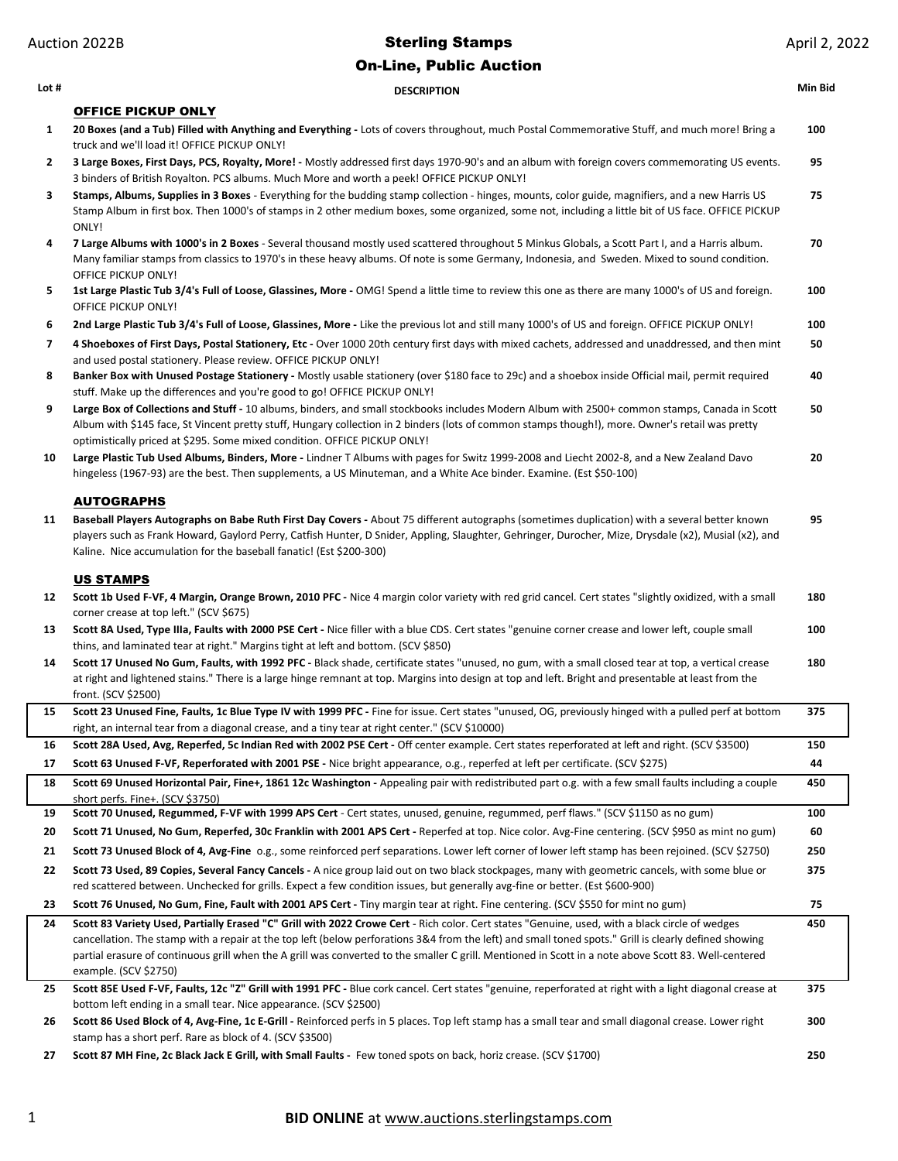| Lot #          | <b>DESCRIPTION</b>                                                                                                                                                                                                                                                                                                                                                             | Min Bid |
|----------------|--------------------------------------------------------------------------------------------------------------------------------------------------------------------------------------------------------------------------------------------------------------------------------------------------------------------------------------------------------------------------------|---------|
|                | <b>OFFICE PICKUP ONLY</b>                                                                                                                                                                                                                                                                                                                                                      |         |
| 1              | 20 Boxes (and a Tub) Filled with Anything and Everything - Lots of covers throughout, much Postal Commemorative Stuff, and much more! Bring a<br>truck and we'll load it! OFFICE PICKUP ONLY!                                                                                                                                                                                  | 100     |
| 2              | 3 Large Boxes, First Days, PCS, Royalty, More! - Mostly addressed first days 1970-90's and an album with foreign covers commemorating US events.<br>3 binders of British Royalton. PCS albums. Much More and worth a peek! OFFICE PICKUP ONLY!                                                                                                                                 | 95      |
| 3              | Stamps, Albums, Supplies in 3 Boxes - Everything for the budding stamp collection - hinges, mounts, color guide, magnifiers, and a new Harris US<br>Stamp Album in first box. Then 1000's of stamps in 2 other medium boxes, some organized, some not, including a little bit of US face. OFFICE PICKUP<br>ONLY!                                                               | 75      |
| 4              | 7 Large Albums with 1000's in 2 Boxes - Several thousand mostly used scattered throughout 5 Minkus Globals, a Scott Part I, and a Harris album.<br>Many familiar stamps from classics to 1970's in these heavy albums. Of note is some Germany, Indonesia, and Sweden. Mixed to sound condition.<br>OFFICE PICKUP ONLY!                                                        | 70      |
| 5              | 1st Large Plastic Tub 3/4's Full of Loose, Glassines, More - OMG! Spend a little time to review this one as there are many 1000's of US and foreign.<br>OFFICE PICKUP ONLY!                                                                                                                                                                                                    | 100     |
| 6              | 2nd Large Plastic Tub 3/4's Full of Loose, Glassines, More - Like the previous lot and still many 1000's of US and foreign. OFFICE PICKUP ONLY!                                                                                                                                                                                                                                | 100     |
| $\overline{7}$ | 4 Shoeboxes of First Days, Postal Stationery, Etc - Over 1000 20th century first days with mixed cachets, addressed and unaddressed, and then mint<br>and used postal stationery. Please review. OFFICE PICKUP ONLY!                                                                                                                                                           | 50      |
| 8              | Banker Box with Unused Postage Stationery - Mostly usable stationery (over \$180 face to 29c) and a shoebox inside Official mail, permit required<br>stuff. Make up the differences and you're good to go! OFFICE PICKUP ONLY!                                                                                                                                                 | 40      |
| 9              | Large Box of Collections and Stuff - 10 albums, binders, and small stockbooks includes Modern Album with 2500+ common stamps, Canada in Scott<br>Album with \$145 face, St Vincent pretty stuff, Hungary collection in 2 binders (lots of common stamps though!), more. Owner's retail was pretty<br>optimistically priced at \$295. Some mixed condition. OFFICE PICKUP ONLY! | 50      |
| 10             | Large Plastic Tub Used Albums, Binders, More - Lindner T Albums with pages for Switz 1999-2008 and Liecht 2002-8, and a New Zealand Davo<br>hingeless (1967-93) are the best. Then supplements, a US Minuteman, and a White Ace binder. Examine. (Est \$50-100)                                                                                                                | 20      |
|                | <b>AUTOGRAPHS</b>                                                                                                                                                                                                                                                                                                                                                              |         |
| 11             | Baseball Players Autographs on Babe Ruth First Day Covers - About 75 different autographs (sometimes duplication) with a several better known<br>players such as Frank Howard, Gaylord Perry, Catfish Hunter, D Snider, Appling, Slaughter, Gehringer, Durocher, Mize, Drysdale (x2), Musial (x2), and<br>Kaline. Nice accumulation for the baseball fanatic! (Est \$200-300)  | 95      |
|                |                                                                                                                                                                                                                                                                                                                                                                                |         |
|                | <b>US STAMPS</b>                                                                                                                                                                                                                                                                                                                                                               |         |
| 12             | Scott 1b Used F-VF, 4 Margin, Orange Brown, 2010 PFC - Nice 4 margin color variety with red grid cancel. Cert states "slightly oxidized, with a small<br>corner crease at top left." (SCV \$675)                                                                                                                                                                               | 180     |
| 13             | Scott 8A Used, Type IIIa, Faults with 2000 PSE Cert - Nice filler with a blue CDS. Cert states "genuine corner crease and lower left, couple small<br>thins, and laminated tear at right." Margins tight at left and bottom. (SCV \$850)                                                                                                                                       | 100     |
| 14             | Scott 17 Unused No Gum, Faults, with 1992 PFC - Black shade, certificate states "unused, no gum, with a small closed tear at top, a vertical crease<br>at right and lightened stains." There is a large hinge remnant at top. Margins into design at top and left. Bright and presentable at least from the<br>front. (SCV \$2500)                                             | 180     |
| 15             | Scott 23 Unused Fine, Faults, 1c Blue Type IV with 1999 PFC - Fine for issue. Cert states "unused, OG, previously hinged with a pulled perf at bottom<br>right, an internal tear from a diagonal crease, and a tiny tear at right center." (SCV \$10000)                                                                                                                       | 375     |
| 16             | Scott 28A Used, Avg, Reperfed, 5c Indian Red with 2002 PSE Cert - Off center example. Cert states reperforated at left and right. (SCV \$3500)                                                                                                                                                                                                                                 | 150     |
| 17             | Scott 63 Unused F-VF, Reperforated with 2001 PSE - Nice bright appearance, o.g., reperfed at left per certificate. (SCV \$275)                                                                                                                                                                                                                                                 | 44      |
| 18             | Scott 69 Unused Horizontal Pair, Fine+, 1861 12c Washington - Appealing pair with redistributed part o.g. with a few small faults including a couple<br>short perfs. Fine+. (SCV \$3750)                                                                                                                                                                                       | 450     |
| 19             | Scott 70 Unused, Regummed, F-VF with 1999 APS Cert - Cert states, unused, genuine, regummed, perf flaws." (SCV \$1150 as no gum)                                                                                                                                                                                                                                               | 100     |
| 20             | Scott 71 Unused, No Gum, Reperfed, 30c Franklin with 2001 APS Cert - Reperfed at top. Nice color. Avg-Fine centering. (SCV \$950 as mint no gum)                                                                                                                                                                                                                               | 60      |
| 21             | Scott 73 Unused Block of 4, Avg-Fine 0.g., some reinforced perf separations. Lower left corner of lower left stamp has been rejoined. (SCV \$2750)                                                                                                                                                                                                                             | 250     |
| 22             | Scott 73 Used, 89 Copies, Several Fancy Cancels - A nice group laid out on two black stockpages, many with geometric cancels, with some blue or<br>red scattered between. Unchecked for grills. Expect a few condition issues, but generally avg-fine or better. (Est \$600-900)                                                                                               | 375     |
| 23             | Scott 76 Unused, No Gum, Fine, Fault with 2001 APS Cert - Tiny margin tear at right. Fine centering. (SCV \$550 for mint no gum)                                                                                                                                                                                                                                               | 75      |
| 24             | Scott 83 Variety Used, Partially Erased "C" Grill with 2022 Crowe Cert - Rich color. Cert states "Genuine, used, with a black circle of wedges<br>cancellation. The stamp with a repair at the top left (below perforations 3&4 from the left) and small toned spots." Grill is clearly defined showing                                                                        | 450     |
|                | partial erasure of continuous grill when the A grill was converted to the smaller C grill. Mentioned in Scott in a note above Scott 83. Well-centered<br>example. (SCV \$2750)                                                                                                                                                                                                 |         |
| 25             | Scott 85E Used F-VF, Faults, 12c "Z" Grill with 1991 PFC - Blue cork cancel. Cert states "genuine, reperforated at right with a light diagonal crease at<br>bottom left ending in a small tear. Nice appearance. (SCV \$2500)                                                                                                                                                  | 375     |
| 26             | Scott 86 Used Block of 4, Avg-Fine, 1c E-Grill - Reinforced perfs in 5 places. Top left stamp has a small tear and small diagonal crease. Lower right<br>stamp has a short perf. Rare as block of 4. (SCV \$3500)                                                                                                                                                              | 300     |
| 27             | Scott 87 MH Fine, 2c Black Jack E Grill, with Small Faults - Few toned spots on back, horiz crease. (SCV \$1700)                                                                                                                                                                                                                                                               | 250     |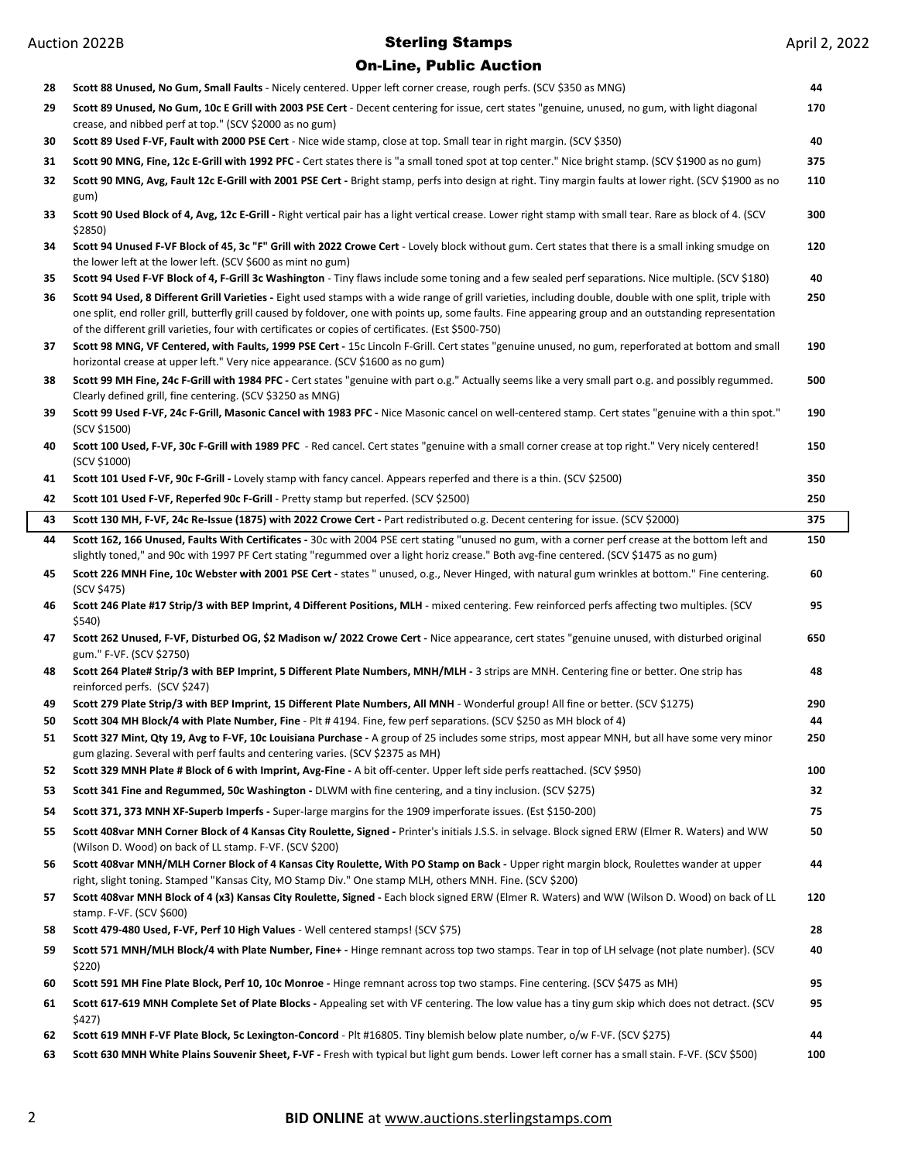### On-Line, Public Auction

| 28 | Scott 88 Unused, No Gum, Small Faults - Nicely centered. Upper left corner crease, rough perfs. (SCV \$350 as MNG)                                                                                                                                                                                                                                                                                                           | 44  |
|----|------------------------------------------------------------------------------------------------------------------------------------------------------------------------------------------------------------------------------------------------------------------------------------------------------------------------------------------------------------------------------------------------------------------------------|-----|
| 29 | Scott 89 Unused, No Gum, 10c E Grill with 2003 PSE Cert - Decent centering for issue, cert states "genuine, unused, no gum, with light diagonal<br>crease, and nibbed perf at top." (SCV \$2000 as no gum)                                                                                                                                                                                                                   | 170 |
| 30 | Scott 89 Used F-VF, Fault with 2000 PSE Cert - Nice wide stamp, close at top. Small tear in right margin. (SCV \$350)                                                                                                                                                                                                                                                                                                        | 40  |
| 31 | Scott 90 MNG, Fine, 12c E-Grill with 1992 PFC - Cert states there is "a small toned spot at top center." Nice bright stamp. (SCV \$1900 as no gum)                                                                                                                                                                                                                                                                           | 375 |
| 32 | Scott 90 MNG, Avg, Fault 12c E-Grill with 2001 PSE Cert - Bright stamp, perfs into design at right. Tiny margin faults at lower right. (SCV \$1900 as no<br>gum)                                                                                                                                                                                                                                                             | 110 |
| 33 | Scott 90 Used Block of 4, Avg, 12c E-Grill - Right vertical pair has a light vertical crease. Lower right stamp with small tear. Rare as block of 4. (SCV<br>\$2850)                                                                                                                                                                                                                                                         | 300 |
| 34 | Scott 94 Unused F-VF Block of 45, 3c "F" Grill with 2022 Crowe Cert - Lovely block without gum. Cert states that there is a small inking smudge on<br>the lower left at the lower left. (SCV \$600 as mint no gum)                                                                                                                                                                                                           | 120 |
| 35 | Scott 94 Used F-VF Block of 4, F-Grill 3c Washington - Tiny flaws include some toning and a few sealed perf separations. Nice multiple. (SCV \$180)                                                                                                                                                                                                                                                                          | 40  |
| 36 | Scott 94 Used, 8 Different Grill Varieties - Eight used stamps with a wide range of grill varieties, including double, double with one split, triple with<br>one split, end roller grill, butterfly grill caused by foldover, one with points up, some faults. Fine appearing group and an outstanding representation<br>of the different grill varieties, four with certificates or copies of certificates. (Est \$500-750) | 250 |
| 37 | Scott 98 MNG, VF Centered, with Faults, 1999 PSE Cert - 15c Lincoln F-Grill. Cert states "genuine unused, no gum, reperforated at bottom and small<br>horizontal crease at upper left." Very nice appearance. (SCV \$1600 as no gum)                                                                                                                                                                                         | 190 |
| 38 | Scott 99 MH Fine, 24c F-Grill with 1984 PFC - Cert states "genuine with part o.g." Actually seems like a very small part o.g. and possibly regummed.<br>Clearly defined grill, fine centering. (SCV \$3250 as MNG)                                                                                                                                                                                                           | 500 |
| 39 | Scott 99 Used F-VF, 24c F-Grill, Masonic Cancel with 1983 PFC - Nice Masonic cancel on well-centered stamp. Cert states "genuine with a thin spot."<br>(SCV \$1500)                                                                                                                                                                                                                                                          | 190 |
| 40 | Scott 100 Used, F-VF, 30c F-Grill with 1989 PFC - Red cancel. Cert states "genuine with a small corner crease at top right." Very nicely centered!<br>(SCV \$1000)                                                                                                                                                                                                                                                           | 150 |
| 41 | Scott 101 Used F-VF, 90c F-Grill - Lovely stamp with fancy cancel. Appears reperfed and there is a thin. (SCV \$2500)                                                                                                                                                                                                                                                                                                        | 350 |
| 42 | Scott 101 Used F-VF, Reperfed 90c F-Grill - Pretty stamp but reperfed. (SCV \$2500)                                                                                                                                                                                                                                                                                                                                          | 250 |
| 43 | Scott 130 MH, F-VF, 24c Re-Issue (1875) with 2022 Crowe Cert - Part redistributed o.g. Decent centering for issue. (SCV \$2000)                                                                                                                                                                                                                                                                                              | 375 |
| 44 | Scott 162, 166 Unused, Faults With Certificates - 30c with 2004 PSE cert stating "unused no gum, with a corner perf crease at the bottom left and<br>slightly toned," and 90c with 1997 PF Cert stating "regummed over a light horiz crease." Both avg-fine centered. (SCV \$1475 as no gum)                                                                                                                                 | 150 |
| 45 | Scott 226 MNH Fine, 10c Webster with 2001 PSE Cert - states " unused, o.g., Never Hinged, with natural gum wrinkles at bottom." Fine centering.<br>(SCV \$475)                                                                                                                                                                                                                                                               | 60  |
| 46 | Scott 246 Plate #17 Strip/3 with BEP Imprint, 4 Different Positions, MLH - mixed centering. Few reinforced perfs affecting two multiples. (SCV<br>\$540)                                                                                                                                                                                                                                                                     | 95  |
| 47 | Scott 262 Unused, F-VF, Disturbed OG, \$2 Madison w/ 2022 Crowe Cert - Nice appearance, cert states "genuine unused, with disturbed original<br>gum." F-VF. (SCV \$2750)                                                                                                                                                                                                                                                     | 650 |
| 48 | Scott 264 Plate# Strip/3 with BEP Imprint, 5 Different Plate Numbers, MNH/MLH - 3 strips are MNH. Centering fine or better. One strip has<br>reinforced perfs. (SCV \$247)                                                                                                                                                                                                                                                   | 48  |
| 49 | Scott 279 Plate Strip/3 with BEP Imprint, 15 Different Plate Numbers, All MNH - Wonderful group! All fine or better. (SCV \$1275)                                                                                                                                                                                                                                                                                            | 290 |
| 50 | Scott 304 MH Block/4 with Plate Number, Fine - Plt #4194. Fine, few perf separations. (SCV \$250 as MH block of 4)                                                                                                                                                                                                                                                                                                           | 44  |
| 51 | Scott 327 Mint, Qty 19, Avg to F-VF, 10c Louisiana Purchase - A group of 25 includes some strips, most appear MNH, but all have some very minor                                                                                                                                                                                                                                                                              | 250 |
| 52 | gum glazing. Several with perf faults and centering varies. (SCV \$2375 as MH)<br>Scott 329 MNH Plate # Block of 6 with Imprint, Avg-Fine - A bit off-center. Upper left side perfs reattached. (SCV \$950)                                                                                                                                                                                                                  | 100 |
| 53 | Scott 341 Fine and Regummed, 50c Washington - DLWM with fine centering, and a tiny inclusion. (SCV \$275)                                                                                                                                                                                                                                                                                                                    | 32  |
| 54 | Scott 371, 373 MNH XF-Superb Imperfs - Super-large margins for the 1909 imperforate issues. (Est \$150-200)                                                                                                                                                                                                                                                                                                                  | 75  |
| 55 | Scott 408var MNH Corner Block of 4 Kansas City Roulette, Signed - Printer's initials J.S.S. in selvage. Block signed ERW (Elmer R. Waters) and WW                                                                                                                                                                                                                                                                            | 50  |
| 56 | (Wilson D. Wood) on back of LL stamp. F-VF. (SCV \$200)<br>Scott 408var MNH/MLH Corner Block of 4 Kansas City Roulette, With PO Stamp on Back - Upper right margin block, Roulettes wander at upper<br>right, slight toning. Stamped "Kansas City, MO Stamp Div." One stamp MLH, others MNH. Fine. (SCV \$200)                                                                                                               | 44  |
| 57 | Scott 408var MNH Block of 4 (x3) Kansas City Roulette, Signed - Each block signed ERW (Elmer R. Waters) and WW (Wilson D. Wood) on back of LL<br>stamp. F-VF. (SCV \$600)                                                                                                                                                                                                                                                    | 120 |
| 58 | Scott 479-480 Used, F-VF, Perf 10 High Values - Well centered stamps! (SCV \$75)                                                                                                                                                                                                                                                                                                                                             | 28  |
| 59 |                                                                                                                                                                                                                                                                                                                                                                                                                              |     |
|    | Scott 571 MNH/MLH Block/4 with Plate Number, Fine+ - Hinge remnant across top two stamps. Tear in top of LH selvage (not plate number). (SCV<br>\$220)                                                                                                                                                                                                                                                                       | 40  |
| 60 | Scott 591 MH Fine Plate Block, Perf 10, 10c Monroe - Hinge remnant across top two stamps. Fine centering. (SCV \$475 as MH)                                                                                                                                                                                                                                                                                                  | 95  |
| 61 | Scott 617-619 MNH Complete Set of Plate Blocks - Appealing set with VF centering. The low value has a tiny gum skip which does not detract. (SCV<br>\$427)                                                                                                                                                                                                                                                                   | 95  |
| 62 | Scott 619 MNH F-VF Plate Block, 5c Lexington-Concord - Plt #16805. Tiny blemish below plate number, o/w F-VF. (SCV \$275)                                                                                                                                                                                                                                                                                                    | 44  |

# **BID ONLINE** at www.auctions.sterlingstamps.com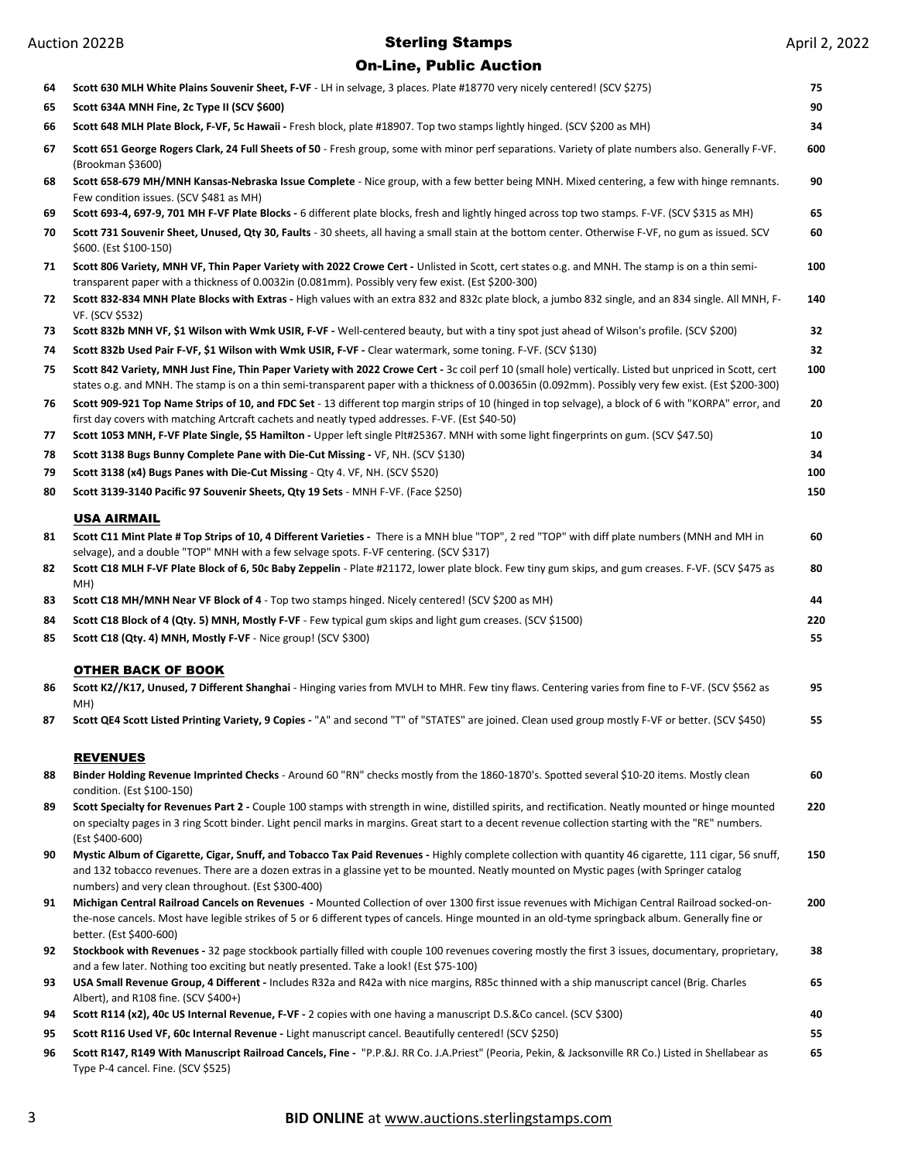| 64       | Scott 630 MLH White Plains Souvenir Sheet, F-VF - LH in selvage, 3 places. Plate #18770 very nicely centered! (SCV \$275)                                                                                                                                                                                                                                   | 75        |
|----------|-------------------------------------------------------------------------------------------------------------------------------------------------------------------------------------------------------------------------------------------------------------------------------------------------------------------------------------------------------------|-----------|
| 65       | Scott 634A MNH Fine, 2c Type II (SCV \$600)                                                                                                                                                                                                                                                                                                                 | 90        |
| 66       | Scott 648 MLH Plate Block, F-VF, 5c Hawaii - Fresh block, plate #18907. Top two stamps lightly hinged. (SCV \$200 as MH)                                                                                                                                                                                                                                    | 34        |
| 67       | Scott 651 George Rogers Clark, 24 Full Sheets of 50 - Fresh group, some with minor perf separations. Variety of plate numbers also. Generally F-VF.<br>(Brookman \$3600)                                                                                                                                                                                    | 600       |
| 68       | Scott 658-679 MH/MNH Kansas-Nebraska Issue Complete - Nice group, with a few better being MNH. Mixed centering, a few with hinge remnants.<br>Few condition issues. (SCV \$481 as MH)                                                                                                                                                                       | 90        |
| 69       | Scott 693-4, 697-9, 701 MH F-VF Plate Blocks - 6 different plate blocks, fresh and lightly hinged across top two stamps. F-VF. (SCV \$315 as MH)                                                                                                                                                                                                            | 65        |
| 70       | Scott 731 Souvenir Sheet, Unused, Qty 30, Faults - 30 sheets, all having a small stain at the bottom center. Otherwise F-VF, no gum as issued. SCV<br>\$600. (Est \$100-150)                                                                                                                                                                                | 60        |
| 71       | Scott 806 Variety, MNH VF, Thin Paper Variety with 2022 Crowe Cert - Unlisted in Scott, cert states o.g. and MNH. The stamp is on a thin semi-<br>transparent paper with a thickness of 0.0032in (0.081mm). Possibly very few exist. (Est \$200-300)                                                                                                        | 100       |
| 72       | Scott 832-834 MNH Plate Blocks with Extras - High values with an extra 832 and 832c plate block, a jumbo 832 single, and an 834 single. All MNH, F-<br>VF. (SCV \$532)                                                                                                                                                                                      | 140       |
| 73       | Scott 832b MNH VF, \$1 Wilson with Wmk USIR, F-VF - Well-centered beauty, but with a tiny spot just ahead of Wilson's profile. (SCV \$200)                                                                                                                                                                                                                  | 32        |
| 74       | Scott 832b Used Pair F-VF, \$1 Wilson with Wmk USIR, F-VF - Clear watermark, some toning. F-VF. (SCV \$130)                                                                                                                                                                                                                                                 | 32        |
| 75       | Scott 842 Variety, MNH Just Fine, Thin Paper Variety with 2022 Crowe Cert - 3c coil perf 10 (small hole) vertically. Listed but unpriced in Scott, cert<br>states o.g. and MNH. The stamp is on a thin semi-transparent paper with a thickness of 0.00365in (0.092mm). Possibly very few exist. (Est \$200-300)                                             | 100       |
| 76       | Scott 909-921 Top Name Strips of 10, and FDC Set - 13 different top margin strips of 10 (hinged in top selvage), a block of 6 with "KORPA" error, and<br>first day covers with matching Artcraft cachets and neatly typed addresses. F-VF. (Est \$40-50)                                                                                                    | 20        |
| 77       | Scott 1053 MNH, F-VF Plate Single, \$5 Hamilton - Upper left single Plt#25367. MNH with some light fingerprints on gum. (SCV \$47.50)                                                                                                                                                                                                                       | 10        |
| 78       | Scott 3138 Bugs Bunny Complete Pane with Die-Cut Missing - VF, NH. (SCV \$130)                                                                                                                                                                                                                                                                              | 34        |
| 79       | Scott 3138 (x4) Bugs Panes with Die-Cut Missing - Qty 4. VF, NH. (SCV \$520)                                                                                                                                                                                                                                                                                | 100       |
| 80       | Scott 3139-3140 Pacific 97 Souvenir Sheets, Qty 19 Sets - MNH F-VF. (Face \$250)                                                                                                                                                                                                                                                                            | 150       |
| 81       | <b>USA AIRMAIL</b><br>Scott C11 Mint Plate # Top Strips of 10, 4 Different Varieties - There is a MNH blue "TOP", 2 red "TOP" with diff plate numbers (MNH and MH in                                                                                                                                                                                        | 60        |
| 82       | selvage), and a double "TOP" MNH with a few selvage spots. F-VF centering. (SCV \$317)<br>Scott C18 MLH F-VF Plate Block of 6, 50c Baby Zeppelin - Plate #21172, lower plate block. Few tiny gum skips, and gum creases. F-VF. (SCV \$475 as                                                                                                                | 80        |
| 83       | MH)<br><b>Scott C18 MH/MNH Near VF Block of 4</b> - Top two stamps hinged. Nicely centered! (SCV \$200 as MH)                                                                                                                                                                                                                                               | 44        |
|          |                                                                                                                                                                                                                                                                                                                                                             |           |
|          |                                                                                                                                                                                                                                                                                                                                                             |           |
| 84<br>85 | Scott C18 Block of 4 (Qty. 5) MNH, Mostly F-VF - Few typical gum skips and light gum creases. (SCV \$1500)<br>Scott C18 (Qty. 4) MNH, Mostly F-VF - Nice group! (SCV \$300)                                                                                                                                                                                 | 220<br>55 |
|          | <b>OTHER BACK OF BOOK</b>                                                                                                                                                                                                                                                                                                                                   |           |
| 86       | Scott K2//K17, Unused, 7 Different Shanghai - Hinging varies from MVLH to MHR. Few tiny flaws. Centering varies from fine to F-VF. (SCV \$562 as<br>MH)                                                                                                                                                                                                     | 95        |
| 87       | Scott QE4 Scott Listed Printing Variety, 9 Copies - "A" and second "T" of "STATES" are joined. Clean used group mostly F-VF or better. (SCV \$450)                                                                                                                                                                                                          | 55        |
|          | <b>REVENUES</b>                                                                                                                                                                                                                                                                                                                                             |           |
| 88       | Binder Holding Revenue Imprinted Checks - Around 60 "RN" checks mostly from the 1860-1870's. Spotted several \$10-20 items. Mostly clean<br>condition. (Est \$100-150)                                                                                                                                                                                      | 60        |
| 89       | Scott Specialty for Revenues Part 2 - Couple 100 stamps with strength in wine, distilled spirits, and rectification. Neatly mounted or hinge mounted<br>on specialty pages in 3 ring Scott binder. Light pencil marks in margins. Great start to a decent revenue collection starting with the "RE" numbers.<br>(Est \$400-600)                             | 220       |
| 90       | Mystic Album of Cigarette, Cigar, Snuff, and Tobacco Tax Paid Revenues - Highly complete collection with quantity 46 cigarette, 111 cigar, 56 snuff,<br>and 132 tobacco revenues. There are a dozen extras in a glassine yet to be mounted. Neatly mounted on Mystic pages (with Springer catalog                                                           | 150       |
| 91       | numbers) and very clean throughout. (Est \$300-400)<br>Michigan Central Railroad Cancels on Revenues - Mounted Collection of over 1300 first issue revenues with Michigan Central Railroad socked-on-<br>the-nose cancels. Most have legible strikes of 5 or 6 different types of cancels. Hinge mounted in an old-tyme springback album. Generally fine or | 200       |
| 92       | better. (Est \$400-600)<br>Stockbook with Revenues - 32 page stockbook partially filled with couple 100 revenues covering mostly the first 3 issues, documentary, proprietary,                                                                                                                                                                              | 38        |
| 93       | and a few later. Nothing too exciting but neatly presented. Take a look! (Est \$75-100)<br>USA Small Revenue Group, 4 Different - Includes R32a and R42a with nice margins, R85c thinned with a ship manuscript cancel (Brig. Charles<br>Albert), and R108 fine. (SCV \$400+)                                                                               | 65        |
| 94       | Scott R114 (x2), 40c US Internal Revenue, F-VF - 2 copies with one having a manuscript D.S.&Co cancel. (SCV \$300)                                                                                                                                                                                                                                          | 40        |
| 95       | Scott R116 Used VF, 60c Internal Revenue - Light manuscript cancel. Beautifully centered! (SCV \$250)                                                                                                                                                                                                                                                       | 55        |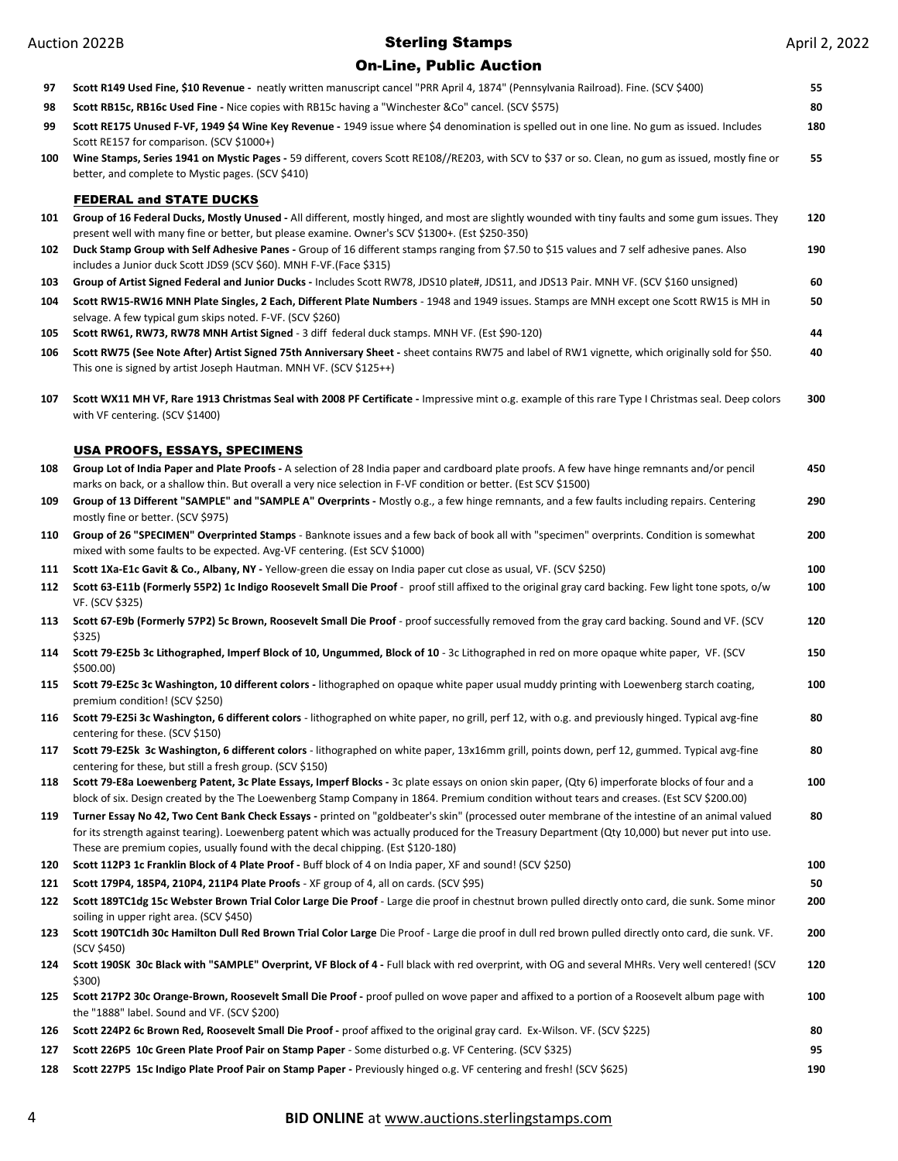| 97  | Scott R149 Used Fine, \$10 Revenue - neatly written manuscript cancel "PRR April 4, 1874" (Pennsylvania Railroad). Fine. (SCV \$400)                                                                                                                                                                                                                                                    | 55  |
|-----|-----------------------------------------------------------------------------------------------------------------------------------------------------------------------------------------------------------------------------------------------------------------------------------------------------------------------------------------------------------------------------------------|-----|
| 98  | Scott RB15c, RB16c Used Fine - Nice copies with RB15c having a "Winchester &Co" cancel. (SCV \$575)                                                                                                                                                                                                                                                                                     | 80  |
| 99  | Scott RE175 Unused F-VF, 1949 \$4 Wine Key Revenue - 1949 issue where \$4 denomination is spelled out in one line. No gum as issued. Includes<br>Scott RE157 for comparison. (SCV \$1000+)                                                                                                                                                                                              | 180 |
| 100 | Wine Stamps, Series 1941 on Mystic Pages - 59 different, covers Scott RE108//RE203, with SCV to \$37 or so. Clean, no gum as issued, mostly fine or<br>better, and complete to Mystic pages. (SCV \$410)                                                                                                                                                                                | 55  |
|     | <b>FEDERAL and STATE DUCKS</b>                                                                                                                                                                                                                                                                                                                                                          |     |
| 101 | Group of 16 Federal Ducks, Mostly Unused - All different, mostly hinged, and most are slightly wounded with tiny faults and some gum issues. They<br>present well with many fine or better, but please examine. Owner's SCV \$1300+. (Est \$250-350)                                                                                                                                    | 120 |
| 102 | Duck Stamp Group with Self Adhesive Panes - Group of 16 different stamps ranging from \$7.50 to \$15 values and 7 self adhesive panes. Also<br>includes a Junior duck Scott JDS9 (SCV \$60). MNH F-VF. (Face \$315)                                                                                                                                                                     | 190 |
| 103 | Group of Artist Signed Federal and Junior Ducks - Includes Scott RW78, JDS10 plate#, JDS11, and JDS13 Pair. MNH VF. (SCV \$160 unsigned)                                                                                                                                                                                                                                                | 60  |
| 104 | Scott RW15-RW16 MNH Plate Singles, 2 Each, Different Plate Numbers - 1948 and 1949 issues. Stamps are MNH except one Scott RW15 is MH in<br>selvage. A few typical gum skips noted. F-VF. (SCV \$260)                                                                                                                                                                                   | 50  |
| 105 | Scott RW61, RW73, RW78 MNH Artist Signed - 3 diff federal duck stamps. MNH VF. (Est \$90-120)                                                                                                                                                                                                                                                                                           | 44  |
| 106 | Scott RW75 (See Note After) Artist Signed 75th Anniversary Sheet - sheet contains RW75 and label of RW1 vignette, which originally sold for \$50.<br>This one is signed by artist Joseph Hautman. MNH VF. (SCV \$125++)                                                                                                                                                                 | 40  |
| 107 | Scott WX11 MH VF, Rare 1913 Christmas Seal with 2008 PF Certificate - Impressive mint o.g. example of this rare Type I Christmas seal. Deep colors<br>with VF centering. (SCV \$1400)                                                                                                                                                                                                   | 300 |
|     | <u>USA PROOFS, ESSAYS, SPECIMENS</u>                                                                                                                                                                                                                                                                                                                                                    |     |
| 108 | Group Lot of India Paper and Plate Proofs - A selection of 28 India paper and cardboard plate proofs. A few have hinge remnants and/or pencil<br>marks on back, or a shallow thin. But overall a very nice selection in F-VF condition or better. (Est SCV \$1500)                                                                                                                      | 450 |
| 109 | Group of 13 Different "SAMPLE" and "SAMPLE A" Overprints - Mostly o.g., a few hinge remnants, and a few faults including repairs. Centering<br>mostly fine or better. (SCV \$975)                                                                                                                                                                                                       | 290 |
| 110 | Group of 26 "SPECIMEN" Overprinted Stamps - Banknote issues and a few back of book all with "specimen" overprints. Condition is somewhat<br>mixed with some faults to be expected. Avg-VF centering. (Est SCV \$1000)                                                                                                                                                                   | 200 |
| 111 | Scott 1Xa-E1c Gavit & Co., Albany, NY - Yellow-green die essay on India paper cut close as usual, VF. (SCV \$250)                                                                                                                                                                                                                                                                       | 100 |
| 112 | Scott 63-E11b (Formerly 55P2) 1c Indigo Roosevelt Small Die Proof - proof still affixed to the original gray card backing. Few light tone spots, o/w<br>VF. (SCV \$325)                                                                                                                                                                                                                 | 100 |
| 113 | Scott 67-E9b (Formerly 57P2) 5c Brown, Roosevelt Small Die Proof - proof successfully removed from the gray card backing. Sound and VF. (SCV<br>\$325)                                                                                                                                                                                                                                  | 120 |
| 114 | Scott 79-E25b 3c Lithographed, Imperf Block of 10, Ungummed, Block of 10 - 3c Lithographed in red on more opaque white paper, VF. (SCV<br>\$500.00)                                                                                                                                                                                                                                     | 150 |
| 115 | Scott 79-E25c 3c Washington, 10 different colors - lithographed on opaque white paper usual muddy printing with Loewenberg starch coating,<br>premium condition! (SCV \$250)                                                                                                                                                                                                            | 100 |
| 116 | Scott 79-E25i 3c Washington, 6 different colors - lithographed on white paper, no grill, perf 12, with o.g. and previously hinged. Typical avg-fine<br>centering for these. (SCV \$150)                                                                                                                                                                                                 | 80  |
| 117 | Scott 79-E25k 3c Washington, 6 different colors - lithographed on white paper, 13x16mm grill, points down, perf 12, gummed. Typical avg-fine<br>centering for these, but still a fresh group. (SCV \$150)                                                                                                                                                                               | 80  |
| 118 | Scott 79-E8a Loewenberg Patent, 3c Plate Essays, Imperf Blocks - 3c plate essays on onion skin paper, (Qty 6) imperforate blocks of four and a<br>block of six. Design created by the The Loewenberg Stamp Company in 1864. Premium condition without tears and creases. (Est SCV \$200.00)                                                                                             | 100 |
| 119 | Turner Essay No 42, Two Cent Bank Check Essays - printed on "goldbeater's skin" (processed outer membrane of the intestine of an animal valued<br>for its strength against tearing). Loewenberg patent which was actually produced for the Treasury Department (Qty 10,000) but never put into use.<br>These are premium copies, usually found with the decal chipping. (Est \$120-180) | 80  |
| 120 | Scott 112P3 1c Franklin Block of 4 Plate Proof - Buff block of 4 on India paper, XF and sound! (SCV \$250)                                                                                                                                                                                                                                                                              | 100 |
| 121 | Scott 179P4, 185P4, 210P4, 211P4 Plate Proofs - XF group of 4, all on cards. (SCV \$95)                                                                                                                                                                                                                                                                                                 | 50  |
| 122 | Scott 189TC1dg 15c Webster Brown Trial Color Large Die Proof - Large die proof in chestnut brown pulled directly onto card, die sunk. Some minor                                                                                                                                                                                                                                        | 200 |
| 123 | soiling in upper right area. (SCV \$450)<br>Scott 190TC1dh 30c Hamilton Dull Red Brown Trial Color Large Die Proof - Large die proof in dull red brown pulled directly onto card, die sunk. VF.                                                                                                                                                                                         | 200 |
| 124 | (SCV \$450)<br>Scott 190SK 30c Black with "SAMPLE" Overprint, VF Block of 4 - Full black with red overprint, with OG and several MHRs. Very well centered! (SCV<br>\$300)                                                                                                                                                                                                               | 120 |
| 125 | Scott 217P2 30c Orange-Brown, Roosevelt Small Die Proof - proof pulled on wove paper and affixed to a portion of a Roosevelt album page with<br>the "1888" label. Sound and VF. (SCV \$200)                                                                                                                                                                                             | 100 |
| 126 | Scott 224P2 6c Brown Red, Roosevelt Small Die Proof - proof affixed to the original gray card. Ex-Wilson. VF. (SCV \$225)                                                                                                                                                                                                                                                               | 80  |
| 127 | Scott 226P5 10c Green Plate Proof Pair on Stamp Paper - Some disturbed o.g. VF Centering. (SCV \$325)                                                                                                                                                                                                                                                                                   | 95  |
| 128 | Scott 227P5 15c Indigo Plate Proof Pair on Stamp Paper - Previously hinged o.g. VF centering and fresh! (SCV \$625)                                                                                                                                                                                                                                                                     | 190 |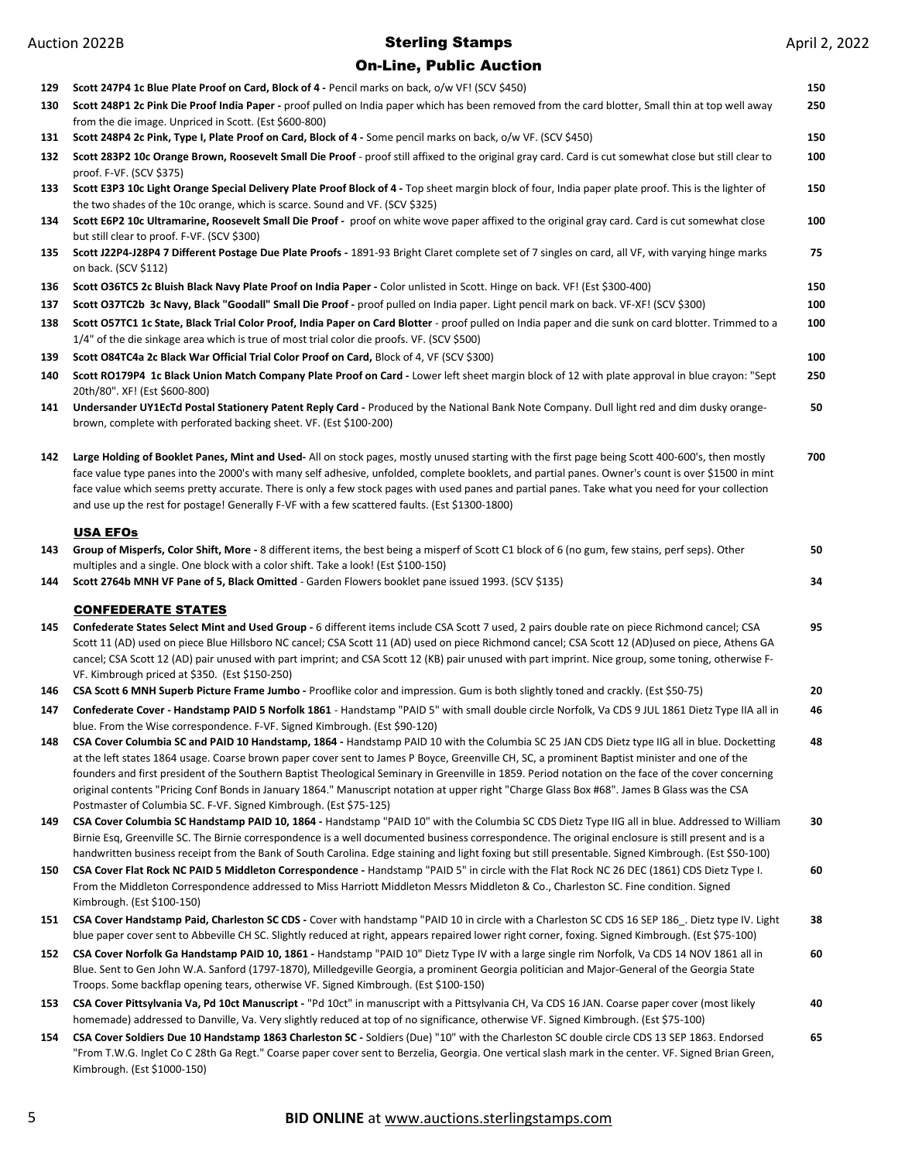| 129 | Scott 247P4 1c Blue Plate Proof on Card, Block of 4 - Pencil marks on back, o/w VF! (SCV \$450)                                                                                                                                                                                                                                                                                                                                                                                                                                                               | 150 |
|-----|---------------------------------------------------------------------------------------------------------------------------------------------------------------------------------------------------------------------------------------------------------------------------------------------------------------------------------------------------------------------------------------------------------------------------------------------------------------------------------------------------------------------------------------------------------------|-----|
| 130 | Scott 248P1 2c Pink Die Proof India Paper - proof pulled on India paper which has been removed from the card blotter, Small thin at top well away<br>from the die image. Unpriced in Scott. (Est \$600-800)                                                                                                                                                                                                                                                                                                                                                   | 250 |
| 131 | Scott 248P4 2c Pink, Type I, Plate Proof on Card, Block of 4 - Some pencil marks on back, o/w VF. (SCV \$450)                                                                                                                                                                                                                                                                                                                                                                                                                                                 | 150 |
| 132 | Scott 283P2 10c Orange Brown, Roosevelt Small Die Proof - proof still affixed to the original gray card. Card is cut somewhat close but still clear to<br>proof. F-VF. (SCV \$375)                                                                                                                                                                                                                                                                                                                                                                            | 100 |
| 133 | Scott E3P3 10c Light Orange Special Delivery Plate Proof Block of 4 - Top sheet margin block of four, India paper plate proof. This is the lighter of<br>the two shades of the 10c orange, which is scarce. Sound and VF. (SCV \$325)                                                                                                                                                                                                                                                                                                                         | 150 |
| 134 | Scott E6P2 10c Ultramarine, Roosevelt Small Die Proof - proof on white wove paper affixed to the original gray card. Card is cut somewhat close<br>but still clear to proof. F-VF. (SCV \$300)                                                                                                                                                                                                                                                                                                                                                                | 100 |
| 135 | Scott J22P4-J28P4 7 Different Postage Due Plate Proofs - 1891-93 Bright Claret complete set of 7 singles on card, all VF, with varying hinge marks<br>on back. (SCV \$112)                                                                                                                                                                                                                                                                                                                                                                                    | 75  |
| 136 | Scott O36TC5 2c Bluish Black Navy Plate Proof on India Paper - Color unlisted in Scott. Hinge on back. VF! (Est \$300-400)                                                                                                                                                                                                                                                                                                                                                                                                                                    | 150 |
| 137 | Scott O37TC2b 3c Navy, Black "Goodall" Small Die Proof - proof pulled on India paper. Light pencil mark on back. VF-XF! (SCV \$300)                                                                                                                                                                                                                                                                                                                                                                                                                           | 100 |
| 138 | Scott O57TC1 1c State, Black Trial Color Proof, India Paper on Card Blotter - proof pulled on India paper and die sunk on card blotter. Trimmed to a<br>1/4" of the die sinkage area which is true of most trial color die proofs. VF. (SCV \$500)                                                                                                                                                                                                                                                                                                            | 100 |
| 139 | Scott O84TC4a 2c Black War Official Trial Color Proof on Card, Block of 4, VF (SCV \$300)                                                                                                                                                                                                                                                                                                                                                                                                                                                                     | 100 |
| 140 | Scott RO179P4 1c Black Union Match Company Plate Proof on Card - Lower left sheet margin block of 12 with plate approval in blue crayon: "Sept<br>20th/80". XF! (Est \$600-800)                                                                                                                                                                                                                                                                                                                                                                               | 250 |
| 141 | Undersander UY1EcTd Postal Stationery Patent Reply Card - Produced by the National Bank Note Company. Dull light red and dim dusky orange-<br>brown, complete with perforated backing sheet. VF. (Est \$100-200)                                                                                                                                                                                                                                                                                                                                              | 50  |
| 142 | Large Holding of Booklet Panes, Mint and Used-All on stock pages, mostly unused starting with the first page being Scott 400-600's, then mostly<br>face value type panes into the 2000's with many self adhesive, unfolded, complete booklets, and partial panes. Owner's count is over \$1500 in mint<br>face value which seems pretty accurate. There is only a few stock pages with used panes and partial panes. Take what you need for your collection<br>and use up the rest for postage! Generally F-VF with a few scattered faults. (Est \$1300-1800) | 700 |
|     | <b>USA EFOs</b>                                                                                                                                                                                                                                                                                                                                                                                                                                                                                                                                               |     |
| 143 | Group of Misperfs, Color Shift, More - 8 different items, the best being a misperf of Scott C1 block of 6 (no gum, few stains, perf seps). Other<br>multiples and a single. One block with a color shift. Take a look! (Est \$100-150)                                                                                                                                                                                                                                                                                                                        | 50  |
| 144 | Scott 2764b MNH VF Pane of 5, Black Omitted - Garden Flowers booklet pane issued 1993. (SCV \$135)                                                                                                                                                                                                                                                                                                                                                                                                                                                            | 34  |
|     |                                                                                                                                                                                                                                                                                                                                                                                                                                                                                                                                                               |     |
|     | <b>CONFEDERATE STATES</b>                                                                                                                                                                                                                                                                                                                                                                                                                                                                                                                                     | 95  |
| 145 | Confederate States Select Mint and Used Group - 6 different items include CSA Scott 7 used, 2 pairs double rate on piece Richmond cancel; CSA<br>Scott 11 (AD) used on piece Blue Hillsboro NC cancel; CSA Scott 11 (AD) used on piece Richmond cancel; CSA Scott 12 (AD)used on piece, Athens GA<br>cancel; CSA Scott 12 (AD) pair unused with part imprint; and CSA Scott 12 (KB) pair unused with part imprint. Nice group, some toning, otherwise F-<br>VF. Kimbrough priced at \$350. (Est \$150-250)                                                    |     |
| 146 | <b>CSA Scott 6 MNH Superb Picture Frame Jumbo</b> - Prooflike color and impression. Gum is both slightly toned and crackly. (Est \$50-75)                                                                                                                                                                                                                                                                                                                                                                                                                     | 20  |
| 147 | Confederate Cover - Handstamp PAID 5 Norfolk 1861 - Handstamp "PAID 5" with small double circle Norfolk, Va CDS 9 JUL 1861 Dietz Type IIA all in                                                                                                                                                                                                                                                                                                                                                                                                              | 46  |
| 148 | blue. From the Wise correspondence. F-VF. Signed Kimbrough. (Est \$90-120)<br>CSA Cover Columbia SC and PAID 10 Handstamp, 1864 - Handstamp PAID 10 with the Columbia SC 25 JAN CDS Dietz type IIG all in blue. Docketting                                                                                                                                                                                                                                                                                                                                    | 48  |
|     | at the left states 1864 usage. Coarse brown paper cover sent to James P Boyce, Greenville CH, SC, a prominent Baptist minister and one of the<br>founders and first president of the Southern Baptist Theological Seminary in Greenville in 1859. Period notation on the face of the cover concerning<br>original contents "Pricing Conf Bonds in January 1864." Manuscript notation at upper right "Charge Glass Box #68". James B Glass was the CSA<br>Postmaster of Columbia SC. F-VF. Signed Kimbrough. (Est \$75-125)                                    |     |
| 149 | CSA Cover Columbia SC Handstamp PAID 10, 1864 - Handstamp "PAID 10" with the Columbia SC CDS Dietz Type IIG all in blue. Addressed to William<br>Birnie Esq, Greenville SC. The Birnie correspondence is a well documented business correspondence. The original enclosure is still present and is a                                                                                                                                                                                                                                                          | 30  |
| 150 | handwritten business receipt from the Bank of South Carolina. Edge staining and light foxing but still presentable. Signed Kimbrough. (Est \$50-100)<br>CSA Cover Flat Rock NC PAID 5 Middleton Correspondence - Handstamp "PAID 5" in circle with the Flat Rock NC 26 DEC (1861) CDS Dietz Type I.<br>From the Middleton Correspondence addressed to Miss Harriott Middleton Messrs Middleton & Co., Charleston SC. Fine condition. Signed<br>Kimbrough. (Est \$100-150)                                                                                     | 60  |
| 151 | CSA Cover Handstamp Paid, Charleston SC CDS - Cover with handstamp "PAID 10 in circle with a Charleston SC CDS 16 SEP 186. Dietz type IV. Light<br>blue paper cover sent to Abbeville CH SC. Slightly reduced at right, appears repaired lower right corner, foxing. Signed Kimbrough. (Est \$75-100)                                                                                                                                                                                                                                                         | 38  |
| 152 | CSA Cover Norfolk Ga Handstamp PAID 10, 1861 - Handstamp "PAID 10" Dietz Type IV with a large single rim Norfolk, Va CDS 14 NOV 1861 all in<br>Blue. Sent to Gen John W.A. Sanford (1797-1870), Milledgeville Georgia, a prominent Georgia politician and Major-General of the Georgia State<br>Troops. Some backflap opening tears, otherwise VF. Signed Kimbrough. (Est \$100-150)                                                                                                                                                                          | 60  |
| 153 | CSA Cover Pittsylvania Va, Pd 10ct Manuscript - "Pd 10ct" in manuscript with a Pittsylvania CH, Va CDS 16 JAN. Coarse paper cover (most likely<br>homemade) addressed to Danville, Va. Very slightly reduced at top of no significance, otherwise VF. Signed Kimbrough. (Est \$75-100)                                                                                                                                                                                                                                                                        | 40  |
| 154 | CSA Cover Soldiers Due 10 Handstamp 1863 Charleston SC - Soldiers (Due) "10" with the Charleston SC double circle CDS 13 SEP 1863. Endorsed<br>"From T.W.G. Inglet Co C 28th Ga Regt." Coarse paper cover sent to Berzelia, Georgia. One vertical slash mark in the center. VF. Signed Brian Green,<br>Kimbrough. (Est \$1000-150)                                                                                                                                                                                                                            | 65  |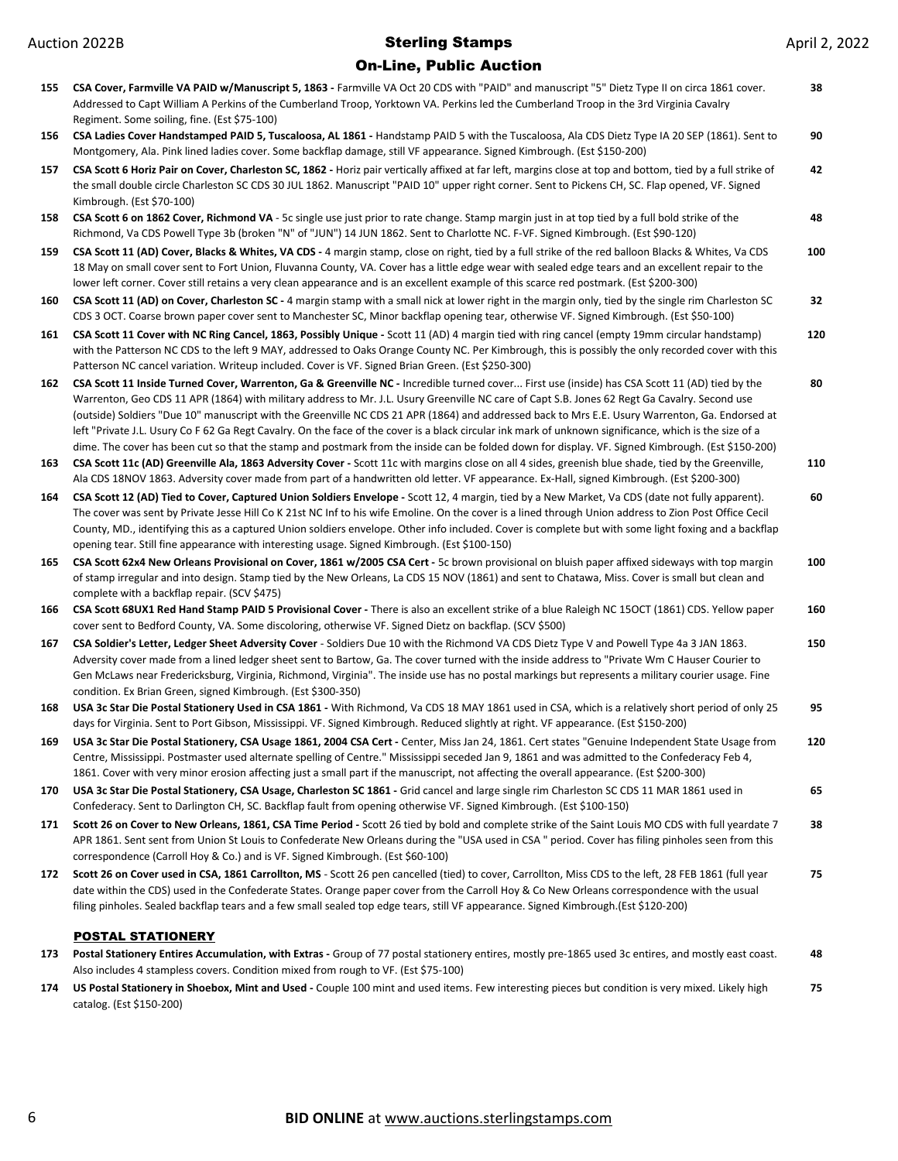### On-Line, Public Auction

| 155        | CSA Cover, Farmville VA PAID w/Manuscript 5, 1863 - Farmville VA Oct 20 CDS with "PAID" and manuscript "5" Dietz Type II on circa 1861 cover.<br>Addressed to Capt William A Perkins of the Cumberland Troop, Yorktown VA. Perkins led the Cumberland Troop in the 3rd Virginia Cavalry<br>Regiment. Some soiling, fine. (Est \$75-100)                                                                                                                                                                                                                                                                                                                                                                                                                                                                                                                                                                                                                                                                                                                                | 38        |
|------------|------------------------------------------------------------------------------------------------------------------------------------------------------------------------------------------------------------------------------------------------------------------------------------------------------------------------------------------------------------------------------------------------------------------------------------------------------------------------------------------------------------------------------------------------------------------------------------------------------------------------------------------------------------------------------------------------------------------------------------------------------------------------------------------------------------------------------------------------------------------------------------------------------------------------------------------------------------------------------------------------------------------------------------------------------------------------|-----------|
| 156        | CSA Ladies Cover Handstamped PAID 5, Tuscaloosa, AL 1861 - Handstamp PAID 5 with the Tuscaloosa, Ala CDS Dietz Type IA 20 SEP (1861). Sent to                                                                                                                                                                                                                                                                                                                                                                                                                                                                                                                                                                                                                                                                                                                                                                                                                                                                                                                          | 90        |
| 157        | Montgomery, Ala. Pink lined ladies cover. Some backflap damage, still VF appearance. Signed Kimbrough. (Est \$150-200)<br>CSA Scott 6 Horiz Pair on Cover, Charleston SC, 1862 - Horiz pair vertically affixed at far left, margins close at top and bottom, tied by a full strike of<br>the small double circle Charleston SC CDS 30 JUL 1862. Manuscript "PAID 10" upper right corner. Sent to Pickens CH, SC. Flap opened, VF. Signed                                                                                                                                                                                                                                                                                                                                                                                                                                                                                                                                                                                                                               | 42        |
| 158        | Kimbrough. (Est \$70-100)<br>CSA Scott 6 on 1862 Cover, Richmond VA - 5c single use just prior to rate change. Stamp margin just in at top tied by a full bold strike of the<br>Richmond, Va CDS Powell Type 3b (broken "N" of "JUN") 14 JUN 1862. Sent to Charlotte NC. F-VF. Signed Kimbrough. (Est \$90-120)                                                                                                                                                                                                                                                                                                                                                                                                                                                                                                                                                                                                                                                                                                                                                        | 48        |
| 159        | CSA Scott 11 (AD) Cover, Blacks & Whites, VA CDS - 4 margin stamp, close on right, tied by a full strike of the red balloon Blacks & Whites, Va CDS<br>18 May on small cover sent to Fort Union, Fluvanna County, VA. Cover has a little edge wear with sealed edge tears and an excellent repair to the<br>lower left corner. Cover still retains a very clean appearance and is an excellent example of this scarce red postmark. (Est \$200-300)                                                                                                                                                                                                                                                                                                                                                                                                                                                                                                                                                                                                                    | 100       |
| 160        | CSA Scott 11 (AD) on Cover, Charleston SC - 4 margin stamp with a small nick at lower right in the margin only, tied by the single rim Charleston SC<br>CDS 3 OCT. Coarse brown paper cover sent to Manchester SC, Minor backflap opening tear, otherwise VF. Signed Kimbrough. (Est \$50-100)                                                                                                                                                                                                                                                                                                                                                                                                                                                                                                                                                                                                                                                                                                                                                                         | 32        |
| 161        | CSA Scott 11 Cover with NC Ring Cancel, 1863, Possibly Unique - Scott 11 (AD) 4 margin tied with ring cancel (empty 19mm circular handstamp)<br>with the Patterson NC CDS to the left 9 MAY, addressed to Oaks Orange County NC. Per Kimbrough, this is possibly the only recorded cover with this<br>Patterson NC cancel variation. Writeup included. Cover is VF. Signed Brian Green. (Est \$250-300)                                                                                                                                                                                                                                                                                                                                                                                                                                                                                                                                                                                                                                                                | 120       |
| 162<br>163 | CSA Scott 11 Inside Turned Cover, Warrenton, Ga & Greenville NC - Incredible turned cover First use (inside) has CSA Scott 11 (AD) tied by the<br>Warrenton, Geo CDS 11 APR (1864) with military address to Mr. J.L. Usury Greenville NC care of Capt S.B. Jones 62 Regt Ga Cavalry. Second use<br>(outside) Soldiers "Due 10" manuscript with the Greenville NC CDS 21 APR (1864) and addressed back to Mrs E.E. Usury Warrenton, Ga. Endorsed at<br>left "Private J.L. Usury Co F 62 Ga Regt Cavalry. On the face of the cover is a black circular ink mark of unknown significance, which is the size of a<br>dime. The cover has been cut so that the stamp and postmark from the inside can be folded down for display. VF. Signed Kimbrough. (Est \$150-200)<br>CSA Scott 11c (AD) Greenville Ala, 1863 Adversity Cover - Scott 11c with margins close on all 4 sides, greenish blue shade, tied by the Greenville,<br>Ala CDS 18NOV 1863. Adversity cover made from part of a handwritten old letter. VF appearance. Ex-Hall, signed Kimbrough. (Est \$200-300) | 80<br>110 |
| 164        | CSA Scott 12 (AD) Tied to Cover, Captured Union Soldiers Envelope - Scott 12, 4 margin, tied by a New Market, Va CDS (date not fully apparent).<br>The cover was sent by Private Jesse Hill Co K 21st NC Inf to his wife Emoline. On the cover is a lined through Union address to Zion Post Office Cecil<br>County, MD., identifying this as a captured Union soldiers envelope. Other info included. Cover is complete but with some light foxing and a backflap<br>opening tear. Still fine appearance with interesting usage. Signed Kimbrough. (Est \$100-150)                                                                                                                                                                                                                                                                                                                                                                                                                                                                                                    | 60        |
| 165        | CSA Scott 62x4 New Orleans Provisional on Cover, 1861 w/2005 CSA Cert - 5c brown provisional on bluish paper affixed sideways with top margin<br>of stamp irregular and into design. Stamp tied by the New Orleans, La CDS 15 NOV (1861) and sent to Chatawa, Miss. Cover is small but clean and<br>complete with a backflap repair. (SCV \$475)                                                                                                                                                                                                                                                                                                                                                                                                                                                                                                                                                                                                                                                                                                                       | 100       |
| 166        | CSA Scott 68UX1 Red Hand Stamp PAID 5 Provisional Cover - There is also an excellent strike of a blue Raleigh NC 15OCT (1861) CDS. Yellow paper<br>cover sent to Bedford County, VA. Some discoloring, otherwise VF. Signed Dietz on backflap. (SCV \$500)                                                                                                                                                                                                                                                                                                                                                                                                                                                                                                                                                                                                                                                                                                                                                                                                             | 160       |
| 167        | CSA Soldier's Letter, Ledger Sheet Adversity Cover - Soldiers Due 10 with the Richmond VA CDS Dietz Type V and Powell Type 4a 3 JAN 1863.<br>Adversity cover made from a lined ledger sheet sent to Bartow, Ga. The cover turned with the inside address to "Private Wm C Hauser Courier to<br>Gen McLaws near Fredericksburg, Virginia, Richmond, Virginia". The inside use has no postal markings but represents a military courier usage. Fine<br>condition. Ex Brian Green, signed Kimbrough. (Est \$300-350)                                                                                                                                                                                                                                                                                                                                                                                                                                                                                                                                                      | 150       |
| 168        | USA 3c Star Die Postal Stationery Used in CSA 1861 - With Richmond, Va CDS 18 MAY 1861 used in CSA, which is a relatively short period of only 25<br>days for Virginia. Sent to Port Gibson, Mississippi. VF. Signed Kimbrough. Reduced slightly at right. VF appearance. (Est \$150-200)                                                                                                                                                                                                                                                                                                                                                                                                                                                                                                                                                                                                                                                                                                                                                                              | 95        |
|            | 169 USA 3c Star Die Postal Stationery, CSA Usage 1861, 2004 CSA Cert - Center, Miss Jan 24, 1861. Cert states "Genuine Independent State Usage from<br>Centre, Mississippi. Postmaster used alternate spelling of Centre." Mississippi seceded Jan 9, 1861 and was admitted to the Confederacy Feb 4,<br>1861. Cover with very minor erosion affecting just a small part if the manuscript, not affecting the overall appearance. (Est \$200-300)                                                                                                                                                                                                                                                                                                                                                                                                                                                                                                                                                                                                                      | 120       |
| 170        | USA 3c Star Die Postal Stationery, CSA Usage, Charleston SC 1861 - Grid cancel and large single rim Charleston SC CDS 11 MAR 1861 used in<br>Confederacy. Sent to Darlington CH, SC. Backflap fault from opening otherwise VF. Signed Kimbrough. (Est \$100-150)                                                                                                                                                                                                                                                                                                                                                                                                                                                                                                                                                                                                                                                                                                                                                                                                       | 65        |
| 171        | Scott 26 on Cover to New Orleans, 1861, CSA Time Period - Scott 26 tied by bold and complete strike of the Saint Louis MO CDS with full yeardate 7<br>APR 1861. Sent sent from Union St Louis to Confederate New Orleans during the "USA used in CSA " period. Cover has filing pinholes seen from this<br>correspondence (Carroll Hoy & Co.) and is VF. Signed Kimbrough. (Est \$60-100)                                                                                                                                                                                                                                                                                                                                                                                                                                                                                                                                                                                                                                                                              | 38        |
|            | 172 Scott 26 on Cover used in CSA, 1861 Carrollton, MS - Scott 26 pen cancelled (tied) to cover, Carrollton, Miss CDS to the left, 28 FEB 1861 (full year<br>date within the CDS) used in the Confederate States. Orange paper cover from the Carroll Hoy & Co New Orleans correspondence with the usual<br>filing pinholes. Sealed backflap tears and a few small sealed top edge tears, still VF appearance. Signed Kimbrough.(Est \$120-200)                                                                                                                                                                                                                                                                                                                                                                                                                                                                                                                                                                                                                        | 75        |
| 173        | <b>POSTAL STATIONERY</b><br>Postal Stationery Entires Accumulation, with Extras - Group of 77 postal stationery entires, mostly pre-1865 used 3c entires, and mostly east coast.                                                                                                                                                                                                                                                                                                                                                                                                                                                                                                                                                                                                                                                                                                                                                                                                                                                                                       | 48        |
|            | Also includes 4 stampless covers. Condition mixed from rough to VF. (Est \$75-100)                                                                                                                                                                                                                                                                                                                                                                                                                                                                                                                                                                                                                                                                                                                                                                                                                                                                                                                                                                                     |           |

**174 US Postal Stationery in Shoebox, Mint and Used -** Couple 100 mint and used items. Few interesting pieces but condition is very mixed. Likely high catalog. (Est \$150-200) **75**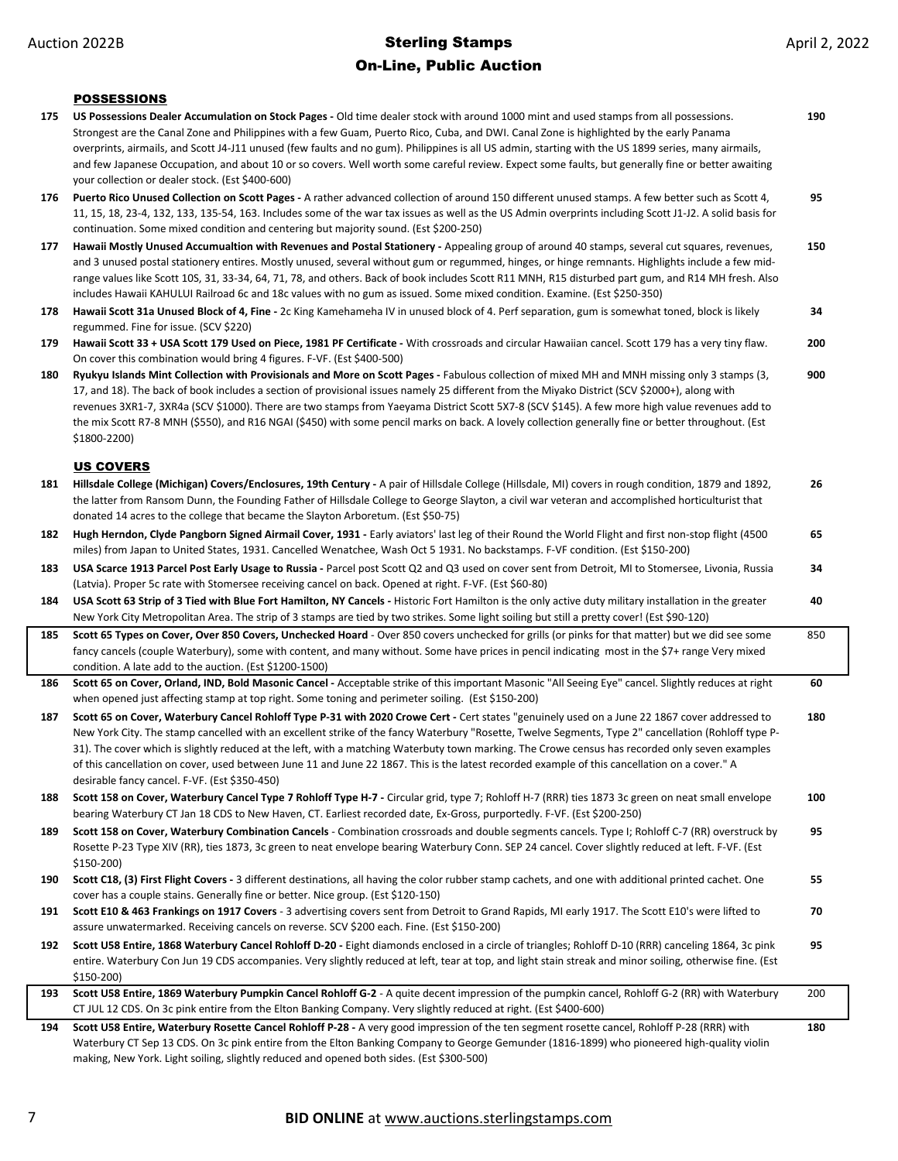#### On-Line, Public Auction

April 2, 2022

#### POSSESSIONS

- **175 US Possessions Dealer Accumulation on Stock Pages** Old time dealer stock with around 1000 mint and used stamps from all possessions. Strongest are the Canal Zone and Philippines with a few Guam, Puerto Rico, Cuba, and DWI. Canal Zone is highlighted by the early Panama overprints, airmails, and Scott J4-J11 unused (few faults and no gum). Philippines is all US admin, starting with the US 1899 series, many airmails, and few Japanese Occupation, and about 10 or so covers. Well worth some careful review. Expect some faults, but generally fine or better awaiting your collection or dealer stock. (Est \$400-600) **190 176 Puerto Rico Unused Collection on Scott Pages -** A rather advanced collection of around 150 different unused stamps. A few better such as Scott 4, 11, 15, 18, 23-4, 132, 133, 135-54, 163. Includes some of the war tax issues as well as the US Admin overprints including Scott J1-J2. A solid basis for continuation. Some mixed condition and centering but majority sound. (Est \$200-250) **95** 177 Hawaii Mostly Unused Accumualtion with Revenues and Postal Stationery - Appealing group of around 40 stamps, several cut squares, revenues, and 3 unused postal stationery entires. Mostly unused, several without gum or regummed, hinges, or hinge remnants. Highlights include a few midrange values like Scott 10S, 31, 33-34, 64, 71, 78, and others. Back of book includes Scott R11 MNH, R15 disturbed part gum, and R14 MH fresh. Also includes Hawaii KAHULUI Railroad 6c and 18c values with no gum as issued. Some mixed condition. Examine. (Est \$250-350) **150 178 Hawaii Scott 31a Unused Block of 4, Fine -** 2c King Kamehameha IV in unused block of 4. Perf separation, gum is somewhat toned, block is likely regummed. Fine for issue. (SCV \$220) **34 179 Hawaii Scott 33 + USA Scott 179 Used on Piece, 1981 PF Certificate -** With crossroads and circular Hawaiian cancel. Scott 179 has a very tiny flaw. On cover this combination would bring 4 figures. F-VF. (Est \$400-500) **200 180 Ryukyu Islands Mint Collection with Provisionals and More on Scott Pages -** Fabulous collection of mixed MH and MNH missing only 3 stamps (3, 17, and 18). The back of book includes a section of provisional issues namely 25 different from the Miyako District (SCV \$2000+), along with revenues 3XR1-7, 3XR4a (SCV \$1000). There are two stamps from Yaeyama District Scott 5X7-8 (SCV \$145). A few more high value revenues add to the mix Scott R7-8 MNH (\$550), and R16 NGAI (\$450) with some pencil marks on back. A lovely collection generally fine or better throughout. (Est \$1800-2200) **900** US COVERS **181 Hillsdale College (Michigan) Covers/Enclosures, 19th Century -** A pair of Hillsdale College (Hillsdale, MI) covers in rough condition, 1879 and 1892, the latter from Ransom Dunn, the Founding Father of Hillsdale College to George Slayton, a civil war veteran and accomplished horticulturist that donated 14 acres to the college that became the Slayton Arboretum. (Est \$50-75) **26 182 Hugh Herndon, Clyde Pangborn Signed Airmail Cover, 1931 -** Early aviators' last leg of their Round the World Flight and first non-stop flight (4500 miles) from Japan to United States, 1931. Cancelled Wenatchee, Wash Oct 5 1931. No backstamps. F-VF condition. (Est \$150-200) **65 183 USA Scarce 1913 Parcel Post Early Usage to Russia -** Parcel post Scott Q2 and Q3 used on cover sent from Detroit, MI to Stomersee, Livonia, Russia (Latvia). Proper 5c rate with Stomersee receiving cancel on back. Opened at right. F-VF. (Est \$60-80) **34 184 USA Scott 63 Strip of 3 Tied with Blue Fort Hamilton, NY Cancels -** Historic Fort Hamilton is the only active duty military installation in the greater New York City Metropolitan Area. The strip of 3 stamps are tied by two strikes. Some light soiling but still a pretty cover! (Est \$90-120) **40 185 Scott 65 Types on Cover, Over 850 Covers, Unchecked Hoard** - Over 850 covers unchecked for grills (or pinks for that matter) but we did see some fancy cancels (couple Waterbury), some with content, and many without. Some have prices in pencil indicating most in the \$7+ range Very mixed condition. A late add to the auction. (Est \$1200-1500) 850 186 Scott 65 on Cover, Orland, IND, Bold Masonic Cancel - Acceptable strike of this important Masonic "All Seeing Eye" cancel. Slightly reduces at right when opened just affecting stamp at top right. Some toning and perimeter soiling. (Est \$150-200) **60** 187 Scott 65 on Cover, Waterbury Cancel Rohloff Type P-31 with 2020 Crowe Cert - Cert states "genuinely used on a June 22 1867 cover addressed to New York City. The stamp cancelled with an excellent strike of the fancy Waterbury "Rosette, Twelve Segments, Type 2" cancellation (Rohloff type P-31). The cover which is slightly reduced at the left, with a matching Waterbuty town marking. The Crowe census has recorded only seven examples of this cancellation on cover, used between June 11 and June 22 1867. This is the latest recorded example of this cancellation on a cover." A desirable fancy cancel. F-VF. (Est \$350-450) **180 188 Scott 158 on Cover, Waterbury Cancel Type 7 Rohloff Type H-7 -** Circular grid, type 7; Rohloff H-7 (RRR) ties 1873 3c green on neat small envelope bearing Waterbury CT Jan 18 CDS to New Haven, CT. Earliest recorded date, Ex-Gross, purportedly. F-VF. (Est \$200-250) **100 189 Scott 158 on Cover, Waterbury Combination Cancels** - Combination crossroads and double segments cancels. Type I; Rohloff C-7 (RR) overstruck by Rosette P-23 Type XIV (RR), ties 1873, 3c green to neat envelope bearing Waterbury Conn. SEP 24 cancel. Cover slightly reduced at left. F-VF. (Est \$150-200) **95 190 Scott C18, (3) First Flight Covers -** 3 different destinations, all having the color rubber stamp cachets, and one with additional printed cachet. One cover has a couple stains. Generally fine or better. Nice group. (Est \$120-150) **55 191 Scott E10 & 463 Frankings on 1917 Covers** - 3 advertising covers sent from Detroit to Grand Rapids, MI early 1917. The Scott E10's were lifted to assure unwatermarked. Receiving cancels on reverse. SCV \$200 each. Fine. (Est \$150-200) **70 192 Scott U58 Entire, 1868 Waterbury Cancel Rohloff D-20 -** Eight diamonds enclosed in a circle of triangles; Rohloff D-10 (RRR) canceling 1864, 3c pink entire. Waterbury Con Jun 19 CDS accompanies. Very slightly reduced at left, tear at top, and light stain streak and minor soiling, otherwise fine. (Est \$150-200) **95 193 Scott U58 Entire, 1869 Waterbury Pumpkin Cancel Rohloff G-2** - A quite decent impression of the pumpkin cancel, Rohloff G-2 (RR) with Waterbury CT JUL 12 CDS. On 3c pink entire from the Elton Banking Company. Very slightly reduced at right. (Est \$400-600) 200 **194 Scott U58 Entire, Waterbury Rosette Cancel Rohloff P-28 -** A very good impression of the ten segment rosette cancel, Rohloff P-28 (RRR) with **180**
	- Waterbury CT Sep 13 CDS. On 3c pink entire from the Elton Banking Company to George Gemunder (1816-1899) who pioneered high-quality violin making, New York. Light soiling, slightly reduced and opened both sides. (Est \$300-500)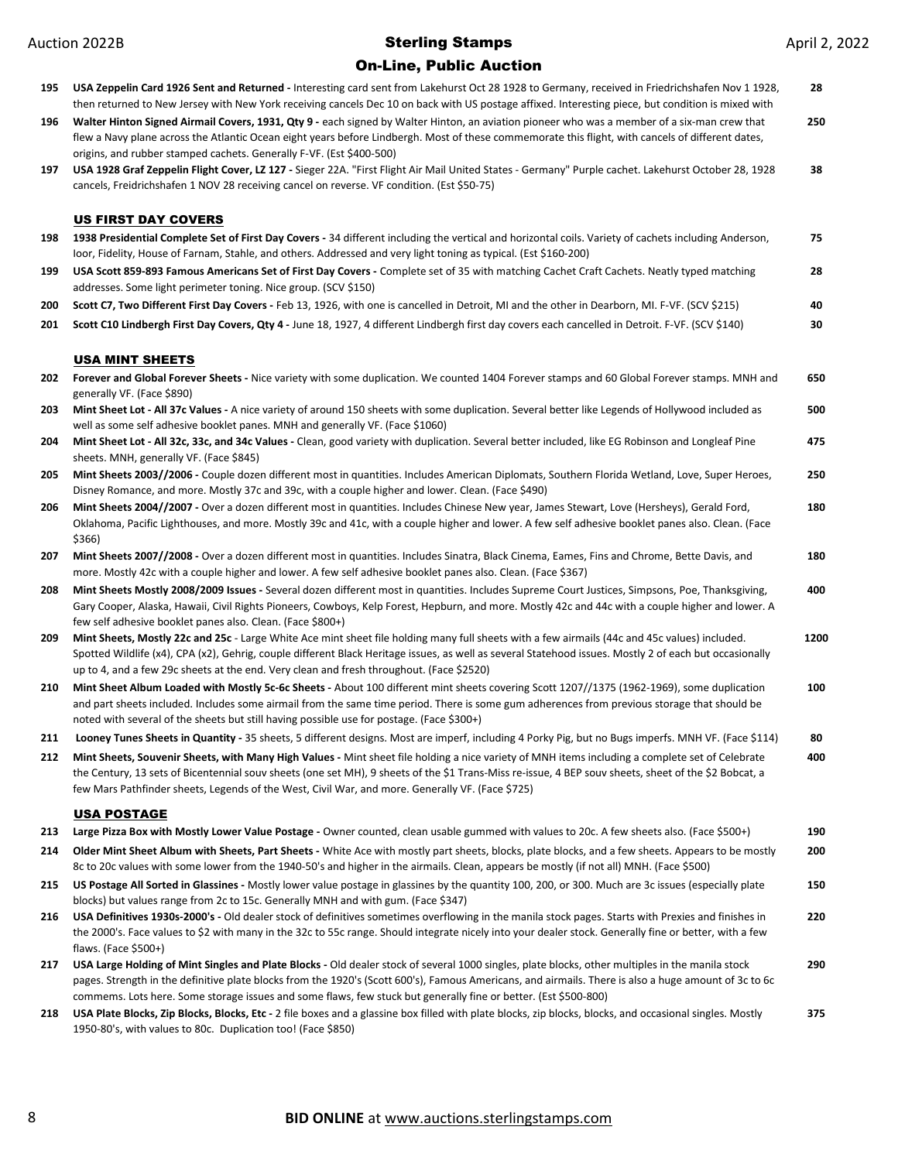| 195 | USA Zeppelin Card 1926 Sent and Returned - Interesting card sent from Lakehurst Oct 28 1928 to Germany, received in Friedrichshafen Nov 1 1928,<br>then returned to New Jersey with New York receiving cancels Dec 10 on back with US postage affixed. Interesting piece, but condition is mixed with                                                                                                                        | 28   |
|-----|------------------------------------------------------------------------------------------------------------------------------------------------------------------------------------------------------------------------------------------------------------------------------------------------------------------------------------------------------------------------------------------------------------------------------|------|
| 196 | Walter Hinton Signed Airmail Covers, 1931, Qty 9 - each signed by Walter Hinton, an aviation pioneer who was a member of a six-man crew that<br>flew a Navy plane across the Atlantic Ocean eight years before Lindbergh. Most of these commemorate this flight, with cancels of different dates,<br>origins, and rubber stamped cachets. Generally F-VF. (Est \$400-500)                                                    | 250  |
| 197 | USA 1928 Graf Zeppelin Flight Cover, LZ 127 - Sieger 22A. "First Flight Air Mail United States - Germany" Purple cachet. Lakehurst October 28, 1928<br>cancels, Freidrichshafen 1 NOV 28 receiving cancel on reverse. VF condition. (Est \$50-75)                                                                                                                                                                            | 38   |
|     | <b>US FIRST DAY COVERS</b>                                                                                                                                                                                                                                                                                                                                                                                                   |      |
| 198 | 1938 Presidential Complete Set of First Day Covers - 34 different including the vertical and horizontal coils. Variety of cachets including Anderson,<br>loor, Fidelity, House of Farnam, Stahle, and others. Addressed and very light toning as typical. (Est \$160-200)                                                                                                                                                    | 75   |
| 199 | USA Scott 859-893 Famous Americans Set of First Day Covers - Complete set of 35 with matching Cachet Craft Cachets. Neatly typed matching                                                                                                                                                                                                                                                                                    | 28   |
|     | addresses. Some light perimeter toning. Nice group. (SCV \$150)                                                                                                                                                                                                                                                                                                                                                              |      |
| 200 | Scott C7, Two Different First Day Covers - Feb 13, 1926, with one is cancelled in Detroit, MI and the other in Dearborn, MI. F-VF. (SCV \$215)                                                                                                                                                                                                                                                                               | 40   |
| 201 | Scott C10 Lindbergh First Day Covers, Qty 4 - June 18, 1927, 4 different Lindbergh first day covers each cancelled in Detroit. F-VF. (SCV \$140)                                                                                                                                                                                                                                                                             | 30   |
|     | <b>USA MINT SHEETS</b>                                                                                                                                                                                                                                                                                                                                                                                                       |      |
| 202 | Forever and Global Forever Sheets - Nice variety with some duplication. We counted 1404 Forever stamps and 60 Global Forever stamps. MNH and<br>generally VF. (Face \$890)                                                                                                                                                                                                                                                   | 650  |
| 203 | Mint Sheet Lot - All 37c Values - A nice variety of around 150 sheets with some duplication. Several better like Legends of Hollywood included as<br>well as some self adhesive booklet panes. MNH and generally VF. (Face \$1060)                                                                                                                                                                                           | 500  |
| 204 | Mint Sheet Lot - All 32c, 33c, and 34c Values - Clean, good variety with duplication. Several better included, like EG Robinson and Longleaf Pine<br>sheets. MNH, generally VF. (Face \$845)                                                                                                                                                                                                                                 | 475  |
| 205 | Mint Sheets 2003//2006 - Couple dozen different most in quantities. Includes American Diplomats, Southern Florida Wetland, Love, Super Heroes,                                                                                                                                                                                                                                                                               | 250  |
| 206 | Disney Romance, and more. Mostly 37c and 39c, with a couple higher and lower. Clean. (Face \$490)<br>Mint Sheets 2004//2007 - Over a dozen different most in quantities. Includes Chinese New year, James Stewart, Love (Hersheys), Gerald Ford,                                                                                                                                                                             | 180  |
|     | Oklahoma, Pacific Lighthouses, and more. Mostly 39c and 41c, with a couple higher and lower. A few self adhesive booklet panes also. Clean. (Face<br>\$366)                                                                                                                                                                                                                                                                  |      |
| 207 | Mint Sheets 2007//2008 - Over a dozen different most in quantities. Includes Sinatra, Black Cinema, Eames, Fins and Chrome, Bette Davis, and<br>more. Mostly 42c with a couple higher and lower. A few self adhesive booklet panes also. Clean. (Face \$367)                                                                                                                                                                 | 180  |
| 208 | Mint Sheets Mostly 2008/2009 Issues - Several dozen different most in quantities. Includes Supreme Court Justices, Simpsons, Poe, Thanksgiving,<br>Gary Cooper, Alaska, Hawaii, Civil Rights Pioneers, Cowboys, Kelp Forest, Hepburn, and more. Mostly 42c and 44c with a couple higher and lower. A<br>few self adhesive booklet panes also. Clean. (Face \$800+)                                                           | 400  |
| 209 | Mint Sheets, Mostly 22c and 25c - Large White Ace mint sheet file holding many full sheets with a few airmails (44c and 45c values) included.<br>Spotted Wildlife (x4), CPA (x2), Gehrig, couple different Black Heritage issues, as well as several Statehood issues. Mostly 2 of each but occasionally<br>up to 4, and a few 29c sheets at the end. Very clean and fresh throughout. (Face \$2520)                         | 1200 |
| 210 | Mint Sheet Album Loaded with Mostly 5c-6c Sheets - About 100 different mint sheets covering Scott 1207//1375 (1962-1969), some duplication<br>and part sheets included. Includes some airmail from the same time period. There is some gum adherences from previous storage that should be<br>noted with several of the sheets but still having possible use for postage. (Face \$300+)                                      | 100  |
| 211 | Looney Tunes Sheets in Quantity - 35 sheets, 5 different designs. Most are imperf, including 4 Porky Pig, but no Bugs imperfs. MNH VF. (Face \$114)                                                                                                                                                                                                                                                                          | 80   |
| 212 | Mint Sheets, Souvenir Sheets, with Many High Values - Mint sheet file holding a nice variety of MNH items including a complete set of Celebrate<br>the Century, 13 sets of Bicentennial souv sheets (one set MH), 9 sheets of the \$1 Trans-Miss re-issue, 4 BEP souv sheets, sheet of the \$2 Bobcat, a<br>few Mars Pathfinder sheets, Legends of the West, Civil War, and more. Generally VF. (Face \$725)                 | 400  |
|     | <b>USA POSTAGE</b>                                                                                                                                                                                                                                                                                                                                                                                                           |      |
| 213 | Large Pizza Box with Mostly Lower Value Postage - Owner counted, clean usable gummed with values to 20c. A few sheets also. (Face \$500+)                                                                                                                                                                                                                                                                                    | 190  |
| 214 | Older Mint Sheet Album with Sheets, Part Sheets - White Ace with mostly part sheets, blocks, plate blocks, and a few sheets. Appears to be mostly<br>8c to 20c values with some lower from the 1940-50's and higher in the airmails. Clean, appears be mostly (if not all) MNH. (Face \$500)                                                                                                                                 | 200  |
| 215 | US Postage All Sorted in Glassines - Mostly lower value postage in glassines by the quantity 100, 200, or 300. Much are 3c issues (especially plate<br>blocks) but values range from 2c to 15c. Generally MNH and with gum. (Face \$347)                                                                                                                                                                                     | 150  |
| 216 | USA Definitives 1930s-2000's - Old dealer stock of definitives sometimes overflowing in the manila stock pages. Starts with Prexies and finishes in<br>the 2000's. Face values to \$2 with many in the 32c to 55c range. Should integrate nicely into your dealer stock. Generally fine or better, with a few<br>flaws. (Face \$500+)                                                                                        | 220  |
| 217 | USA Large Holding of Mint Singles and Plate Blocks - Old dealer stock of several 1000 singles, plate blocks, other multiples in the manila stock<br>pages. Strength in the definitive plate blocks from the 1920's (Scott 600's), Famous Americans, and airmails. There is also a huge amount of 3c to 6c<br>commems. Lots here. Some storage issues and some flaws, few stuck but generally fine or better. (Est \$500-800) | 290  |
| 218 | USA Plate Blocks, Zip Blocks, Blocks, Etc - 2 file boxes and a glassine box filled with plate blocks, zip blocks, blocks, and occasional singles. Mostly<br>1950-80's, with values to 80c. Duplication too! (Face \$850)                                                                                                                                                                                                     | 375  |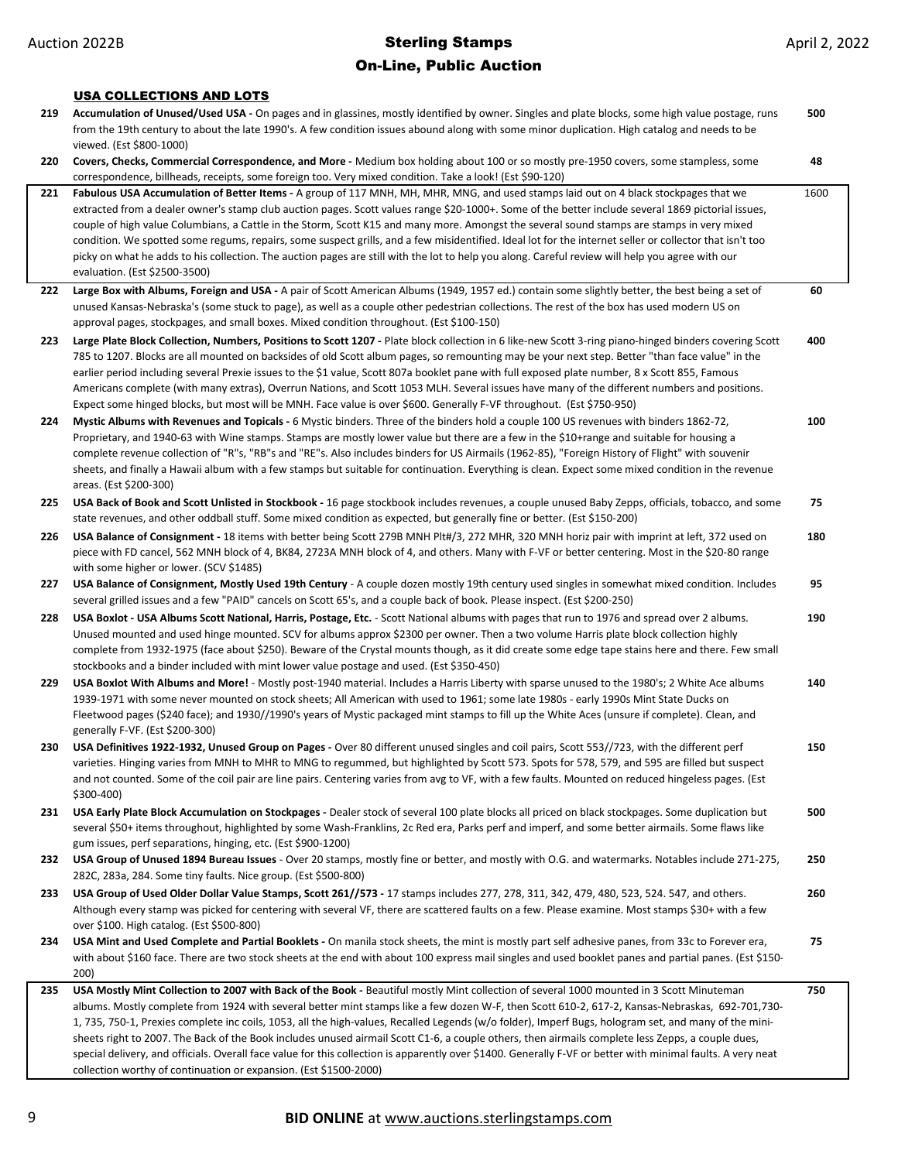#### USA COLLECTIONS AND LOTS

| 219 | Accumulation of Unused/Used USA - On pages and in glassines, mostly identified by owner. Singles and plate blocks, some high value postage, runs                                                                                                                                                          | 500  |
|-----|-----------------------------------------------------------------------------------------------------------------------------------------------------------------------------------------------------------------------------------------------------------------------------------------------------------|------|
|     | from the 19th century to about the late 1990's. A few condition issues abound along with some minor duplication. High catalog and needs to be                                                                                                                                                             |      |
|     | viewed. (Est \$800-1000)                                                                                                                                                                                                                                                                                  |      |
| 220 | Covers, Checks, Commercial Correspondence, and More - Medium box holding about 100 or so mostly pre-1950 covers, some stampless, some<br>correspondence, billheads, receipts, some foreign too. Very mixed condition. Take a look! (Est \$90-120)                                                         | 48   |
| 221 | Fabulous USA Accumulation of Better Items - A group of 117 MNH, MH, MHR, MNG, and used stamps laid out on 4 black stockpages that we                                                                                                                                                                      | 1600 |
|     | extracted from a dealer owner's stamp club auction pages. Scott values range \$20-1000+. Some of the better include several 1869 pictorial issues,                                                                                                                                                        |      |
|     | couple of high value Columbians, a Cattle in the Storm, Scott K15 and many more. Amongst the several sound stamps are stamps in very mixed                                                                                                                                                                |      |
|     | condition. We spotted some regums, repairs, some suspect grills, and a few misidentified. Ideal lot for the internet seller or collector that isn't too                                                                                                                                                   |      |
|     | picky on what he adds to his collection. The auction pages are still with the lot to help you along. Careful review will help you agree with our                                                                                                                                                          |      |
|     | evaluation. (Est \$2500-3500)                                                                                                                                                                                                                                                                             |      |
| 222 | Large Box with Albums, Foreign and USA - A pair of Scott American Albums (1949, 1957 ed.) contain some slightly better, the best being a set of                                                                                                                                                           | 60   |
|     | unused Kansas-Nebraska's (some stuck to page), as well as a couple other pedestrian collections. The rest of the box has used modern US on<br>approval pages, stockpages, and small boxes. Mixed condition throughout. (Est \$100-150)                                                                    |      |
|     |                                                                                                                                                                                                                                                                                                           |      |
| 223 | Large Plate Block Collection, Numbers, Positions to Scott 1207 - Plate block collection in 6 like-new Scott 3-ring piano-hinged binders covering Scott<br>785 to 1207. Blocks are all mounted on backsides of old Scott album pages, so remounting may be your next step. Better "than face value" in the | 400  |
|     | earlier period including several Prexie issues to the \$1 value, Scott 807a booklet pane with full exposed plate number, 8 x Scott 855, Famous                                                                                                                                                            |      |
|     | Americans complete (with many extras), Overrun Nations, and Scott 1053 MLH. Several issues have many of the different numbers and positions.                                                                                                                                                              |      |
|     | Expect some hinged blocks, but most will be MNH. Face value is over \$600. Generally F-VF throughout. (Est \$750-950)                                                                                                                                                                                     |      |
| 224 | Mystic Albums with Revenues and Topicals - 6 Mystic binders. Three of the binders hold a couple 100 US revenues with binders 1862-72,                                                                                                                                                                     | 100  |
|     | Proprietary, and 1940-63 with Wine stamps. Stamps are mostly lower value but there are a few in the \$10+range and suitable for housing a                                                                                                                                                                 |      |
|     | complete revenue collection of "R"s, "RB"s and "RE"s. Also includes binders for US Airmails (1962-85), "Foreign History of Flight" with souvenir                                                                                                                                                          |      |
|     | sheets, and finally a Hawaii album with a few stamps but suitable for continuation. Everything is clean. Expect some mixed condition in the revenue                                                                                                                                                       |      |
|     | areas. (Est \$200-300)                                                                                                                                                                                                                                                                                    |      |
| 225 | USA Back of Book and Scott Unlisted in Stockbook - 16 page stockbook includes revenues, a couple unused Baby Zepps, officials, tobacco, and some<br>state revenues, and other oddball stuff. Some mixed condition as expected, but generally fine or better. (Est \$150-200)                              | 75   |
| 226 | USA Balance of Consignment - 18 items with better being Scott 279B MNH Plt#/3, 272 MHR, 320 MNH horiz pair with imprint at left, 372 used on                                                                                                                                                              | 180  |
|     | piece with FD cancel, 562 MNH block of 4, BK84, 2723A MNH block of 4, and others. Many with F-VF or better centering. Most in the \$20-80 range                                                                                                                                                           |      |
|     | with some higher or lower. (SCV \$1485)                                                                                                                                                                                                                                                                   |      |
| 227 | USA Balance of Consignment, Mostly Used 19th Century - A couple dozen mostly 19th century used singles in somewhat mixed condition. Includes                                                                                                                                                              | 95   |
|     | several grilled issues and a few "PAID" cancels on Scott 65's, and a couple back of book. Please inspect. (Est \$200-250)                                                                                                                                                                                 |      |
| 228 | USA Boxlot - USA Albums Scott National, Harris, Postage, Etc. - Scott National albums with pages that run to 1976 and spread over 2 albums.                                                                                                                                                               | 190  |
|     | Unused mounted and used hinge mounted. SCV for albums approx \$2300 per owner. Then a two volume Harris plate block collection highly                                                                                                                                                                     |      |
|     | complete from 1932-1975 (face about \$250). Beware of the Crystal mounts though, as it did create some edge tape stains here and there. Few small                                                                                                                                                         |      |
|     | stockbooks and a binder included with mint lower value postage and used. (Est \$350-450)                                                                                                                                                                                                                  |      |
| 229 | USA Boxlot With Albums and More! - Mostly post-1940 material. Includes a Harris Liberty with sparse unused to the 1980's; 2 White Ace albums<br>1939-1971 with some never mounted on stock sheets; All American with used to 1961; some late 1980s - early 1990s Mint State Ducks on                      | 140  |
|     | Fleetwood pages (\$240 face); and 1930//1990's years of Mystic packaged mint stamps to fill up the White Aces (unsure if complete). Clean, and                                                                                                                                                            |      |
|     | generally F-VF. (Est \$200-300)                                                                                                                                                                                                                                                                           |      |
| 230 | USA Definitives 1922-1932, Unused Group on Pages - Over 80 different unused singles and coil pairs, Scott 553//723, with the different perf                                                                                                                                                               | 150  |
|     | varieties. Hinging varies from MNH to MHR to MNG to regummed, but highlighted by Scott 573. Spots for 578, 579, and 595 are filled but suspect                                                                                                                                                            |      |
|     | and not counted. Some of the coil pair are line pairs. Centering varies from avg to VF, with a few faults. Mounted on reduced hingeless pages. (Est                                                                                                                                                       |      |
|     | \$300-400)                                                                                                                                                                                                                                                                                                |      |
| 231 | USA Early Plate Block Accumulation on Stockpages - Dealer stock of several 100 plate blocks all priced on black stockpages. Some duplication but                                                                                                                                                          | 500  |
|     | several \$50+ items throughout, highlighted by some Wash-Franklins, 2c Red era, Parks perf and imperf, and some better airmails. Some flaws like<br>gum issues, perf separations, hinging, etc. (Est \$900-1200)                                                                                          |      |
| 232 | USA Group of Unused 1894 Bureau Issues - Over 20 stamps, mostly fine or better, and mostly with O.G. and watermarks. Notables include 271-275,                                                                                                                                                            | 250  |
|     | 282C, 283a, 284. Some tiny faults. Nice group. (Est \$500-800)                                                                                                                                                                                                                                            |      |
| 233 | USA Group of Used Older Dollar Value Stamps, Scott 261//573 - 17 stamps includes 277, 278, 311, 342, 479, 480, 523, 524. 547, and others.                                                                                                                                                                 | 260  |
|     | Although every stamp was picked for centering with several VF, there are scattered faults on a few. Please examine. Most stamps \$30+ with a few                                                                                                                                                          |      |
|     | over \$100. High catalog. (Est \$500-800)                                                                                                                                                                                                                                                                 |      |
| 234 | USA Mint and Used Complete and Partial Booklets - On manila stock sheets, the mint is mostly part self adhesive panes, from 33c to Forever era,                                                                                                                                                           | 75   |
|     | with about \$160 face. There are two stock sheets at the end with about 100 express mail singles and used booklet panes and partial panes. (Est \$150-                                                                                                                                                    |      |
|     | 200)                                                                                                                                                                                                                                                                                                      |      |
| 235 | USA Mostly Mint Collection to 2007 with Back of the Book - Beautiful mostly Mint collection of several 1000 mounted in 3 Scott Minuteman                                                                                                                                                                  | 750  |
|     | albums. Mostly complete from 1924 with several better mint stamps like a few dozen W-F, then Scott 610-2, 617-2, Kansas-Nebraskas, 692-701,730-<br>1, 735, 750-1, Prexies complete inc coils, 1053, all the high-values, Recalled Legends (w/o folder), Imperf Bugs, hologram set, and many of the mini-  |      |
|     | sheets right to 2007. The Back of the Book includes unused airmail Scott C1-6, a couple others, then airmails complete less Zepps, a couple dues,                                                                                                                                                         |      |
|     | special delivery, and officials. Overall face value for this collection is apparently over \$1400. Generally F-VF or better with minimal faults. A very neat                                                                                                                                              |      |

collection worthy of continuation or expansion. (Est \$1500-2000)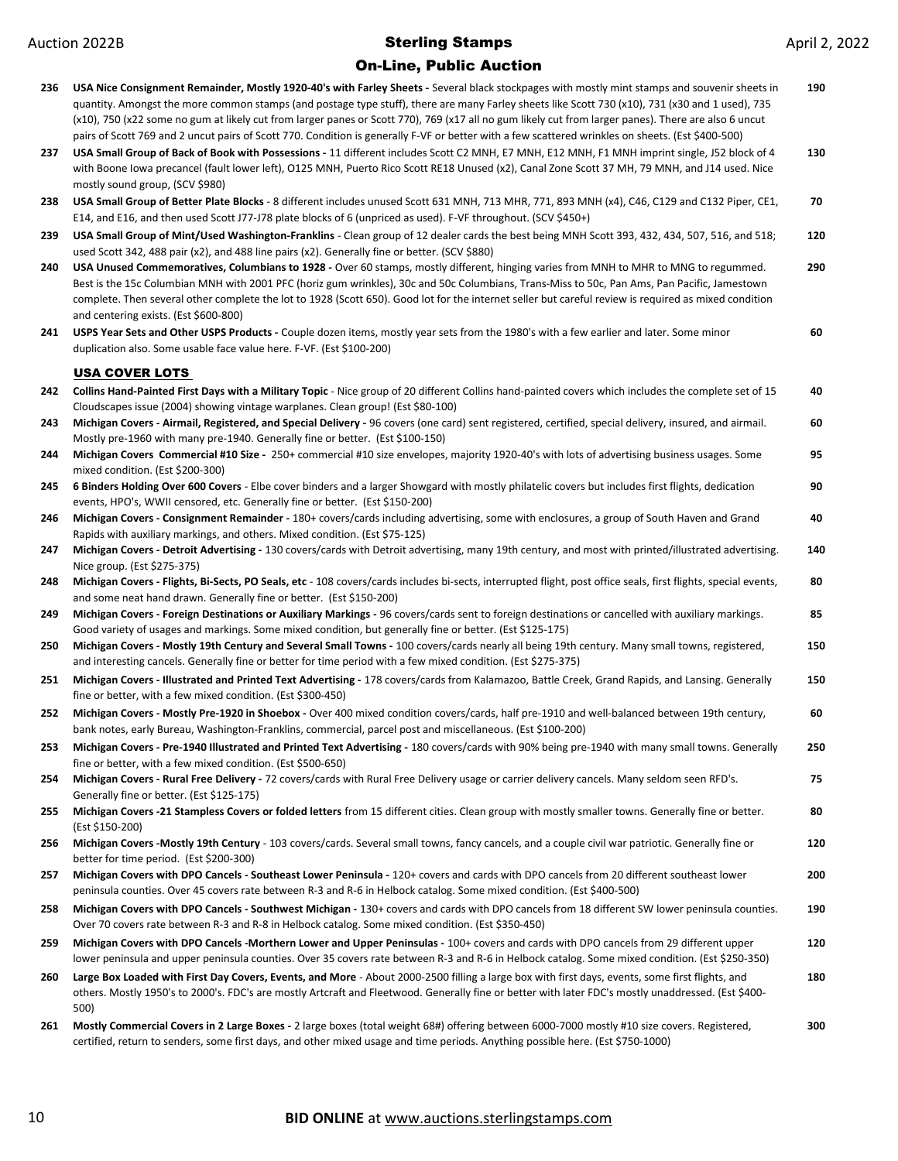| 236 | USA Nice Consignment Remainder, Mostly 1920-40's with Farley Sheets - Several black stockpages with mostly mint stamps and souvenir sheets in<br>quantity. Amongst the more common stamps (and postage type stuff), there are many Farley sheets like Scott 730 (x10), 731 (x30 and 1 used), 735<br>(x10), 750 (x22 some no gum at likely cut from larger panes or Scott 770), 769 (x17 all no gum likely cut from larger panes). There are also 6 uncut<br>pairs of Scott 769 and 2 uncut pairs of Scott 770. Condition is generally F-VF or better with a few scattered wrinkles on sheets. (Est \$400-500) | 190 |
|-----|---------------------------------------------------------------------------------------------------------------------------------------------------------------------------------------------------------------------------------------------------------------------------------------------------------------------------------------------------------------------------------------------------------------------------------------------------------------------------------------------------------------------------------------------------------------------------------------------------------------|-----|
| 237 | USA Small Group of Back of Book with Possessions - 11 different includes Scott C2 MNH, E7 MNH, E12 MNH, F1 MNH imprint single, J52 block of 4<br>with Boone Iowa precancel (fault lower left), O125 MNH, Puerto Rico Scott RE18 Unused (x2), Canal Zone Scott 37 MH, 79 MNH, and J14 used. Nice<br>mostly sound group, (SCV \$980)                                                                                                                                                                                                                                                                            | 130 |
| 238 | USA Small Group of Better Plate Blocks - 8 different includes unused Scott 631 MNH, 713 MHR, 771, 893 MNH (x4), C46, C129 and C132 Piper, CE1,<br>E14, and E16, and then used Scott J77-J78 plate blocks of 6 (unpriced as used). F-VF throughout. (SCV \$450+)                                                                                                                                                                                                                                                                                                                                               | 70  |
| 239 | USA Small Group of Mint/Used Washington-Franklins - Clean group of 12 dealer cards the best being MNH Scott 393, 432, 434, 507, 516, and 518;<br>used Scott 342, 488 pair (x2), and 488 line pairs (x2). Generally fine or better. (SCV \$880)                                                                                                                                                                                                                                                                                                                                                                | 120 |
| 240 | USA Unused Commemoratives, Columbians to 1928 - Over 60 stamps, mostly different, hinging varies from MNH to MHR to MNG to regummed.<br>Best is the 15c Columbian MNH with 2001 PFC (horiz gum wrinkles), 30c and 50c Columbians, Trans-Miss to 50c, Pan Ams, Pan Pacific, Jamestown<br>complete. Then several other complete the lot to 1928 (Scott 650). Good lot for the internet seller but careful review is required as mixed condition<br>and centering exists. (Est \$600-800)                                                                                                                        | 290 |
| 241 | USPS Year Sets and Other USPS Products - Couple dozen items, mostly year sets from the 1980's with a few earlier and later. Some minor<br>duplication also. Some usable face value here. F-VF. (Est \$100-200)                                                                                                                                                                                                                                                                                                                                                                                                | 60  |
|     | <b>USA COVER LOTS</b>                                                                                                                                                                                                                                                                                                                                                                                                                                                                                                                                                                                         |     |
| 242 | Collins Hand-Painted First Days with a Military Topic - Nice group of 20 different Collins hand-painted covers which includes the complete set of 15<br>Cloudscapes issue (2004) showing vintage warplanes. Clean group! (Est \$80-100)                                                                                                                                                                                                                                                                                                                                                                       | 40  |
| 243 | Michigan Covers - Airmail, Registered, and Special Delivery - 96 covers (one card) sent registered, certified, special delivery, insured, and airmail.<br>Mostly pre-1960 with many pre-1940. Generally fine or better. (Est \$100-150)                                                                                                                                                                                                                                                                                                                                                                       | 60  |
| 244 | Michigan Covers Commercial #10 Size - 250+ commercial #10 size envelopes, majority 1920-40's with lots of advertising business usages. Some<br>mixed condition. (Est \$200-300)                                                                                                                                                                                                                                                                                                                                                                                                                               | 95  |
| 245 | 6 Binders Holding Over 600 Covers - Elbe cover binders and a larger Showgard with mostly philatelic covers but includes first flights, dedication<br>events, HPO's, WWII censored, etc. Generally fine or better. (Est \$150-200)                                                                                                                                                                                                                                                                                                                                                                             | 90  |
| 246 | Michigan Covers - Consignment Remainder - 180+ covers/cards including advertising, some with enclosures, a group of South Haven and Grand<br>Rapids with auxiliary markings, and others. Mixed condition. (Est \$75-125)                                                                                                                                                                                                                                                                                                                                                                                      | 40  |
| 247 | Michigan Covers - Detroit Advertising - 130 covers/cards with Detroit advertising, many 19th century, and most with printed/illustrated advertising.<br>Nice group. (Est \$275-375)                                                                                                                                                                                                                                                                                                                                                                                                                           | 140 |
| 248 | Michigan Covers - Flights, Bi-Sects, PO Seals, etc - 108 covers/cards includes bi-sects, interrupted flight, post office seals, first flights, special events,<br>and some neat hand drawn. Generally fine or better. (Est \$150-200)                                                                                                                                                                                                                                                                                                                                                                         | 80  |
| 249 | Michigan Covers - Foreign Destinations or Auxiliary Markings - 96 covers/cards sent to foreign destinations or cancelled with auxiliary markings.<br>Good variety of usages and markings. Some mixed condition, but generally fine or better. (Est \$125-175)                                                                                                                                                                                                                                                                                                                                                 | 85  |
| 250 | Michigan Covers - Mostly 19th Century and Several Small Towns - 100 covers/cards nearly all being 19th century. Many small towns, registered,<br>and interesting cancels. Generally fine or better for time period with a few mixed condition. (Est \$275-375)                                                                                                                                                                                                                                                                                                                                                | 150 |
| 251 | Michigan Covers - Illustrated and Printed Text Advertising - 178 covers/cards from Kalamazoo, Battle Creek, Grand Rapids, and Lansing. Generally<br>fine or better, with a few mixed condition. (Est \$300-450)                                                                                                                                                                                                                                                                                                                                                                                               | 150 |
| 252 | Michigan Covers - Mostly Pre-1920 in Shoebox - Over 400 mixed condition covers/cards, half pre-1910 and well-balanced between 19th century,<br>bank notes, early Bureau, Washington-Franklins, commercial, parcel post and miscellaneous. (Est \$100-200)                                                                                                                                                                                                                                                                                                                                                     | 60  |
| 253 | Michigan Covers - Pre-1940 Illustrated and Printed Text Advertising - 180 covers/cards with 90% being pre-1940 with many small towns. Generally<br>fine or better, with a few mixed condition. (Est \$500-650)                                                                                                                                                                                                                                                                                                                                                                                                | 250 |
| 254 | Michigan Covers - Rural Free Delivery - 72 covers/cards with Rural Free Delivery usage or carrier delivery cancels. Many seldom seen RFD's.<br>Generally fine or better. (Est \$125-175)                                                                                                                                                                                                                                                                                                                                                                                                                      | 75  |
| 255 | Michigan Covers -21 Stampless Covers or folded letters from 15 different cities. Clean group with mostly smaller towns. Generally fine or better.<br>(Est \$150-200)                                                                                                                                                                                                                                                                                                                                                                                                                                          | 80  |
| 256 | Michigan Covers -Mostly 19th Century - 103 covers/cards. Several small towns, fancy cancels, and a couple civil war patriotic. Generally fine or<br>better for time period. (Est \$200-300)                                                                                                                                                                                                                                                                                                                                                                                                                   | 120 |
| 257 | Michigan Covers with DPO Cancels - Southeast Lower Peninsula - 120+ covers and cards with DPO cancels from 20 different southeast lower<br>peninsula counties. Over 45 covers rate between R-3 and R-6 in Helbock catalog. Some mixed condition. (Est \$400-500)                                                                                                                                                                                                                                                                                                                                              | 200 |
| 258 | Michigan Covers with DPO Cancels - Southwest Michigan - 130+ covers and cards with DPO cancels from 18 different SW lower peninsula counties.<br>Over 70 covers rate between R-3 and R-8 in Helbock catalog. Some mixed condition. (Est \$350-450)                                                                                                                                                                                                                                                                                                                                                            | 190 |
| 259 | Michigan Covers with DPO Cancels -Morthern Lower and Upper Peninsulas - 100+ covers and cards with DPO cancels from 29 different upper<br>lower peninsula and upper peninsula counties. Over 35 covers rate between R-3 and R-6 in Helbock catalog. Some mixed condition. (Est \$250-350)                                                                                                                                                                                                                                                                                                                     | 120 |
| 260 | Large Box Loaded with First Day Covers, Events, and More - About 2000-2500 filling a large box with first days, events, some first flights, and<br>others. Mostly 1950's to 2000's. FDC's are mostly Artcraft and Fleetwood. Generally fine or better with later FDC's mostly unaddressed. (Est \$400-<br>500)                                                                                                                                                                                                                                                                                                | 180 |
| 261 | Mostly Commercial Covers in 2 Large Boxes - 2 large boxes (total weight 68#) offering between 6000-7000 mostly #10 size covers. Registered,<br>certified, return to senders, some first days, and other mixed usage and time periods. Anything possible here. (Est \$750-1000)                                                                                                                                                                                                                                                                                                                                | 300 |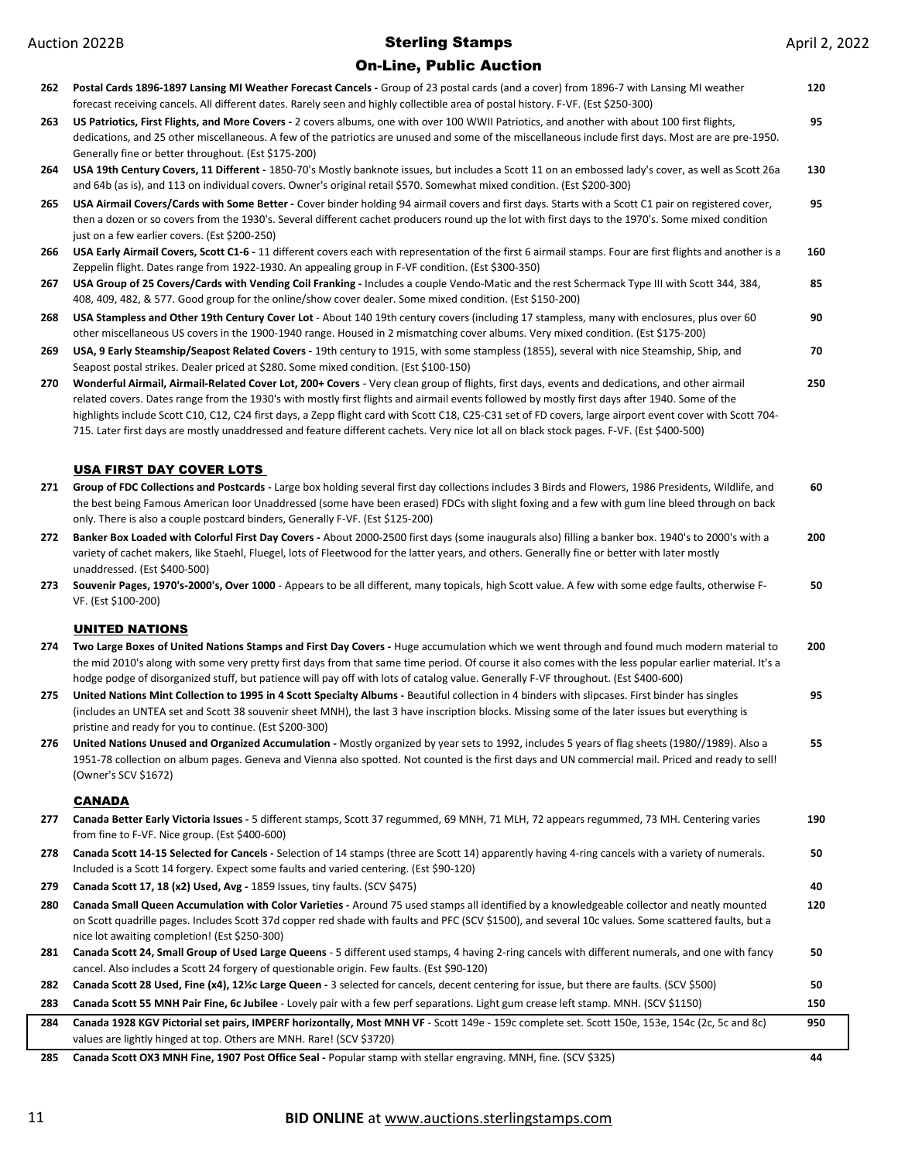#### On-Line, Public Auction

| 262 | Postal Cards 1896-1897 Lansing MI Weather Forecast Cancels - Group of 23 postal cards (and a cover) from 1896-7 with Lansing MI weather<br>forecast receiving cancels. All different dates. Rarely seen and highly collectible area of postal history. F-VF. (Est \$250-300)                                                                                                                                                                                                                                                                                                                               | 120 |
|-----|------------------------------------------------------------------------------------------------------------------------------------------------------------------------------------------------------------------------------------------------------------------------------------------------------------------------------------------------------------------------------------------------------------------------------------------------------------------------------------------------------------------------------------------------------------------------------------------------------------|-----|
| 263 | US Patriotics, First Flights, and More Covers - 2 covers albums, one with over 100 WWII Patriotics, and another with about 100 first flights,<br>dedications, and 25 other miscellaneous. A few of the patriotics are unused and some of the miscellaneous include first days. Most are are pre-1950.<br>Generally fine or better throughout. (Est \$175-200)                                                                                                                                                                                                                                              | 95  |
| 264 | USA 19th Century Covers, 11 Different - 1850-70's Mostly banknote issues, but includes a Scott 11 on an embossed lady's cover, as well as Scott 26a<br>and 64b (as is), and 113 on individual covers. Owner's original retail \$570. Somewhat mixed condition. (Est \$200-300)                                                                                                                                                                                                                                                                                                                             | 130 |
| 265 | USA Airmail Covers/Cards with Some Better - Cover binder holding 94 airmail covers and first days. Starts with a Scott C1 pair on registered cover,<br>then a dozen or so covers from the 1930's. Several different cachet producers round up the lot with first days to the 1970's. Some mixed condition<br>just on a few earlier covers. (Est \$200-250)                                                                                                                                                                                                                                                 | 95  |
| 266 | USA Early Airmail Covers, Scott C1-6 - 11 different covers each with representation of the first 6 airmail stamps. Four are first flights and another is a<br>Zeppelin flight. Dates range from 1922-1930. An appealing group in F-VF condition. (Est \$300-350)                                                                                                                                                                                                                                                                                                                                           | 160 |
| 267 | USA Group of 25 Covers/Cards with Vending Coil Franking - Includes a couple Vendo-Matic and the rest Schermack Type III with Scott 344, 384,<br>408, 409, 482, & 577. Good group for the online/show cover dealer. Some mixed condition. (Est \$150-200)                                                                                                                                                                                                                                                                                                                                                   | 85  |
| 268 | USA Stampless and Other 19th Century Cover Lot - About 140 19th century covers (including 17 stampless, many with enclosures, plus over 60<br>other miscellaneous US covers in the 1900-1940 range. Housed in 2 mismatching cover albums. Very mixed condition. (Est \$175-200)                                                                                                                                                                                                                                                                                                                            | 90  |
| 269 | USA, 9 Early Steamship/Seapost Related Covers - 19th century to 1915, with some stampless (1855), several with nice Steamship, Ship, and<br>Seapost postal strikes. Dealer priced at \$280. Some mixed condition. (Est \$100-150)                                                                                                                                                                                                                                                                                                                                                                          | 70  |
| 270 | Wonderful Airmail, Airmail-Related Cover Lot, 200+ Covers - Very clean group of flights, first days, events and dedications, and other airmail<br>related covers. Dates range from the 1930's with mostly first flights and airmail events followed by mostly first days after 1940. Some of the<br>highlights include Scott C10, C12, C24 first days, a Zepp flight card with Scott C18, C25-C31 set of FD covers, large airport event cover with Scott 704-<br>715. Later first days are mostly unaddressed and feature different cachets. Very nice lot all on black stock pages. F-VF. (Est \$400-500) | 250 |
|     |                                                                                                                                                                                                                                                                                                                                                                                                                                                                                                                                                                                                            |     |
| 271 | <b>USA FIRST DAY COVER LOTS</b><br>Group of FDC Collections and Postcards - Large box holding several first day collections includes 3 Birds and Flowers, 1986 Presidents, Wildlife, and<br>the best being Famous American loor Unaddressed (some have been erased) FDCs with slight foxing and a few with gum line bleed through on back<br>only. There is also a couple postcard binders, Generally F-VF. (Est \$125-200)                                                                                                                                                                                | 60  |
| 272 | Banker Box Loaded with Colorful First Day Covers - About 2000-2500 first days (some inaugurals also) filling a banker box. 1940's to 2000's with a<br>variety of cachet makers, like Staehl, Fluegel, lots of Fleetwood for the latter years, and others. Generally fine or better with later mostly<br>unaddressed. (Est \$400-500)                                                                                                                                                                                                                                                                       | 200 |
| 273 | Souvenir Pages, 1970's-2000's, Over 1000 - Appears to be all different, many topicals, high Scott value. A few with some edge faults, otherwise F-<br>VF. (Est \$100-200)                                                                                                                                                                                                                                                                                                                                                                                                                                  | 50  |
|     | <b>UNITED NATIONS</b>                                                                                                                                                                                                                                                                                                                                                                                                                                                                                                                                                                                      |     |
| 274 | Two Large Boxes of United Nations Stamps and First Day Covers - Huge accumulation which we went through and found much modern material to<br>the mid 2010's along with some very pretty first days from that same time period. Of course it also comes with the less popular earlier material. It's a<br>hodge podge of disorganized stuff, but patience will pay off with lots of catalog value. Generally F-VF throughout. (Est \$400-600)                                                                                                                                                               | 200 |
| 275 | United Nations Mint Collection to 1995 in 4 Scott Specialty Albums - Beautiful collection in 4 binders with slipcases. First binder has singles<br>(includes an UNTEA set and Scott 38 souvenir sheet MNH), the last 3 have inscription blocks. Missing some of the later issues but everything is                                                                                                                                                                                                                                                                                                         | 95  |
| 276 | pristine and ready for you to continue. (Est \$200-300)<br>United Nations Unused and Organized Accumulation - Mostly organized by year sets to 1992, includes 5 years of flag sheets (1980//1989). Also a<br>1951-78 collection on album pages. Geneva and Vienna also spotted. Not counted is the first days and UN commercial mail. Priced and ready to sell!<br>(Owner's SCV \$1672)                                                                                                                                                                                                                    | 55  |
|     | <b>CANADA</b>                                                                                                                                                                                                                                                                                                                                                                                                                                                                                                                                                                                              |     |
| 277 | Canada Better Early Victoria Issues - 5 different stamps, Scott 37 regummed, 69 MNH, 71 MLH, 72 appears regummed, 73 MH. Centering varies<br>from fine to F-VF. Nice group. (Est \$400-600)                                                                                                                                                                                                                                                                                                                                                                                                                | 190 |
| 278 | Canada Scott 14-15 Selected for Cancels - Selection of 14 stamps (three are Scott 14) apparently having 4-ring cancels with a variety of numerals.<br>Included is a Scott 14 forgery. Expect some faults and varied centering. (Est \$90-120)                                                                                                                                                                                                                                                                                                                                                              | 50  |
| 279 | Canada Scott 17, 18 (x2) Used, Avg - 1859 Issues, tiny faults. (SCV \$475)                                                                                                                                                                                                                                                                                                                                                                                                                                                                                                                                 | 40  |
| 280 | Canada Small Queen Accumulation with Color Varieties - Around 75 used stamps all identified by a knowledgeable collector and neatly mounted<br>on Scott quadrille pages. Includes Scott 37d copper red shade with faults and PFC (SCV \$1500), and several 10c values. Some scattered faults, but a<br>nice lot awaiting completion! (Est \$250-300)                                                                                                                                                                                                                                                       | 120 |
| 281 | Canada Scott 24, Small Group of Used Large Queens - 5 different used stamps, 4 having 2-ring cancels with different numerals, and one with fancy<br>cancel. Also includes a Scott 24 forgery of questionable origin. Few faults. (Est \$90-120)                                                                                                                                                                                                                                                                                                                                                            | 50  |
| 282 | Canada Scott 28 Used, Fine (x4), 121/c Large Queen - 3 selected for cancels, decent centering for issue, but there are faults. (SCV \$500)                                                                                                                                                                                                                                                                                                                                                                                                                                                                 | 50  |
| 283 | Canada Scott 55 MNH Pair Fine, 6c Jubilee - Lovely pair with a few perf separations. Light gum crease left stamp. MNH. (SCV \$1150)                                                                                                                                                                                                                                                                                                                                                                                                                                                                        | 150 |
| 284 | Canada 1928 KGV Pictorial set pairs, IMPERF horizontally, Most MNH VF - Scott 149e - 159c complete set. Scott 150e, 153e, 154c (2c, 5c and 8c)<br>values are lightly hinged at top. Others are MNH. Rare! (SCV \$3720)                                                                                                                                                                                                                                                                                                                                                                                     | 950 |
|     |                                                                                                                                                                                                                                                                                                                                                                                                                                                                                                                                                                                                            |     |

**285 Canada Scott OX3 MNH Fine, 1907 Post Office Seal -** Popular stamp with stellar engraving. MNH, fine. (SCV \$325) **44**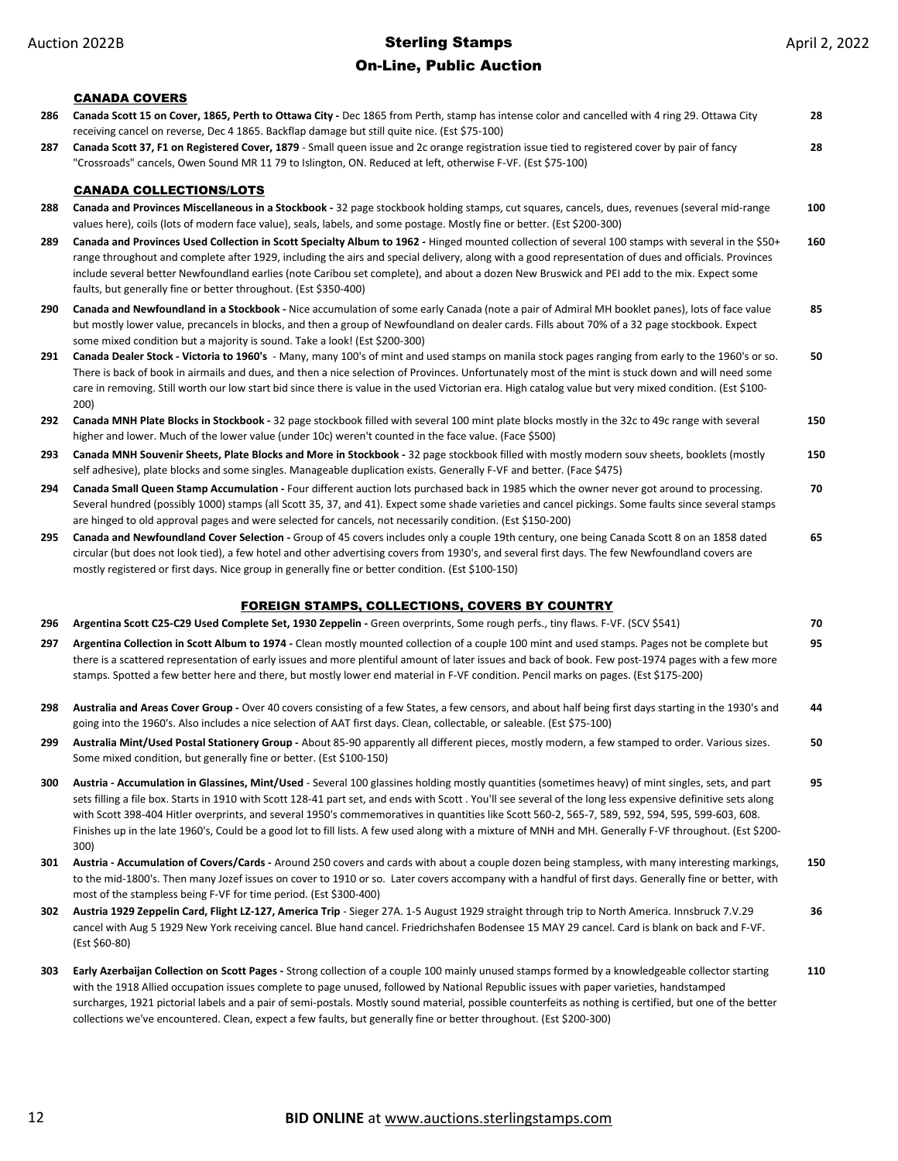### On-Line, Public Auction

### CANADA COVERS

|     | <u>CANADA COVERS</u>                                                                                                                                                                                                                                                                                                                                                                                                                                                                                                                                                                                                                       |     |
|-----|--------------------------------------------------------------------------------------------------------------------------------------------------------------------------------------------------------------------------------------------------------------------------------------------------------------------------------------------------------------------------------------------------------------------------------------------------------------------------------------------------------------------------------------------------------------------------------------------------------------------------------------------|-----|
| 286 | Canada Scott 15 on Cover, 1865, Perth to Ottawa City - Dec 1865 from Perth, stamp has intense color and cancelled with 4 ring 29. Ottawa City<br>receiving cancel on reverse, Dec 4 1865. Backflap damage but still quite nice. (Est \$75-100)                                                                                                                                                                                                                                                                                                                                                                                             | 28  |
| 287 | Canada Scott 37, F1 on Registered Cover, 1879 - Small queen issue and 2c orange registration issue tied to registered cover by pair of fancy<br>"Crossroads" cancels, Owen Sound MR 11 79 to Islington, ON. Reduced at left, otherwise F-VF. (Est \$75-100)                                                                                                                                                                                                                                                                                                                                                                                | 28  |
|     | <b>CANADA COLLECTIONS/LOTS</b>                                                                                                                                                                                                                                                                                                                                                                                                                                                                                                                                                                                                             |     |
| 288 | Canada and Provinces Miscellaneous in a Stockbook - 32 page stockbook holding stamps, cut squares, cancels, dues, revenues (several mid-range<br>values here), coils (lots of modern face value), seals, labels, and some postage. Mostly fine or better. (Est \$200-300)                                                                                                                                                                                                                                                                                                                                                                  | 100 |
| 289 | Canada and Provinces Used Collection in Scott Specialty Album to 1962 - Hinged mounted collection of several 100 stamps with several in the \$50+<br>range throughout and complete after 1929, including the airs and special delivery, along with a good representation of dues and officials. Provinces<br>include several better Newfoundland earlies (note Caribou set complete), and about a dozen New Bruswick and PEI add to the mix. Expect some<br>faults, but generally fine or better throughout. (Est \$350-400)                                                                                                               | 160 |
| 290 | Canada and Newfoundland in a Stockbook - Nice accumulation of some early Canada (note a pair of Admiral MH booklet panes), lots of face value<br>but mostly lower value, precancels in blocks, and then a group of Newfoundland on dealer cards. Fills about 70% of a 32 page stockbook. Expect                                                                                                                                                                                                                                                                                                                                            | 85  |
| 291 | some mixed condition but a majority is sound. Take a look! (Est \$200-300)<br>Canada Dealer Stock - Victoria to 1960's - Many, many 100's of mint and used stamps on manila stock pages ranging from early to the 1960's or so.<br>There is back of book in airmails and dues, and then a nice selection of Provinces. Unfortunately most of the mint is stuck down and will need some<br>care in removing. Still worth our low start bid since there is value in the used Victorian era. High catalog value but very mixed condition. (Est \$100-<br>200)                                                                                 | 50  |
| 292 | Canada MNH Plate Blocks in Stockbook - 32 page stockbook filled with several 100 mint plate blocks mostly in the 32c to 49c range with several<br>higher and lower. Much of the lower value (under 10c) weren't counted in the face value. (Face \$500)                                                                                                                                                                                                                                                                                                                                                                                    | 150 |
| 293 | Canada MNH Souvenir Sheets, Plate Blocks and More in Stockbook - 32 page stockbook filled with mostly modern souv sheets, booklets (mostly<br>self adhesive), plate blocks and some singles. Manageable duplication exists. Generally F-VF and better. (Face \$475)                                                                                                                                                                                                                                                                                                                                                                        | 150 |
| 294 | Canada Small Queen Stamp Accumulation - Four different auction lots purchased back in 1985 which the owner never got around to processing.<br>Several hundred (possibly 1000) stamps (all Scott 35, 37, and 41). Expect some shade varieties and cancel pickings. Some faults since several stamps<br>are hinged to old approval pages and were selected for cancels, not necessarily condition. (Est \$150-200)                                                                                                                                                                                                                           | 70  |
| 295 | Canada and Newfoundland Cover Selection - Group of 45 covers includes only a couple 19th century, one being Canada Scott 8 on an 1858 dated<br>circular (but does not look tied), a few hotel and other advertising covers from 1930's, and several first days. The few Newfoundland covers are<br>mostly registered or first days. Nice group in generally fine or better condition. (Est \$100-150)                                                                                                                                                                                                                                      | 65  |
|     | <b>FOREIGN STAMPS, COLLECTIONS, COVERS BY COUNTRY</b>                                                                                                                                                                                                                                                                                                                                                                                                                                                                                                                                                                                      |     |
| 296 | Argentina Scott C25-C29 Used Complete Set, 1930 Zeppelin - Green overprints, Some rough perfs., tiny flaws. F-VF. (SCV \$541)                                                                                                                                                                                                                                                                                                                                                                                                                                                                                                              | 70  |
| 297 | Argentina Collection in Scott Album to 1974 - Clean mostly mounted collection of a couple 100 mint and used stamps. Pages not be complete but<br>there is a scattered representation of early issues and more plentiful amount of later issues and back of book. Few post-1974 pages with a few more<br>stamps. Spotted a few better here and there, but mostly lower end material in F-VF condition. Pencil marks on pages. (Est \$175-200)                                                                                                                                                                                               | 95  |
| 298 | Australia and Areas Cover Group - Over 40 covers consisting of a few States, a few censors, and about half being first days starting in the 1930's and<br>going into the 1960's. Also includes a nice selection of AAT first days. Clean, collectable, or saleable. (Est \$75-100)                                                                                                                                                                                                                                                                                                                                                         | 44  |
| 299 | Australia Mint/Used Postal Stationery Group - About 85-90 apparently all different pieces, mostly modern, a few stamped to order. Various sizes.<br>Some mixed condition, but generally fine or better. (Est \$100-150)                                                                                                                                                                                                                                                                                                                                                                                                                    | 50  |
| 300 | Austria - Accumulation in Glassines, Mint/Used - Several 100 glassines holding mostly quantities (sometimes heavy) of mint singles, sets, and part<br>sets filling a file box. Starts in 1910 with Scott 128-41 part set, and ends with Scott. You'll see several of the long less expensive definitive sets along<br>with Scott 398-404 Hitler overprints, and several 1950's commemoratives in quantities like Scott 560-2, 565-7, 589, 592, 594, 595, 599-603, 608.<br>Finishes up in the late 1960's, Could be a good lot to fill lists. A few used along with a mixture of MNH and MH. Generally F-VF throughout. (Est \$200-<br>300) | 95  |
| 301 | Austria - Accumulation of Covers/Cards - Around 250 covers and cards with about a couple dozen being stampless, with many interesting markings,<br>to the mid-1800's. Then many Jozef issues on cover to 1910 or so. Later covers accompany with a handful of first days. Generally fine or better, with<br>most of the stampless being F-VF for time period. (Est \$300-400)                                                                                                                                                                                                                                                              | 150 |
| 302 | Austria 1929 Zeppelin Card, Flight LZ-127, America Trip - Sieger 27A. 1-5 August 1929 straight through trip to North America. Innsbruck 7.V.29<br>cancel with Aug 5 1929 New York receiving cancel. Blue hand cancel. Friedrichshafen Bodensee 15 MAY 29 cancel. Card is blank on back and F-VF.<br>(Est \$60-80)                                                                                                                                                                                                                                                                                                                          | 36  |
| 303 | Early Azerbaijan Collection on Scott Pages - Strong collection of a couple 100 mainly unused stamps formed by a knowledgeable collector starting<br>with the 1918 Allied occupation issues complete to page unused, followed by National Republic issues with paper varieties, handstamped<br>surcharges, 1921 pictorial labels and a pair of semi-postals. Mostly sound material, possible counterfeits as nothing is certified, but one of the better<br>collections we've encountered. Clean, expect a few faults, but generally fine or better throughout. (Est \$200-300)                                                             | 110 |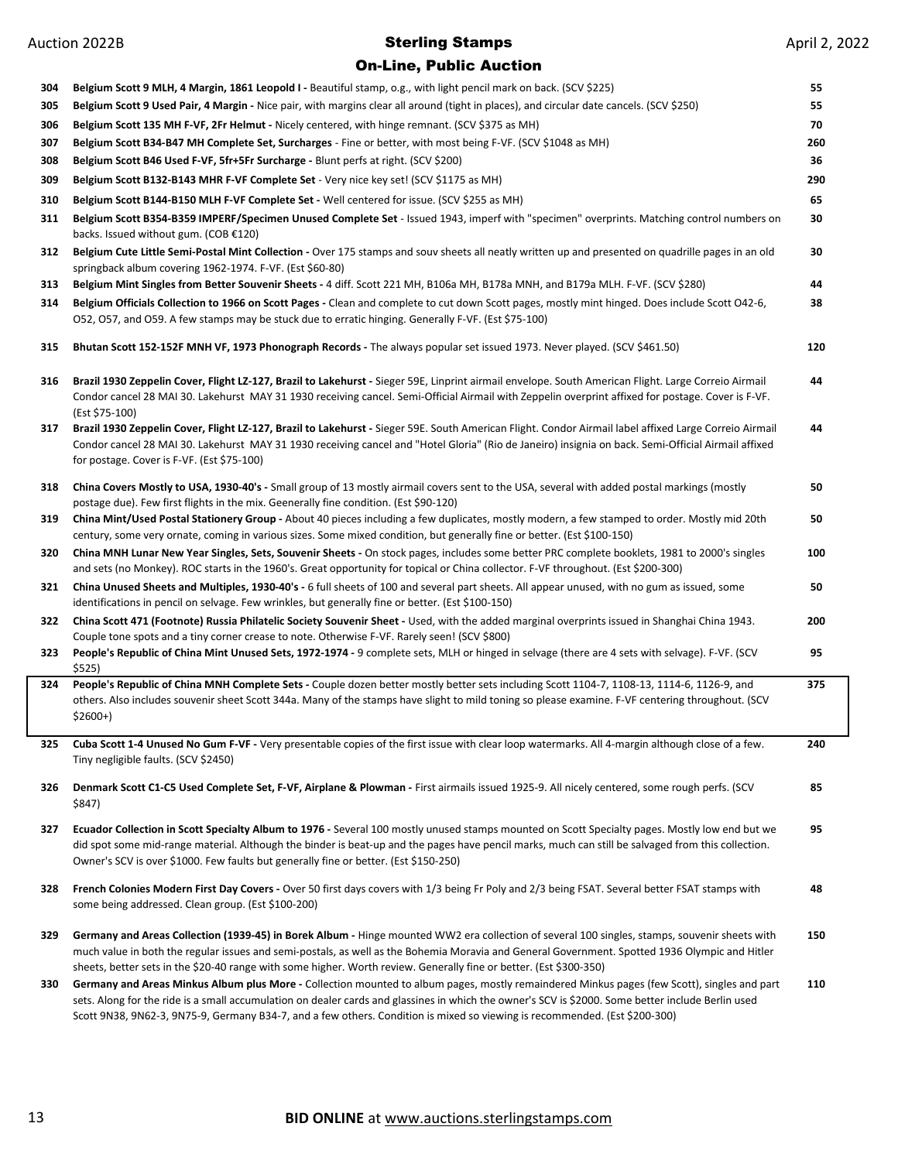## On-Line, Public Auction

| 304 | Belgium Scott 9 MLH, 4 Margin, 1861 Leopold I - Beautiful stamp, o.g., with light pencil mark on back. (SCV \$225)                                                                                                                                                                                                                                                                                                    | 55  |
|-----|-----------------------------------------------------------------------------------------------------------------------------------------------------------------------------------------------------------------------------------------------------------------------------------------------------------------------------------------------------------------------------------------------------------------------|-----|
| 305 | Belgium Scott 9 Used Pair, 4 Margin - Nice pair, with margins clear all around (tight in places), and circular date cancels. (SCV \$250)                                                                                                                                                                                                                                                                              | 55  |
| 306 | Belgium Scott 135 MH F-VF, 2Fr Helmut - Nicely centered, with hinge remnant. (SCV \$375 as MH)                                                                                                                                                                                                                                                                                                                        | 70  |
| 307 | Belgium Scott B34-B47 MH Complete Set, Surcharges - Fine or better, with most being F-VF. (SCV \$1048 as MH)                                                                                                                                                                                                                                                                                                          | 260 |
| 308 | Belgium Scott B46 Used F-VF, 5fr+5Fr Surcharge - Blunt perfs at right. (SCV \$200)                                                                                                                                                                                                                                                                                                                                    | 36  |
| 309 | Belgium Scott B132-B143 MHR F-VF Complete Set - Very nice key set! (SCV \$1175 as MH)                                                                                                                                                                                                                                                                                                                                 | 290 |
| 310 | Belgium Scott B144-B150 MLH F-VF Complete Set - Well centered for issue. (SCV \$255 as MH)                                                                                                                                                                                                                                                                                                                            | 65  |
| 311 | Belgium Scott B354-B359 IMPERF/Specimen Unused Complete Set - Issued 1943, imperf with "specimen" overprints. Matching control numbers on<br>backs. Issued without gum. (COB €120)                                                                                                                                                                                                                                    | 30  |
| 312 | Belgium Cute Little Semi-Postal Mint Collection - Over 175 stamps and souv sheets all neatly written up and presented on quadrille pages in an old<br>springback album covering 1962-1974. F-VF. (Est \$60-80)                                                                                                                                                                                                        | 30  |
| 313 | Belgium Mint Singles from Better Souvenir Sheets - 4 diff. Scott 221 MH, B106a MH, B178a MNH, and B179a MLH. F-VF. (SCV \$280)                                                                                                                                                                                                                                                                                        | 44  |
| 314 | Belgium Officials Collection to 1966 on Scott Pages - Clean and complete to cut down Scott pages, mostly mint hinged. Does include Scott O42-6,<br>O52, O57, and O59. A few stamps may be stuck due to erratic hinging. Generally F-VF. (Est \$75-100)                                                                                                                                                                | 38  |
| 315 | Bhutan Scott 152-152F MNH VF, 1973 Phonograph Records - The always popular set issued 1973. Never played. (SCV \$461.50)                                                                                                                                                                                                                                                                                              | 120 |
| 316 | Brazil 1930 Zeppelin Cover, Flight LZ-127, Brazil to Lakehurst - Sieger 59E, Linprint airmail envelope. South American Flight. Large Correio Airmail<br>Condor cancel 28 MAI 30. Lakehurst MAY 31 1930 receiving cancel. Semi-Official Airmail with Zeppelin overprint affixed for postage. Cover is F-VF.<br>(Est \$75-100)                                                                                          | 44  |
| 317 | Brazil 1930 Zeppelin Cover, Flight LZ-127, Brazil to Lakehurst - Sieger 59E. South American Flight. Condor Airmail label affixed Large Correio Airmail<br>Condor cancel 28 MAI 30. Lakehurst MAY 31 1930 receiving cancel and "Hotel Gloria" (Rio de Janeiro) insignia on back. Semi-Official Airmail affixed<br>for postage. Cover is F-VF. (Est \$75-100)                                                           | 44  |
| 318 | China Covers Mostly to USA, 1930-40's - Small group of 13 mostly airmail covers sent to the USA, several with added postal markings (mostly<br>postage due). Few first flights in the mix. Geenerally fine condition. (Est \$90-120)                                                                                                                                                                                  | 50  |
| 319 | China Mint/Used Postal Stationery Group - About 40 pieces including a few duplicates, mostly modern, a few stamped to order. Mostly mid 20th<br>century, some very ornate, coming in various sizes. Some mixed condition, but generally fine or better. (Est \$100-150)                                                                                                                                               | 50  |
| 320 | China MNH Lunar New Year Singles, Sets, Souvenir Sheets - On stock pages, includes some better PRC complete booklets, 1981 to 2000's singles<br>and sets (no Monkey). ROC starts in the 1960's. Great opportunity for topical or China collector. F-VF throughout. (Est \$200-300)                                                                                                                                    | 100 |
| 321 | China Unused Sheets and Multiples, 1930-40's - 6 full sheets of 100 and several part sheets. All appear unused, with no gum as issued, some<br>identifications in pencil on selvage. Few wrinkles, but generally fine or better. (Est \$100-150)                                                                                                                                                                      | 50  |
| 322 | China Scott 471 (Footnote) Russia Philatelic Society Souvenir Sheet - Used, with the added marginal overprints issued in Shanghai China 1943.<br>Couple tone spots and a tiny corner crease to note. Otherwise F-VF. Rarely seen! (SCV \$800)                                                                                                                                                                         | 200 |
| 323 | People's Republic of China Mint Unused Sets, 1972-1974 - 9 complete sets, MLH or hinged in selvage (there are 4 sets with selvage). F-VF. (SCV<br>\$525)                                                                                                                                                                                                                                                              | 95  |
| 324 | People's Republic of China MNH Complete Sets - Couple dozen better mostly better sets including Scott 1104-7, 1108-13, 1114-6, 1126-9, and<br>others. Also includes souvenir sheet Scott 344a. Many of the stamps have slight to mild toning so please examine. F-VF centering throughout. (SCV<br>$$2600+$ )                                                                                                         | 375 |
| 325 | Cuba Scott 1-4 Unused No Gum F-VF - Very presentable copies of the first issue with clear loop watermarks. All 4-margin although close of a few.<br>Tiny negligible faults. (SCV \$2450)                                                                                                                                                                                                                              | 240 |
| 326 | Denmark Scott C1-C5 Used Complete Set, F-VF, Airplane & Plowman - First airmails issued 1925-9. All nicely centered, some rough perfs. (SCV<br>\$847)                                                                                                                                                                                                                                                                 | 85  |
| 327 | Ecuador Collection in Scott Specialty Album to 1976 - Several 100 mostly unused stamps mounted on Scott Specialty pages. Mostly low end but we<br>did spot some mid-range material. Although the binder is beat-up and the pages have pencil marks, much can still be salvaged from this collection.<br>Owner's SCV is over \$1000. Few faults but generally fine or better. (Est \$150-250)                          | 95  |
| 328 | French Colonies Modern First Day Covers - Over 50 first days covers with 1/3 being Fr Poly and 2/3 being FSAT. Several better FSAT stamps with<br>some being addressed. Clean group. (Est \$100-200)                                                                                                                                                                                                                  | 48  |
| 329 | Germany and Areas Collection (1939-45) in Borek Album - Hinge mounted WW2 era collection of several 100 singles, stamps, souvenir sheets with<br>much value in both the regular issues and semi-postals, as well as the Bohemia Moravia and General Government. Spotted 1936 Olympic and Hitler<br>sheets, better sets in the \$20-40 range with some higher. Worth review. Generally fine or better. (Est \$300-350) | 150 |
| 330 | Germany and Areas Minkus Album plus More - Collection mounted to album pages, mostly remaindered Minkus pages (few Scott), singles and part<br>sets. Along for the ride is a small accumulation on dealer cards and glassines in which the owner's SCV is \$2000. Some better include Berlin used                                                                                                                     | 110 |

Scott 9N38, 9N62-3, 9N75-9, Germany B34-7, and a few others. Condition is mixed so viewing is recommended. (Est \$200-300)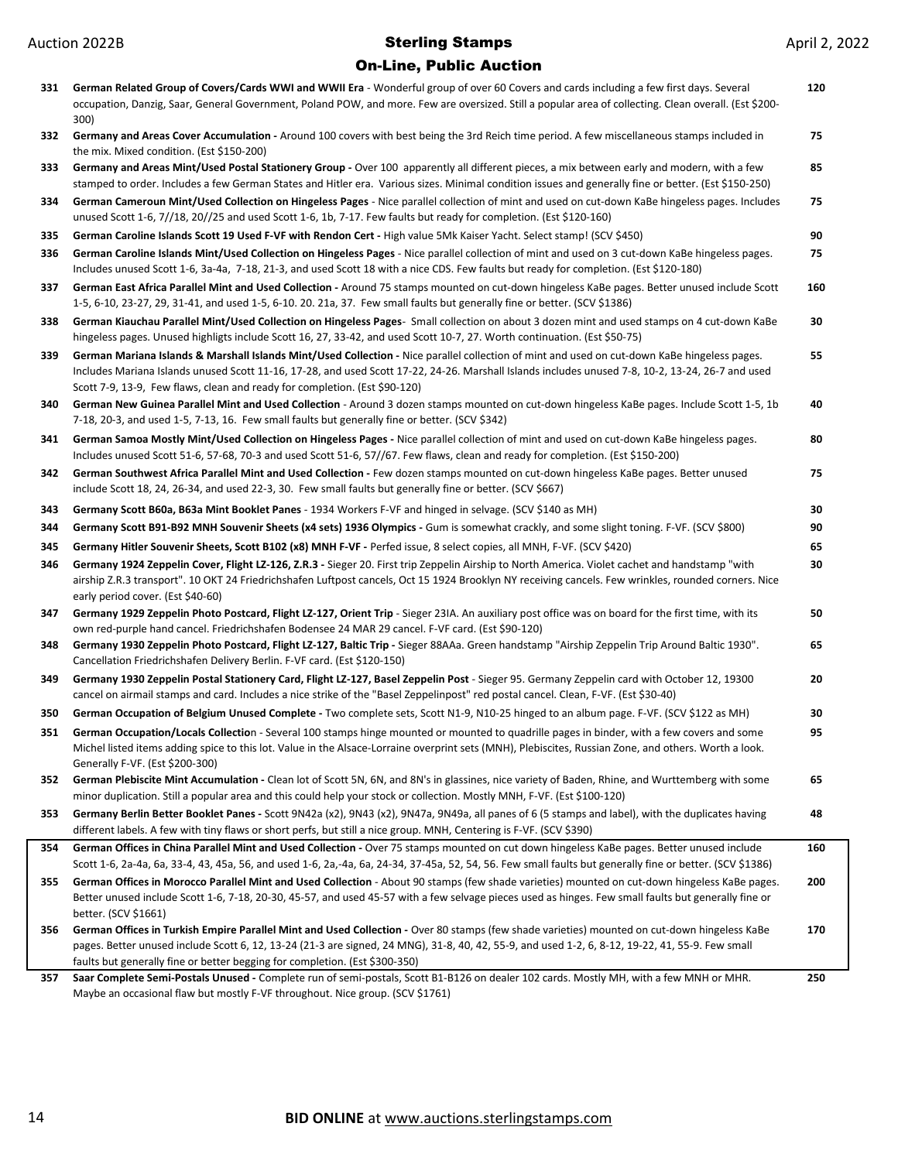| 331 | German Related Group of Covers/Cards WWI and WWII Era - Wonderful group of over 60 Covers and cards including a few first days. Several<br>occupation, Danzig, Saar, General Government, Poland POW, and more. Few are oversized. Still a popular area of collecting. Clean overall. (Est \$200-<br>300)                                                                        | 120 |
|-----|---------------------------------------------------------------------------------------------------------------------------------------------------------------------------------------------------------------------------------------------------------------------------------------------------------------------------------------------------------------------------------|-----|
| 332 | Germany and Areas Cover Accumulation - Around 100 covers with best being the 3rd Reich time period. A few miscellaneous stamps included in                                                                                                                                                                                                                                      | 75  |
| 333 | the mix. Mixed condition. (Est \$150-200)<br>Germany and Areas Mint/Used Postal Stationery Group - Over 100 apparently all different pieces, a mix between early and modern, with a few<br>stamped to order. Includes a few German States and Hitler era. Various sizes. Minimal condition issues and generally fine or better. (Est \$150-250)                                 | 85  |
| 334 | German Cameroun Mint/Used Collection on Hingeless Pages - Nice parallel collection of mint and used on cut-down KaBe hingeless pages. Includes<br>unused Scott 1-6, 7//18, 20//25 and used Scott 1-6, 1b, 7-17. Few faults but ready for completion. (Est \$120-160)                                                                                                            | 75  |
| 335 | German Caroline Islands Scott 19 Used F-VF with Rendon Cert - High value 5Mk Kaiser Yacht. Select stamp! (SCV \$450)                                                                                                                                                                                                                                                            | 90  |
| 336 | German Caroline Islands Mint/Used Collection on Hingeless Pages - Nice parallel collection of mint and used on 3 cut-down KaBe hingeless pages.<br>Includes unused Scott 1-6, 3a-4a, 7-18, 21-3, and used Scott 18 with a nice CDS. Few faults but ready for completion. (Est \$120-180)                                                                                        | 75  |
| 337 | German East Africa Parallel Mint and Used Collection - Around 75 stamps mounted on cut-down hingeless KaBe pages. Better unused include Scott<br>1-5, 6-10, 23-27, 29, 31-41, and used 1-5, 6-10. 20. 21a, 37. Few small faults but generally fine or better. (SCV \$1386)                                                                                                      | 160 |
| 338 | German Kiauchau Parallel Mint/Used Collection on Hingeless Pages- Small collection on about 3 dozen mint and used stamps on 4 cut-down KaBe<br>hingeless pages. Unused highligts include Scott 16, 27, 33-42, and used Scott 10-7, 27. Worth continuation. (Est \$50-75)                                                                                                        | 30  |
| 339 | German Mariana Islands & Marshall Islands Mint/Used Collection - Nice parallel collection of mint and used on cut-down KaBe hingeless pages.<br>Includes Mariana Islands unused Scott 11-16, 17-28, and used Scott 17-22, 24-26. Marshall Islands includes unused 7-8, 10-2, 13-24, 26-7 and used<br>Scott 7-9, 13-9, Few flaws, clean and ready for completion. (Est \$90-120) | 55  |
| 340 | German New Guinea Parallel Mint and Used Collection - Around 3 dozen stamps mounted on cut-down hingeless KaBe pages. Include Scott 1-5, 1b<br>7-18, 20-3, and used 1-5, 7-13, 16. Few small faults but generally fine or better. (SCV \$342)                                                                                                                                   | 40  |
| 341 | German Samoa Mostly Mint/Used Collection on Hingeless Pages - Nice parallel collection of mint and used on cut-down KaBe hingeless pages.<br>Includes unused Scott 51-6, 57-68, 70-3 and used Scott 51-6, 57//67. Few flaws, clean and ready for completion. (Est \$150-200)                                                                                                    | 80  |
| 342 | German Southwest Africa Parallel Mint and Used Collection - Few dozen stamps mounted on cut-down hingeless KaBe pages. Better unused<br>include Scott 18, 24, 26-34, and used 22-3, 30. Few small faults but generally fine or better. (SCV \$667)                                                                                                                              | 75  |
| 343 | Germany Scott B60a, B63a Mint Booklet Panes - 1934 Workers F-VF and hinged in selvage. (SCV \$140 as MH)                                                                                                                                                                                                                                                                        | 30  |
| 344 | Germany Scott B91-B92 MNH Souvenir Sheets (x4 sets) 1936 Olympics - Gum is somewhat crackly, and some slight toning. F-VF. (SCV \$800)                                                                                                                                                                                                                                          | 90  |
| 345 | Germany Hitler Souvenir Sheets, Scott B102 (x8) MNH F-VF - Perfed issue, 8 select copies, all MNH, F-VF. (SCV \$420)                                                                                                                                                                                                                                                            | 65  |
| 346 | Germany 1924 Zeppelin Cover, Flight LZ-126, Z.R.3 - Sieger 20. First trip Zeppelin Airship to North America. Violet cachet and handstamp "with<br>airship Z.R.3 transport". 10 OKT 24 Friedrichshafen Luftpost cancels, Oct 15 1924 Brooklyn NY receiving cancels. Few wrinkles, rounded corners. Nice<br>early period cover. (Est \$40-60)                                     | 30  |
| 347 | Germany 1929 Zeppelin Photo Postcard, Flight LZ-127, Orient Trip - Sieger 23IA. An auxiliary post office was on board for the first time, with its<br>own red-purple hand cancel. Friedrichshafen Bodensee 24 MAR 29 cancel. F-VF card. (Est \$90-120)                                                                                                                          | 50  |
| 348 | Germany 1930 Zeppelin Photo Postcard, Flight LZ-127, Baltic Trip - Sieger 88AAa. Green handstamp "Airship Zeppelin Trip Around Baltic 1930".<br>Cancellation Friedrichshafen Delivery Berlin. F-VF card. (Est \$120-150)                                                                                                                                                        | 65  |
| 349 | Germany 1930 Zeppelin Postal Stationery Card, Flight LZ-127, Basel Zeppelin Post - Sieger 95. Germany Zeppelin card with October 12, 19300<br>cancel on airmail stamps and card. Includes a nice strike of the "Basel Zeppelinpost" red postal cancel. Clean, F-VF. (Est \$30-40)                                                                                               | 20  |
| 350 | German Occupation of Belgium Unused Complete - Two complete sets, Scott N1-9, N10-25 hinged to an album page. F-VF. (SCV \$122 as MH)                                                                                                                                                                                                                                           | 30  |
| 351 | German Occupation/Locals Collection - Several 100 stamps hinge mounted or mounted to quadrille pages in binder, with a few covers and some<br>Michel listed items adding spice to this lot. Value in the Alsace-Lorraine overprint sets (MNH), Plebiscites, Russian Zone, and others. Worth a look.<br>Generally F-VF. (Est \$200-300)                                          | 95  |
| 352 | German Plebiscite Mint Accumulation - Clean lot of Scott 5N, 6N, and 8N's in glassines, nice variety of Baden, Rhine, and Wurttemberg with some<br>minor duplication. Still a popular area and this could help your stock or collection. Mostly MNH, F-VF. (Est \$100-120)                                                                                                      | 65  |
| 353 | Germany Berlin Better Booklet Panes - Scott 9N42a (x2), 9N43 (x2), 9N47a, 9N49a, all panes of 6 (5 stamps and label), with the duplicates having<br>different labels. A few with tiny flaws or short perfs, but still a nice group. MNH, Centering is F-VF. (SCV \$390)                                                                                                         | 48  |
| 354 | German Offices in China Parallel Mint and Used Collection - Over 75 stamps mounted on cut down hingeless KaBe pages. Better unused include                                                                                                                                                                                                                                      | 160 |
|     | Scott 1-6, 2a-4a, 6a, 33-4, 43, 45a, 56, and used 1-6, 2a,-4a, 6a, 24-34, 37-45a, 52, 54, 56. Few small faults but generally fine or better. (SCV \$1386)                                                                                                                                                                                                                       |     |
| 355 | German Offices in Morocco Parallel Mint and Used Collection - About 90 stamps (few shade varieties) mounted on cut-down hingeless KaBe pages.<br>Better unused include Scott 1-6, 7-18, 20-30, 45-57, and used 45-57 with a few selvage pieces used as hinges. Few small faults but generally fine or<br>better. (SCV \$1661)                                                   | 200 |
| 356 | German Offices in Turkish Empire Parallel Mint and Used Collection - Over 80 stamps (few shade varieties) mounted on cut-down hingeless KaBe<br>pages. Better unused include Scott 6, 12, 13-24 (21-3 are signed, 24 MNG), 31-8, 40, 42, 55-9, and used 1-2, 6, 8-12, 19-22, 41, 55-9. Few small<br>faults but generally fine or better begging for completion. (Est \$300-350) | 170 |
| 357 | Saar Complete Semi-Postals Unused - Complete run of semi-postals, Scott B1-B126 on dealer 102 cards. Mostly MH, with a few MNH or MHR.<br>Maybe an occasional flaw but mostly F-VF throughout. Nice group. (SCV \$1761)                                                                                                                                                         | 250 |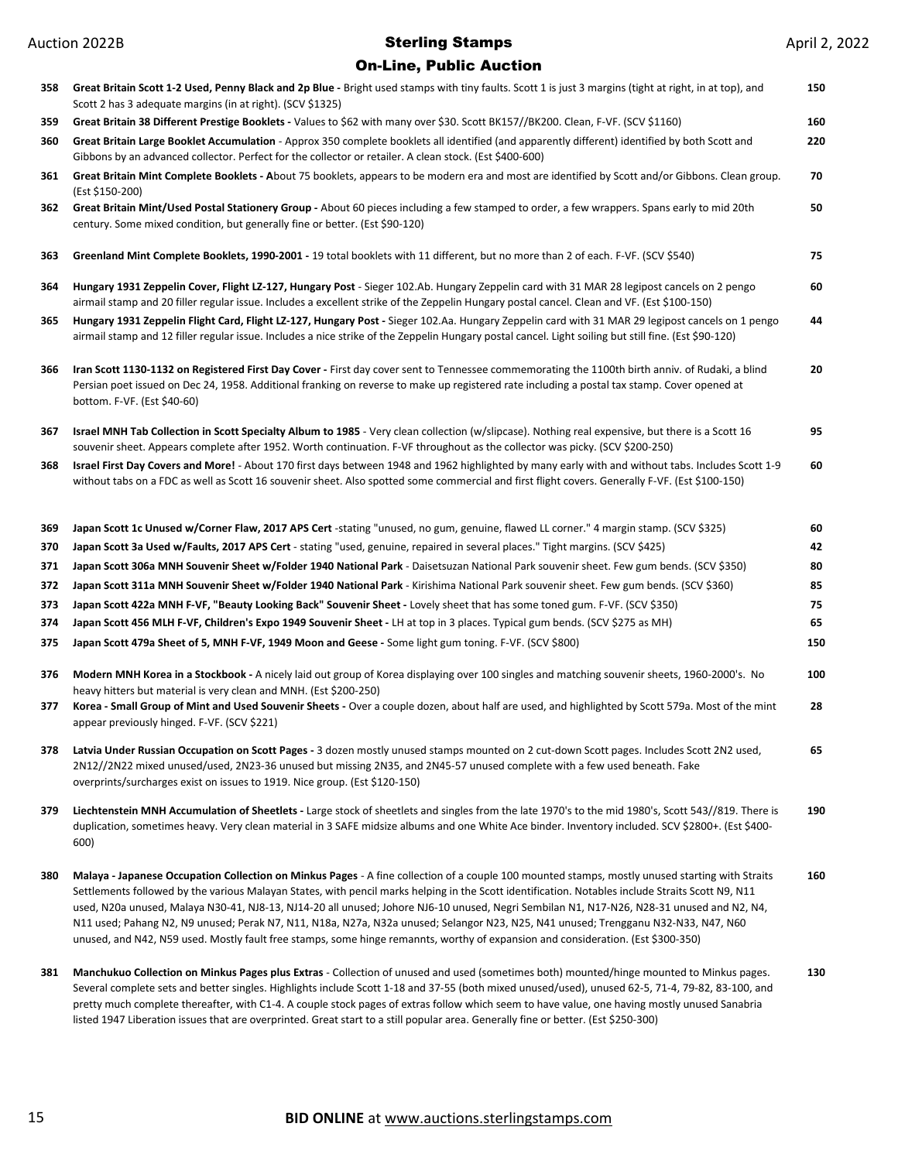# Auction 2022B **Sterling Stamps** On-Line, Public Auction

| 358 | Great Britain Scott 1-2 Used, Penny Black and 2p Blue - Bright used stamps with tiny faults. Scott 1 is just 3 margins (tight at right, in at top), and<br>Scott 2 has 3 adequate margins (in at right). (SCV \$1325)                                                                                                                                                                                                                                                                                                                                                                                                                                                                                                       | 150 |
|-----|-----------------------------------------------------------------------------------------------------------------------------------------------------------------------------------------------------------------------------------------------------------------------------------------------------------------------------------------------------------------------------------------------------------------------------------------------------------------------------------------------------------------------------------------------------------------------------------------------------------------------------------------------------------------------------------------------------------------------------|-----|
| 359 | Great Britain 38 Different Prestige Booklets - Values to \$62 with many over \$30. Scott BK157//BK200. Clean, F-VF. (SCV \$1160)                                                                                                                                                                                                                                                                                                                                                                                                                                                                                                                                                                                            | 160 |
| 360 | Great Britain Large Booklet Accumulation - Approx 350 complete booklets all identified (and apparently different) identified by both Scott and<br>Gibbons by an advanced collector. Perfect for the collector or retailer. A clean stock. (Est \$400-600)                                                                                                                                                                                                                                                                                                                                                                                                                                                                   | 220 |
| 361 | Great Britain Mint Complete Booklets - About 75 booklets, appears to be modern era and most are identified by Scott and/or Gibbons. Clean group.<br>(Est \$150-200)                                                                                                                                                                                                                                                                                                                                                                                                                                                                                                                                                         | 70  |
| 362 | Great Britain Mint/Used Postal Stationery Group - About 60 pieces including a few stamped to order, a few wrappers. Spans early to mid 20th<br>century. Some mixed condition, but generally fine or better. (Est \$90-120)                                                                                                                                                                                                                                                                                                                                                                                                                                                                                                  | 50  |
| 363 | Greenland Mint Complete Booklets, 1990-2001 - 19 total booklets with 11 different, but no more than 2 of each. F-VF. (SCV \$540)                                                                                                                                                                                                                                                                                                                                                                                                                                                                                                                                                                                            | 75  |
| 364 | Hungary 1931 Zeppelin Cover, Flight LZ-127, Hungary Post - Sieger 102.Ab. Hungary Zeppelin card with 31 MAR 28 legipost cancels on 2 pengo<br>airmail stamp and 20 filler regular issue. Includes a excellent strike of the Zeppelin Hungary postal cancel. Clean and VF. (Est \$100-150)                                                                                                                                                                                                                                                                                                                                                                                                                                   | 60  |
| 365 | Hungary 1931 Zeppelin Flight Card, Flight LZ-127, Hungary Post - Sieger 102.Aa. Hungary Zeppelin card with 31 MAR 29 legipost cancels on 1 pengo<br>airmail stamp and 12 filler regular issue. Includes a nice strike of the Zeppelin Hungary postal cancel. Light soiling but still fine. (Est \$90-120)                                                                                                                                                                                                                                                                                                                                                                                                                   | 44  |
| 366 | Iran Scott 1130-1132 on Registered First Day Cover - First day cover sent to Tennessee commemorating the 1100th birth anniv. of Rudaki, a blind<br>Persian poet issued on Dec 24, 1958. Additional franking on reverse to make up registered rate including a postal tax stamp. Cover opened at<br>bottom. F-VF. (Est \$40-60)                                                                                                                                                                                                                                                                                                                                                                                              | 20  |
| 367 | Israel MNH Tab Collection in Scott Specialty Album to 1985 - Very clean collection (w/slipcase). Nothing real expensive, but there is a Scott 16<br>souvenir sheet. Appears complete after 1952. Worth continuation. F-VF throughout as the collector was picky. (SCV \$200-250)                                                                                                                                                                                                                                                                                                                                                                                                                                            | 95  |
| 368 | Israel First Day Covers and More! - About 170 first days between 1948 and 1962 highlighted by many early with and without tabs. Includes Scott 1-9<br>without tabs on a FDC as well as Scott 16 souvenir sheet. Also spotted some commercial and first flight covers. Generally F-VF. (Est \$100-150)                                                                                                                                                                                                                                                                                                                                                                                                                       | 60  |
| 369 | Japan Scott 1c Unused w/Corner Flaw, 2017 APS Cert -stating "unused, no gum, genuine, flawed LL corner." 4 margin stamp. (SCV \$325)                                                                                                                                                                                                                                                                                                                                                                                                                                                                                                                                                                                        | 60  |
| 370 | Japan Scott 3a Used w/Faults, 2017 APS Cert - stating "used, genuine, repaired in several places." Tight margins. (SCV \$425)                                                                                                                                                                                                                                                                                                                                                                                                                                                                                                                                                                                               | 42  |
| 371 | Japan Scott 306a MNH Souvenir Sheet w/Folder 1940 National Park - Daisetsuzan National Park souvenir sheet. Few gum bends. (SCV \$350)                                                                                                                                                                                                                                                                                                                                                                                                                                                                                                                                                                                      | 80  |
| 372 | Japan Scott 311a MNH Souvenir Sheet w/Folder 1940 National Park - Kirishima National Park souvenir sheet. Few gum bends. (SCV \$360)                                                                                                                                                                                                                                                                                                                                                                                                                                                                                                                                                                                        | 85  |
| 373 | Japan Scott 422a MNH F-VF, "Beauty Looking Back" Souvenir Sheet - Lovely sheet that has some toned gum. F-VF. (SCV \$350)                                                                                                                                                                                                                                                                                                                                                                                                                                                                                                                                                                                                   | 75  |
| 374 | Japan Scott 456 MLH F-VF, Children's Expo 1949 Souvenir Sheet - LH at top in 3 places. Typical gum bends. (SCV \$275 as MH)                                                                                                                                                                                                                                                                                                                                                                                                                                                                                                                                                                                                 | 65  |
| 375 | Japan Scott 479a Sheet of 5, MNH F-VF, 1949 Moon and Geese - Some light gum toning. F-VF. (SCV \$800)                                                                                                                                                                                                                                                                                                                                                                                                                                                                                                                                                                                                                       | 150 |
| 376 | Modern MNH Korea in a Stockbook - A nicely laid out group of Korea displaying over 100 singles and matching souvenir sheets, 1960-2000's. No<br>heavy hitters but material is very clean and MNH. (Est \$200-250)                                                                                                                                                                                                                                                                                                                                                                                                                                                                                                           | 100 |
| 377 | Korea - Small Group of Mint and Used Souvenir Sheets - Over a couple dozen, about half are used, and highlighted by Scott 579a. Most of the mint<br>appear previously hinged. F-VF. (SCV \$221)                                                                                                                                                                                                                                                                                                                                                                                                                                                                                                                             | 28  |
| 378 | Latvia Under Russian Occupation on Scott Pages - 3 dozen mostly unused stamps mounted on 2 cut-down Scott pages. Includes Scott 2N2 used,<br>2N12//2N22 mixed unused/used, 2N23-36 unused but missing 2N35, and 2N45-57 unused complete with a few used beneath. Fake<br>overprints/surcharges exist on issues to 1919. Nice group. (Est \$120-150)                                                                                                                                                                                                                                                                                                                                                                         | 65  |
| 379 | Liechtenstein MNH Accumulation of Sheetlets - Large stock of sheetlets and singles from the late 1970's to the mid 1980's, Scott 543//819. There is<br>duplication, sometimes heavy. Very clean material in 3 SAFE midsize albums and one White Ace binder. Inventory included. SCV \$2800+. (Est \$400-<br>600)                                                                                                                                                                                                                                                                                                                                                                                                            | 190 |
| 380 | Malaya - Japanese Occupation Collection on Minkus Pages - A fine collection of a couple 100 mounted stamps, mostly unused starting with Straits<br>Settlements followed by the various Malayan States, with pencil marks helping in the Scott identification. Notables include Straits Scott N9, N11<br>used, N20a unused, Malaya N30-41, NJ8-13, NJ14-20 all unused; Johore NJ6-10 unused, Negri Sembilan N1, N17-N26, N28-31 unused and N2, N4,<br>N11 used; Pahang N2, N9 unused; Perak N7, N11, N18a, N27a, N32a unused; Selangor N23, N25, N41 unused; Trengganu N32-N33, N47, N60<br>unused, and N42, N59 used. Mostly fault free stamps, some hinge remannts, worthy of expansion and consideration. (Est \$300-350) | 160 |
| 381 | Manchukuo Collection on Minkus Pages plus Extras - Collection of unused and used (sometimes both) mounted/hinge mounted to Minkus pages.<br>Several complete sets and better singles. Highlights include Scott 1-18 and 37-55 (both mixed unused/used), unused 62-5, 71-4, 79-82, 83-100, and<br>pretty much complete thereafter, with C1-4. A couple stock pages of extras follow which seem to have value, one having mostly unused Sanabria                                                                                                                                                                                                                                                                              | 130 |

### **BID ONLINE** at www.auctions.sterlingstamps.com

listed 1947 Liberation issues that are overprinted. Great start to a still popular area. Generally fine or better. (Est \$250-300)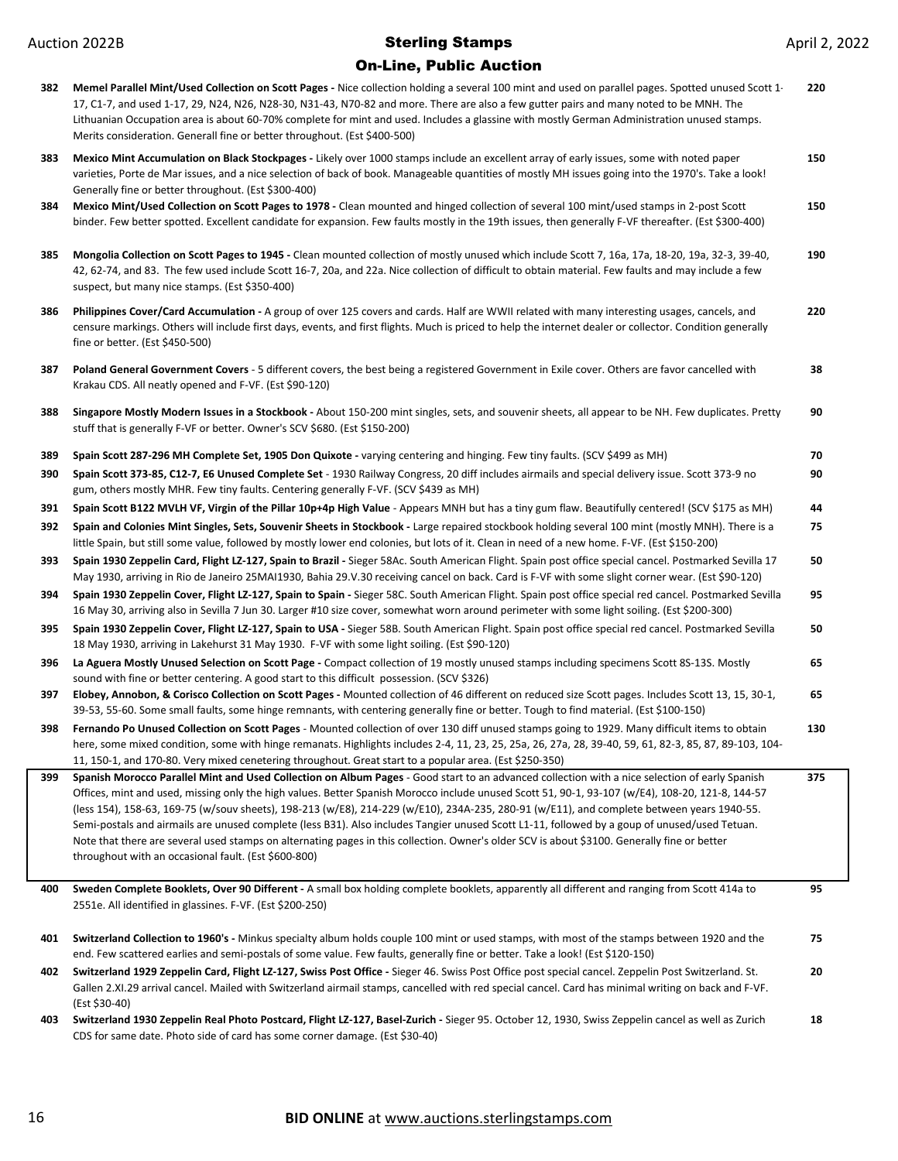| 382 | Memel Parallel Mint/Used Collection on Scott Pages - Nice collection holding a several 100 mint and used on parallel pages. Spotted unused Scott 1-<br>17, C1-7, and used 1-17, 29, N24, N26, N28-30, N31-43, N70-82 and more. There are also a few gutter pairs and many noted to be MNH. The<br>Lithuanian Occupation area is about 60-70% complete for mint and used. Includes a glassine with mostly German Administration unused stamps.<br>Merits consideration. Generall fine or better throughout. (Est \$400-500)                                                                                                                                                                                                                                                                                | 220 |
|-----|-----------------------------------------------------------------------------------------------------------------------------------------------------------------------------------------------------------------------------------------------------------------------------------------------------------------------------------------------------------------------------------------------------------------------------------------------------------------------------------------------------------------------------------------------------------------------------------------------------------------------------------------------------------------------------------------------------------------------------------------------------------------------------------------------------------|-----|
| 383 | Mexico Mint Accumulation on Black Stockpages - Likely over 1000 stamps include an excellent array of early issues, some with noted paper<br>varieties, Porte de Mar issues, and a nice selection of back of book. Manageable quantities of mostly MH issues going into the 1970's. Take a look!<br>Generally fine or better throughout. (Est \$300-400)                                                                                                                                                                                                                                                                                                                                                                                                                                                   | 150 |
| 384 | Mexico Mint/Used Collection on Scott Pages to 1978 - Clean mounted and hinged collection of several 100 mint/used stamps in 2-post Scott<br>binder. Few better spotted. Excellent candidate for expansion. Few faults mostly in the 19th issues, then generally F-VF thereafter. (Est \$300-400)                                                                                                                                                                                                                                                                                                                                                                                                                                                                                                          | 150 |
| 385 | Mongolia Collection on Scott Pages to 1945 - Clean mounted collection of mostly unused which include Scott 7, 16a, 17a, 18-20, 19a, 32-3, 39-40,<br>42, 62-74, and 83. The few used include Scott 16-7, 20a, and 22a. Nice collection of difficult to obtain material. Few faults and may include a few<br>suspect, but many nice stamps. (Est \$350-400)                                                                                                                                                                                                                                                                                                                                                                                                                                                 | 190 |
| 386 | Philippines Cover/Card Accumulation - A group of over 125 covers and cards. Half are WWII related with many interesting usages, cancels, and<br>censure markings. Others will include first days, events, and first flights. Much is priced to help the internet dealer or collector. Condition generally<br>fine or better. $(Est $450-500)$                                                                                                                                                                                                                                                                                                                                                                                                                                                             | 220 |
| 387 | Poland General Government Covers - 5 different covers, the best being a registered Government in Exile cover. Others are favor cancelled with<br>Krakau CDS. All neatly opened and F-VF. (Est \$90-120)                                                                                                                                                                                                                                                                                                                                                                                                                                                                                                                                                                                                   | 38  |
| 388 | Singapore Mostly Modern Issues in a Stockbook - About 150-200 mint singles, sets, and souvenir sheets, all appear to be NH. Few duplicates. Pretty<br>stuff that is generally F-VF or better. Owner's SCV \$680. (Est \$150-200)                                                                                                                                                                                                                                                                                                                                                                                                                                                                                                                                                                          | 90  |
| 389 | Spain Scott 287-296 MH Complete Set, 1905 Don Quixote - varying centering and hinging. Few tiny faults. (SCV \$499 as MH)                                                                                                                                                                                                                                                                                                                                                                                                                                                                                                                                                                                                                                                                                 | 70  |
| 390 | Spain Scott 373-85, C12-7, E6 Unused Complete Set - 1930 Railway Congress, 20 diff includes airmails and special delivery issue. Scott 373-9 no<br>gum, others mostly MHR. Few tiny faults. Centering generally F-VF. (SCV \$439 as MH)                                                                                                                                                                                                                                                                                                                                                                                                                                                                                                                                                                   | 90  |
| 391 | Spain Scott B122 MVLH VF, Virgin of the Pillar 10p+4p High Value - Appears MNH but has a tiny gum flaw. Beautifully centered! (SCV \$175 as MH)                                                                                                                                                                                                                                                                                                                                                                                                                                                                                                                                                                                                                                                           | 44  |
| 392 | Spain and Colonies Mint Singles, Sets, Souvenir Sheets in Stockbook - Large repaired stockbook holding several 100 mint (mostly MNH). There is a<br>little Spain, but still some value, followed by mostly lower end colonies, but lots of it. Clean in need of a new home. F-VF. (Est \$150-200)                                                                                                                                                                                                                                                                                                                                                                                                                                                                                                         | 75  |
| 393 | Spain 1930 Zeppelin Card, Flight LZ-127, Spain to Brazil - Sieger 58Ac. South American Flight. Spain post office special cancel. Postmarked Sevilla 17<br>May 1930, arriving in Rio de Janeiro 25MAI1930, Bahia 29.V.30 receiving cancel on back. Card is F-VF with some slight corner wear. (Est \$90-120)                                                                                                                                                                                                                                                                                                                                                                                                                                                                                               | 50  |
| 394 | Spain 1930 Zeppelin Cover, Flight LZ-127, Spain to Spain - Sieger 58C. South American Flight. Spain post office special red cancel. Postmarked Sevilla<br>16 May 30, arriving also in Sevilla 7 Jun 30. Larger #10 size cover, somewhat worn around perimeter with some light soiling. (Est \$200-300)                                                                                                                                                                                                                                                                                                                                                                                                                                                                                                    | 95  |
| 395 | Spain 1930 Zeppelin Cover, Flight LZ-127, Spain to USA - Sieger 58B. South American Flight. Spain post office special red cancel. Postmarked Sevilla<br>18 May 1930, arriving in Lakehurst 31 May 1930. F-VF with some light soiling. (Est \$90-120)                                                                                                                                                                                                                                                                                                                                                                                                                                                                                                                                                      | 50  |
| 396 | La Aguera Mostly Unused Selection on Scott Page - Compact collection of 19 mostly unused stamps including specimens Scott 8S-13S. Mostly<br>sound with fine or better centering. A good start to this difficult possession. (SCV \$326)                                                                                                                                                                                                                                                                                                                                                                                                                                                                                                                                                                   | 65  |
| 397 | Elobey, Annobon, & Corisco Collection on Scott Pages - Mounted collection of 46 different on reduced size Scott pages. Includes Scott 13, 15, 30-1,<br>39-53, 55-60. Some small faults, some hinge remnants, with centering generally fine or better. Tough to find material. (Est \$100-150)                                                                                                                                                                                                                                                                                                                                                                                                                                                                                                             | 65  |
| 398 | Fernando Po Unused Collection on Scott Pages - Mounted collection of over 130 diff unused stamps going to 1929. Many difficult items to obtain<br>here, some mixed condition, some with hinge remanats. Highlights includes 2-4, 11, 23, 25, 25a, 26, 27a, 28, 39-40, 59, 61, 82-3, 85, 87, 89-103, 104-<br>11, 150-1, and 170-80. Very mixed cenetering throughout. Great start to a popular area. (Est \$250-350)                                                                                                                                                                                                                                                                                                                                                                                       | 130 |
| 399 | Spanish Morocco Parallel Mint and Used Collection on Album Pages - Good start to an advanced collection with a nice selection of early Spanish<br>Offices, mint and used, missing only the high values. Better Spanish Morocco include unused Scott 51, 90-1, 93-107 (w/E4), 108-20, 121-8, 144-57<br>(less 154), 158-63, 169-75 (w/souv sheets), 198-213 (w/E8), 214-229 (w/E10), 234A-235, 280-91 (w/E11), and complete between years 1940-55.<br>Semi-postals and airmails are unused complete (less B31). Also includes Tangier unused Scott L1-11, followed by a goup of unused/used Tetuan.<br>Note that there are several used stamps on alternating pages in this collection. Owner's older SCV is about \$3100. Generally fine or better<br>throughout with an occasional fault. (Est \$600-800) | 375 |
| 400 | Sweden Complete Booklets, Over 90 Different - A small box holding complete booklets, apparently all different and ranging from Scott 414a to<br>2551e. All identified in glassines. F-VF. (Est \$200-250)                                                                                                                                                                                                                                                                                                                                                                                                                                                                                                                                                                                                 | 95  |
| 401 | Switzerland Collection to 1960's - Minkus specialty album holds couple 100 mint or used stamps, with most of the stamps between 1920 and the<br>end. Few scattered earlies and semi-postals of some value. Few faults, generally fine or better. Take a look! (Est \$120-150)                                                                                                                                                                                                                                                                                                                                                                                                                                                                                                                             | 75  |
| 402 | Switzerland 1929 Zeppelin Card, Flight LZ-127, Swiss Post Office - Sieger 46. Swiss Post Office post special cancel. Zeppelin Post Switzerland. St.<br>Gallen 2.XI.29 arrival cancel. Mailed with Switzerland airmail stamps, cancelled with red special cancel. Card has minimal writing on back and F-VF.<br>(Est \$30-40)                                                                                                                                                                                                                                                                                                                                                                                                                                                                              | 20  |
| 403 | Switzerland 1930 Zeppelin Real Photo Postcard, Flight LZ-127, Basel-Zurich - Sieger 95. October 12, 1930, Swiss Zeppelin cancel as well as Zurich<br>CDS for same date. Photo side of card has some corner damage. (Est \$30-40)                                                                                                                                                                                                                                                                                                                                                                                                                                                                                                                                                                          | 18  |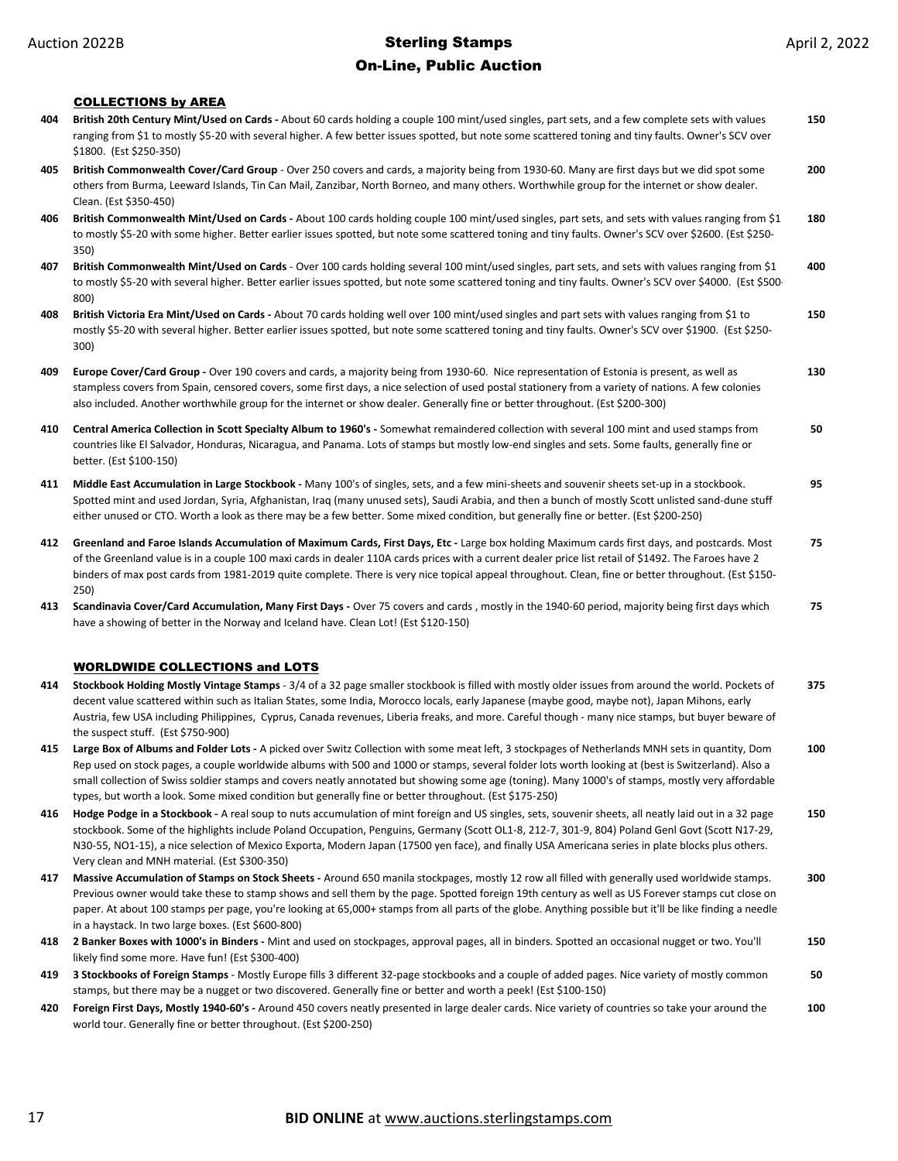#### On-Line, Public Auction

COLLECTIONS by AREA **404 British 20th Century Mint/Used on Cards -** About 60 cards holding a couple 100 mint/used singles, part sets, and a few complete sets with values ranging from \$1 to mostly \$5-20 with several higher. A few better issues spotted, but note some scattered toning and tiny faults. Owner's SCV over \$1800. (Est \$250-350) **150 405 British Commonwealth Cover/Card Group** - Over 250 covers and cards, a majority being from 1930-60. Many are first days but we did spot some others from Burma, Leeward Islands, Tin Can Mail, Zanzibar, North Borneo, and many others. Worthwhile group for the internet or show dealer. Clean. (Est \$350-450) **200 406 British Commonwealth Mint/Used on Cards -** About 100 cards holding couple 100 mint/used singles, part sets, and sets with values ranging from \$1 to mostly \$5-20 with some higher. Better earlier issues spotted, but note some scattered toning and tiny faults. Owner's SCV over \$2600. (Est \$250- 350) **180 407 British Commonwealth Mint/Used on Cards** - Over 100 cards holding several 100 mint/used singles, part sets, and sets with values ranging from \$1 to mostly \$5-20 with several higher. Better earlier issues spotted, but note some scattered toning and tiny faults. Owner's SCV over \$4000. (Est \$500-800) **400 408 British Victoria Era Mint/Used on Cards -** About 70 cards holding well over 100 mint/used singles and part sets with values ranging from \$1 to mostly \$5-20 with several higher. Better earlier issues spotted, but note some scattered toning and tiny faults. Owner's SCV over \$1900. (Est \$250- 300) **150 409 Europe Cover/Card Group -** Over 190 covers and cards, a majority being from 1930-60. Nice representation of Estonia is present, as well as stampless covers from Spain, censored covers, some first days, a nice selection of used postal stationery from a variety of nations. A few colonies also included. Another worthwhile group for the internet or show dealer. Generally fine or better throughout. (Est \$200-300) **130 410 Central America Collection in Scott Specialty Album to 1960's -** Somewhat remaindered collection with several 100 mint and used stamps from countries like El Salvador, Honduras, Nicaragua, and Panama. Lots of stamps but mostly low-end singles and sets. Some faults, generally fine or better. (Est \$100-150) **50 411 Middle East Accumulation in Large Stockbook -** Many 100's of singles, sets, and a few mini-sheets and souvenir sheets set-up in a stockbook. Spotted mint and used Jordan, Syria, Afghanistan, Iraq (many unused sets), Saudi Arabia, and then a bunch of mostly Scott unlisted sand-dune stuff either unused or CTO. Worth a look as there may be a few better. Some mixed condition, but generally fine or better. (Est \$200-250) **95 412 Greenland and Faroe Islands Accumulation of Maximum Cards, First Days, Etc -** Large box holding Maximum cards first days, and postcards. Most of the Greenland value is in a couple 100 maxi cards in dealer 110A cards prices with a current dealer price list retail of \$1492. The Faroes have 2 binders of max post cards from 1981-2019 quite complete. There is very nice topical appeal throughout. Clean, fine or better throughout. (Est \$150- 250) **75 413 Scandinavia Cover/Card Accumulation, Many First Days -** Over 75 covers and cards , mostly in the 1940-60 period, majority being first days which have a showing of better in the Norway and Iceland have. Clean Lot! (Est \$120-150) **75** WORLDWIDE COLLECTIONS and LOTS **414 Stockbook Holding Mostly Vintage Stamps** - 3/4 of a 32 page smaller stockbook is filled with mostly older issues from around the world. Pockets of decent value scattered within such as Italian States, some India, Morocco locals, early Japanese (maybe good, maybe not), Japan Mihons, early Austria, few USA including Philippines, Cyprus, Canada revenues, Liberia freaks, and more. Careful though - many nice stamps, but buyer beware of the suspect stuff. (Est \$750-900) **375 415 Large Box of Albums and Folder Lots -** A picked over Switz Collection with some meat left, 3 stockpages of Netherlands MNH sets in quantity, Dom Rep used on stock pages, a couple worldwide albums with 500 and 1000 or stamps, several folder lots worth looking at (best is Switzerland). Also a small collection of Swiss soldier stamps and covers neatly annotated but showing some age (toning). Many 1000's of stamps, mostly very affordable types, but worth a look. Some mixed condition but generally fine or better throughout. (Est \$175-250) **100 416 Hodge Podge in a Stockbook -** A real soup to nuts accumulation of mint foreign and US singles, sets, souvenir sheets, all neatly laid out in a 32 page stockbook. Some of the highlights include Poland Occupation, Penguins, Germany (Scott OL1-8, 212-7, 301-9, 804) Poland Genl Govt (Scott N17-29, N30-55, NO1-15), a nice selection of Mexico Exporta, Modern Japan (17500 yen face), and finally USA Americana series in plate blocks plus others. Very clean and MNH material. (Est \$300-350) **150 417 Massive Accumulation of Stamps on Stock Sheets -** Around 650 manila stockpages, mostly 12 row all filled with generally used worldwide stamps. Previous owner would take these to stamp shows and sell them by the page. Spotted foreign 19th century as well as US Forever stamps cut close on paper. At about 100 stamps per page, you're looking at 65,000+ stamps from all parts of the globe. Anything possible but it'll be like finding a needle in a haystack. In two large boxes. (Est \$600-800) **300 418 2 Banker Boxes with 1000's in Binders -** Mint and used on stockpages, approval pages, all in binders. Spotted an occasional nugget or two. You'll likely find some more. Have fun! (Est \$300-400) **150 419 3 Stockbooks of Foreign Stamps** - Mostly Europe fills 3 different 32-page stockbooks and a couple of added pages. Nice variety of mostly common stamps, but there may be a nugget or two discovered. Generally fine or better and worth a peek! (Est \$100-150) **50 420 Foreign First Days, Mostly 1940-60's -** Around 450 covers neatly presented in large dealer cards. Nice variety of countries so take your around the world tour. Generally fine or better throughout. (Est \$200-250) **100**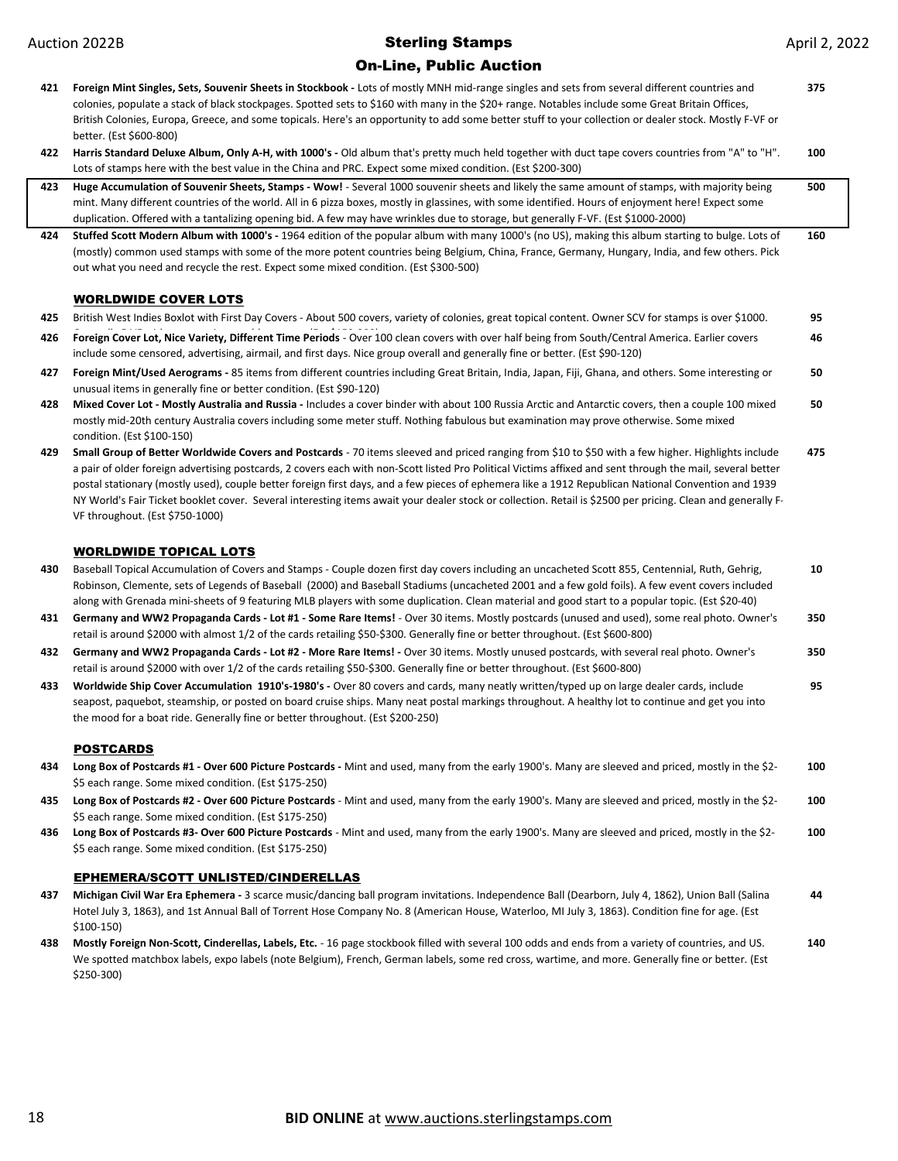#### On-Line, Public Auction

**421 Foreign Mint Singles, Sets, Souvenir Sheets in Stockbook -** Lots of mostly MNH mid-range singles and sets from several different countries and colonies, populate a stack of black stockpages. Spotted sets to \$160 with many in the \$20+ range. Notables include some Great Britain Offices, British Colonies, Europa, Greece, and some topicals. Here's an opportunity to add some better stuff to your collection or dealer stock. Mostly F-VF or better. (Est \$600-800) **375 422 Harris Standard Deluxe Album, Only A-H, with 1000's -** Old album that's pretty much held together with duct tape covers countries from "A" to "H". Lots of stamps here with the best value in the China and PRC. Expect some mixed condition. (Est \$200-300) **100 423 Huge Accumulation of Souvenir Sheets, Stamps - Wow!** - Several 1000 souvenir sheets and likely the same amount of stamps, with majority being mint. Many different countries of the world. All in 6 pizza boxes, mostly in glassines, with some identified. Hours of enjoyment here! Expect some duplication. Offered with a tantalizing opening bid. A few may have wrinkles due to storage, but generally F-VF. (Est \$1000-2000) **500 424 Stuffed Scott Modern Album with 1000's -** 1964 edition of the popular album with many 1000's (no US), making this album starting to bulge. Lots of (mostly) common used stamps with some of the more potent countries being Belgium, China, France, Germany, Hungary, India, and few others. Pick out what you need and recycle the rest. Expect some mixed condition. (Est \$300-500) **160** WORLDWIDE COVER LOTS **425** British West Indies Boxlot with First Day Covers - About 500 covers, variety of colonies, great topical content. Owner SCV for stamps is over \$1000. 426 Foreign Cover Lot, Nice Variety, Different Time Periods - Over 100 clean covers with over half being from South/Central America. Earlier covers **95** include some censored, advertising, airmail, and first days. Nice group overall and generally fine or better. (Est \$90-120) **46 427 Foreign Mint/Used Aerograms -** 85 items from different countries including Great Britain, India, Japan, Fiji, Ghana, and others. Some interesting or unusual items in generally fine or better condition. (Est \$90-120) **50 428 Mixed Cover Lot - Mostly Australia and Russia -** Includes a cover binder with about 100 Russia Arctic and Antarctic covers, then a couple 100 mixed mostly mid-20th century Australia covers including some meter stuff. Nothing fabulous but examination may prove otherwise. Some mixed condition. (Est \$100-150) **50 429 Small Group of Better Worldwide Covers and Postcards** - 70 items sleeved and priced ranging from \$10 to \$50 with a few higher. Highlights include a pair of older foreign advertising postcards, 2 covers each with non-Scott listed Pro Political Victims affixed and sent through the mail, several better postal stationary (mostly used), couple better foreign first days, and a few pieces of ephemera like a 1912 Republican National Convention and 1939 NY World's Fair Ticket booklet cover. Several interesting items await your dealer stock or collection. Retail is \$2500 per pricing. Clean and generally F-VF throughout. (Est \$750-1000) **475** WORLDWIDE TOPICAL LOTS **430** Baseball Topical Accumulation of Covers and Stamps - Couple dozen first day covers including an uncacheted Scott 855, Centennial, Ruth, Gehrig, Robinson, Clemente, sets of Legends of Baseball (2000) and Baseball Stadiums (uncacheted 2001 and a few gold foils). A few event covers included along with Grenada mini-sheets of 9 featuring MLB players with some duplication. Clean material and good start to a popular topic. (Est \$20-40) **10 431 Germany and WW2 Propaganda Cards - Lot #1 - Some Rare Items!** - Over 30 items. Mostly postcards (unused and used), some real photo. Owner's retail is around \$2000 with almost 1/2 of the cards retailing \$50-\$300. Generally fine or better throughout. (Est \$600-800) **350 432 Germany and WW2 Propaganda Cards - Lot #2 - More Rare Items! -** Over 30 items. Mostly unused postcards, with several real photo. Owner's retail is around \$2000 with over 1/2 of the cards retailing \$50-\$300. Generally fine or better throughout. (Est \$600-800) **350 433 Worldwide Ship Cover Accumulation 1910's-1980's -** Over 80 covers and cards, many neatly written/typed up on large dealer cards, include seapost, paquebot, steamship, or posted on board cruise ships. Many neat postal markings throughout. A healthy lot to continue and get you into the mood for a boat ride. Generally fine or better throughout. (Est \$200-250) **95 POSTCARDS 434 Long Box of Postcards #1 - Over 600 Picture Postcards -** Mint and used, many from the early 1900's. Many are sleeved and priced, mostly in the \$2- \$5 each range. Some mixed condition. (Est \$175-250) **100 435 Long Box of Postcards #2 - Over 600 Picture Postcards** - Mint and used, many from the early 1900's. Many are sleeved and priced, mostly in the \$2- \$5 each range. Some mixed condition. (Est \$175-250) **100 436 Long Box of Postcards #3- Over 600 Picture Postcards** - Mint and used, many from the early 1900's. Many are sleeved and priced, mostly in the \$2- \$5 each range. Some mixed condition. (Est \$175-250) **100** EPHEMERA/SCOTT UNLISTED/CINDERELLAS **437 Michigan Civil War Era Ephemera -** 3 scarce music/dancing ball program invitations. Independence Ball (Dearborn, July 4, 1862), Union Ball (Salina Hotel July 3, 1863), and 1st Annual Ball of Torrent Hose Company No. 8 (American House, Waterloo, MI July 3, 1863). Condition fine for age. (Est \$100-150) **44 438 Mostly Foreign Non-Scott, Cinderellas, Labels, Etc.** - 16 page stockbook filled with several 100 odds and ends from a variety of countries, and US. We spotted matchbox labels, expo labels (note Belgium), French, German labels, some red cross, wartime, and more. Generally fine or better. (Est \$250-300) **140**